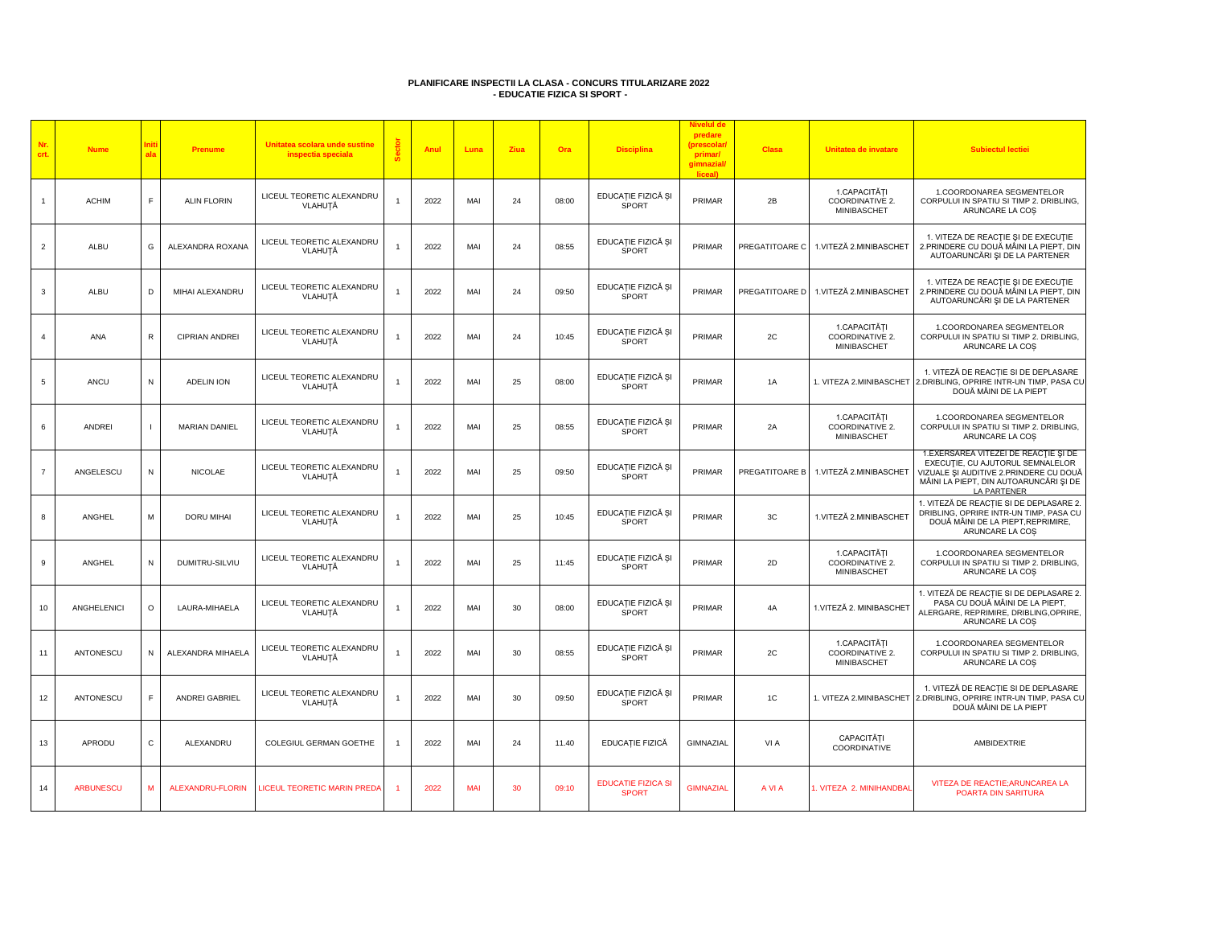## **PLANIFICARE INSPECTII LA CLASA - CONCURS TITULARIZARE 2022 - EDUCATIE FIZICA SI SPORT -**

| Nr.<br>crt.    | <b>Nume</b>      | nit<br>ala               | <b>Prenume</b>          | Unitatea scolara unde sustine<br>inspectia speciala | ä | Anul | Luna       | Ziua | Ora   | <b>Disciplina</b>                         | <b>Nivelul de</b><br>predare<br>(prescolar<br>primar/<br>gimnazial/<br>liceal) | <b>Clasa</b>   | Unitatea de invatare                                  | <b>Subiectul lectiei</b>                                                                                                                                                            |
|----------------|------------------|--------------------------|-------------------------|-----------------------------------------------------|---|------|------------|------|-------|-------------------------------------------|--------------------------------------------------------------------------------|----------------|-------------------------------------------------------|-------------------------------------------------------------------------------------------------------------------------------------------------------------------------------------|
| $\mathbf{1}$   | <b>ACHIM</b>     | F.                       | <b>ALIN FLORIN</b>      | LICEUL TEORETIC ALEXANDRU<br>VLAHUȚĂ                |   | 2022 | MAI        | 24   | 08:00 | EDUCAȚIE FIZICĂ ȘI<br><b>SPORT</b>        | PRIMAR                                                                         | 2B             | 1.CAPACITĂȚI<br>COORDINATIVE 2.<br>MINIBASCHET        | 1.COORDONAREA SEGMENTELOR<br>CORPULUI IN SPATIU SI TIMP 2. DRIBLING,<br>ARUNCARE LA COS                                                                                             |
| $\overline{2}$ | ALBU             | G                        | ALEXANDRA ROXANA        | LICEUL TEORETIC ALEXANDRU<br>VLAHUȚĂ                |   | 2022 | MAI        | 24   | 08:55 | EDUCAȚIE FIZICĂ ȘI<br>SPORT               | PRIMAR                                                                         | PREGATITOARE C | 1.VITEZĂ 2.MINIBASCHET                                | 1. VITEZA DE REACȚIE ȘI DE EXECUȚIE<br>2. PRINDERE CU DOUĂ MÂINI LA PIEPT, DIN<br>AUTOARUNCĂRI ȘI DE LA PARTENER                                                                    |
| $\mathbf{3}$   | ALBU             | D                        | MIHAI ALEXANDRU         | LICEUL TEORETIC ALEXANDRU<br>VLAHUTĂ                |   | 2022 | MAI        | 24   | 09:50 | EDUCAȚIE FIZICĂ ȘI<br><b>SPORT</b>        | PRIMAR                                                                         | PREGATITOARE D | 1.VITEZĂ 2.MINIBASCHET                                | 1. VITEZA DE REACTIE ȘI DE EXECUȚIE<br>2. PRINDERE CU DOUĂ MÂINI LA PIEPT, DIN<br>AUTOARUNCĂRI ȘI DE LA PARTENER                                                                    |
| $\overline{4}$ | ANA              | $\mathsf{R}$             | <b>CIPRIAN ANDREI</b>   | LICEUL TEORETIC ALEXANDRU<br>VLAHUȚĂ                |   | 2022 | MAI        | 24   | 10:45 | EDUCAȚIE FIZICĂ ȘI<br>SPORT               | PRIMAR                                                                         | 2C             | 1.CAPACITĂȚI<br>COORDINATIVE 2.<br><b>MINIBASCHET</b> | 1.COORDONAREA SEGMENTELOR<br>CORPULUI IN SPATIU SI TIMP 2. DRIBLING,<br>ARUNCARE LA COS                                                                                             |
| $\,$ 5 $\,$    | ANCU             | N                        | <b>ADELIN ION</b>       | LICEUL TEORETIC ALEXANDRU<br>VLAHUȚĂ                |   | 2022 | MAI        | 25   | 08:00 | EDUCAȚIE FIZICĂ ȘI<br><b>SPORT</b>        | PRIMAR                                                                         | 1A             | I. VITEZA 2.MINIBASCHET                               | 1. VITEZĂ DE REACȚIE SI DE DEPLASARE<br>2.DRIBLING, OPRIRE INTR-UN TIMP, PASA CU<br>DOUĂ MÂINI DE LA PIEPT                                                                          |
| 6              | <b>ANDREI</b>    | $\overline{\phantom{a}}$ | MARIAN DANIEL           | LICEUL TEORETIC ALEXANDRU<br>VLAHUȚĂ                |   | 2022 | MAI        | 25   | 08:55 | EDUCAȚIE FIZICĂ ȘI<br>SPORT               | PRIMAR                                                                         | 2A             | 1.CAPACITĂTI<br>COORDINATIVE 2.<br>MINIBASCHET        | 1.COORDONAREA SEGMENTELOR<br>CORPULUI IN SPATIU SI TIMP 2. DRIBLING,<br>ARUNCARE LA COS                                                                                             |
| $\overline{7}$ | ANGELESCU        | N                        | <b>NICOLAE</b>          | LICEUL TEORETIC ALEXANDRU<br>VLAHUȚĂ                |   | 2022 | MAI        | 25   | 09:50 | EDUCAȚIE FIZICĂ ȘI<br>SPORT               | PRIMAR                                                                         | PREGATITOARE B | 1.VITEZĂ 2.MINIBASCHET                                | 1. EXERSAREA VITEZEI DE REACȚIE ȘI DE<br>EXECUTIE, CU AJUTORUL SEMNALELOR<br>VIZUALE ȘI AUDITIVE 2.PRINDERE CU DOUĂ<br>MÂINI LA PIEPT, DIN AUTOARUNCĂRI ȘI DE<br><b>LA PARTENER</b> |
| 8              | ANGHEL           | M                        | <b>DORU MIHAI</b>       | LICEUL TEORETIC ALEXANDRU<br>VLAHUȚĂ                |   | 2022 | MAI        | 25   | 10:45 | EDUCAȚIE FIZICĂ ȘI<br><b>SPORT</b>        | PRIMAR                                                                         | 3C             | 1.VITEZĂ 2.MINIBASCHET                                | 1. VITEZĂ DE REACȚIE SI DE DEPLASARE 2.<br>DRIBLING, OPRIRE INTR-UN TIMP, PASA CU<br>DOUĂ MÂINI DE LA PIEPT, REPRIMIRE,<br>ARUNCARE LA COS                                          |
| 9              | ANGHEL           | N                        | DUMITRU-SILVIU          | LICEUL TEORETIC ALEXANDRU<br>VLAHUȚĂ                | 1 | 2022 | MAI        | 25   | 11:45 | EDUCAȚIE FIZICĂ ȘI<br>SPORT               | PRIMAR                                                                         | 2D             | 1.CAPACITĂȚI<br>COORDINATIVE 2.<br>MINIBASCHET        | 1.COORDONAREA SEGMENTELOR<br>CORPULUI IN SPATIU SI TIMP 2. DRIBLING,<br>ARUNCARE LA COS                                                                                             |
| 10             | ANGHELENICI      | $\circ$                  | LAURA-MIHAELA           | LICEUL TEORETIC ALEXANDRU<br>VLAHUȚĂ                |   | 2022 | MAI        | 30   | 08:00 | EDUCAȚIE FIZICĂ ȘI<br>SPORT               | PRIMAR                                                                         | 4A             | 1.VITEZĂ 2. MINIBASCHET                               | 1. VITEZĂ DE REACȚIE SI DE DEPLASARE 2.<br>PASA CU DOUĂ MÂINI DE LA PIEPT,<br>ALERGARE, REPRIMIRE, DRIBLING, OPRIRE,<br>ARUNCARE LA COS                                             |
| 11             | ANTONESCU        | N                        | ALEXANDRA MIHAELA       | LICEUL TEORETIC ALEXANDRU<br>VLAHUȚĂ                |   | 2022 | MAI        | 30   | 08:55 | EDUCAȚIE FIZICĂ ȘI<br>SPORT               | PRIMAR                                                                         | 2C             | 1.CAPACITĂȚI<br>COORDINATIVE 2.<br>MINIBASCHET        | 1.COORDONAREA SEGMENTELOR<br>CORPULUI IN SPATIU SI TIMP 2. DRIBLING,<br>ARUNCARE LA COS                                                                                             |
| 12             | ANTONESCU        | F                        | ANDREI GABRIEL          | LICEUL TEORETIC ALEXANDRU<br>VLAHUȚĂ                |   | 2022 | MAI        | 30   | 09:50 | EDUCAȚIE FIZICĂ ȘI<br><b>SPORT</b>        | PRIMAR                                                                         | 1C             | 1. VITEZA 2.MINIBASCHET                               | 1. VITEZĂ DE REACȚIE SI DE DEPLASARE<br>2.DRIBLING, OPRIRE INTR-UN TIMP, PASA CU<br>DOUĂ MÂINI DE LA PIEPT                                                                          |
| 13             | APRODU           | $\mathtt{C}$             | ALEXANDRU               | COLEGIUL GERMAN GOETHE                              |   | 2022 | MAI        | 24   | 11.40 | EDUCATIE FIZICĂ                           | GIMNAZIAL                                                                      | VI A           | CAPACITĂTI<br>COORDINATIVE                            | AMBIDEXTRIE                                                                                                                                                                         |
| 14             | <b>ARBUNESCU</b> | M                        | <b>ALEXANDRU-FLORIN</b> | <b>ICEUL TEORETIC MARIN PREDA</b>                   |   | 2022 | <b>MAI</b> | 30   | 09:10 | <b>EDUCATIE FIZICA SI</b><br><b>SPORT</b> | <b>GIMNAZIAL</b>                                                               | A VI A         | . VITEZA 2. MINIHANDBA                                | VITEZA DE REACTIE; ARUNCAREA LA<br>POARTA DIN SARITURA                                                                                                                              |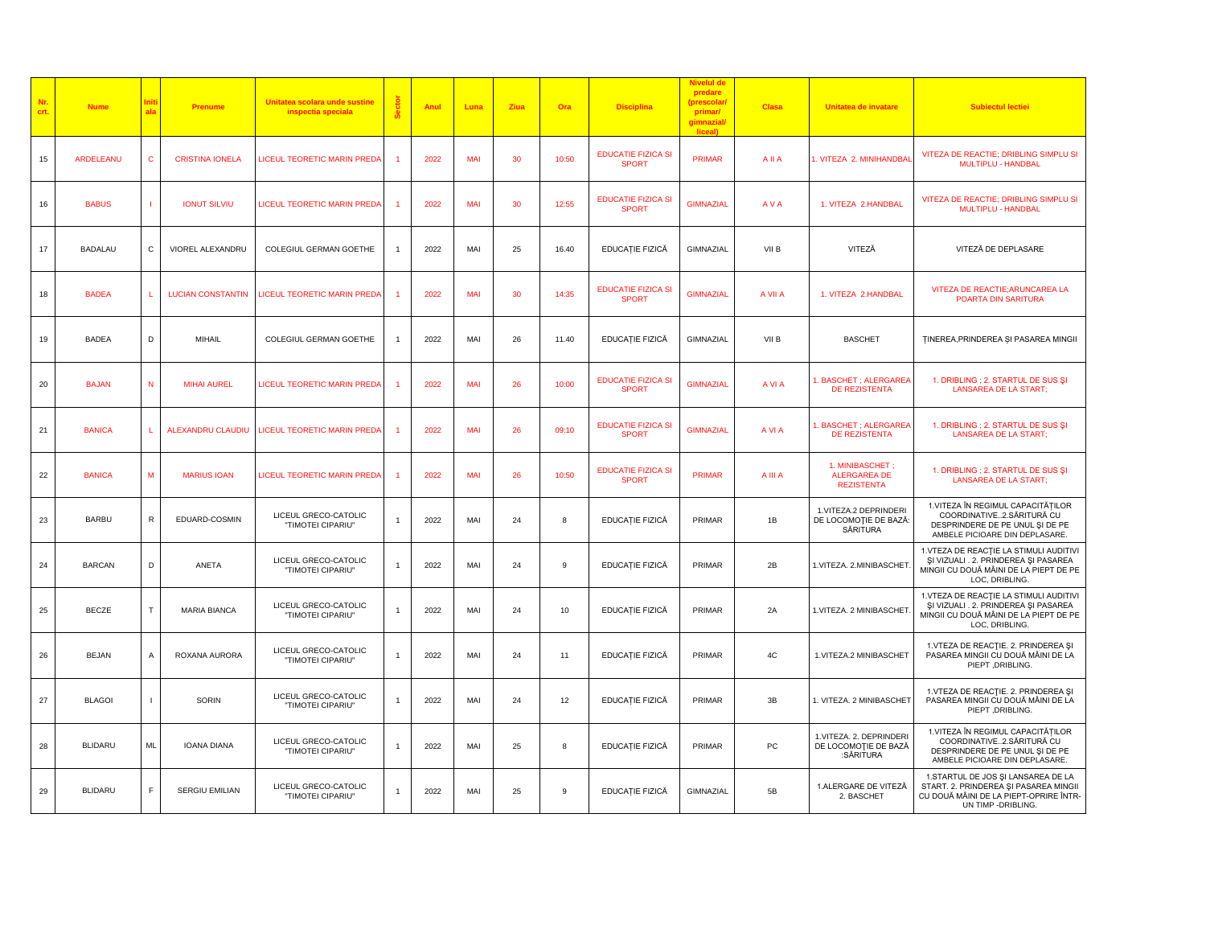| Nr.<br>crt. | <b>Nume</b>    | ala          | Prenume                  | Unitatea scolara unde sustine<br>inspectia speciala | Anul | Luna       | Ziua | Ora   | <b>Disciplina</b>                         | predare<br>(prescolar<br>primar/<br>gimnazial/<br>liceal) | <b>Clasa</b> | Unitatea de invatare                                         | <b>Subiectul lectiei</b>                                                                                                                     |
|-------------|----------------|--------------|--------------------------|-----------------------------------------------------|------|------------|------|-------|-------------------------------------------|-----------------------------------------------------------|--------------|--------------------------------------------------------------|----------------------------------------------------------------------------------------------------------------------------------------------|
| 15          | ARDELEANU      | $\mathbf{C}$ | <b>CRISTINA IONELA</b>   | <b>LICEUL TEORETIC MARIN PREDA</b>                  | 2022 | MAI        | 30   | 10:50 | <b>EDUCATIE FIZICA SI</b><br><b>SPORT</b> | <b>PRIMAR</b>                                             | <b>All A</b> | . VITEZA 2. MINIHANDBAI                                      | VITEZA DE REACTIE; DRIBLING SIMPLU SI<br>MULTIPLU - HANDBAL                                                                                  |
| 16          | <b>BABUS</b>   | $\mathbf{I}$ | <b>IONUT SILVIU</b>      | LICEUL TEORETIC MARIN PREDA                         | 2022 | MAI        | 30   | 12:55 | <b>EDUCATIE FIZICA SI</b><br><b>SPORT</b> | <b>GIMNAZIAL</b>                                          | <b>AVA</b>   | 1. VITEZA 2.HANDBAL                                          | VITEZA DE REACTIE; DRIBLING SIMPLU SI<br>MULTIPLU - HANDBAL                                                                                  |
| 17          | <b>BADALAU</b> | С            | VIOREL ALEXANDRU         | COLEGIUL GERMAN GOETHE                              | 2022 | MAI        | 25   | 16.40 | EDUCAȚIE FIZICĂ                           | GIMNAZIAL                                                 | VII B        | VITEZĂ                                                       | VITEZĂ DE DEPLASARE                                                                                                                          |
| 18          | <b>BADEA</b>   | L.           | <b>LUCIAN CONSTANTIN</b> | LICEUL TEORETIC MARIN PREDA                         | 2022 | MAI        | 30   | 14:35 | <b>EDUCATIE FIZICA SI</b><br><b>SPORT</b> | <b>GIMNAZIAL</b>                                          | A VII A      | 1. VITEZA 2.HANDBAL                                          | VITEZA DE REACTIE; ARUNCAREA LA<br>POARTA DIN SARITURA                                                                                       |
| 19          | <b>BADEA</b>   | D            | MIHAIL                   | COLEGIUL GERMAN GOETHE                              | 2022 | MAI        | 26   | 11.40 | EDUCAȚIE FIZICĂ                           | GIMNAZIAL                                                 | VII B        | <b>BASCHET</b>                                               | <b>TINEREA, PRINDEREA ȘI PASAREA MINGI</b>                                                                                                   |
| 20          | <b>BAJAN</b>   | ${\sf N}$    | <b>MIHAI AUREL</b>       | LICEUL TEORETIC MARIN PREDA                         | 2022 | MAI        | 26   | 10:00 | <b>EDUCATIE FIZICA SI</b><br><b>SPORT</b> | <b>GIMNAZIAL</b>                                          | A VI A       | <b>BASCHET : ALERGAREA</b><br><b>DE REZISTENTA</b>           | 1. DRIBLING ; 2. STARTUL DE SUS ȘI<br>LANSAREA DE LA START;                                                                                  |
| 21          | <b>BANICA</b>  | L            | ALEXANDRU CLAUDIU        | LICEUL TEORETIC MARIN PREDA                         | 2022 | <b>MAI</b> | 26   | 09:10 | <b>EDUCATIE FIZICA SI</b><br><b>SPORT</b> | <b>GIMNAZIAL</b>                                          | A VI A       | <b>BASCHET; ALERGAREA</b><br><b>DE REZISTENTA</b>            | 1. DRIBLING ; 2. STARTUL DE SUS ȘI<br><b>LANSAREA DE LA START;</b>                                                                           |
| 22          | <b>BANICA</b>  | M            | <b>MARIUS IOAN</b>       | <b>LICEUL TEORETIC MARIN PREDA</b>                  | 2022 | <b>MAI</b> | 26   | 10:50 | <b>EDUCATIE FIZICA SI</b><br><b>SPORT</b> | <b>PRIMAR</b>                                             | A III A      | 1. MINIBASCHET :<br><b>ALERGAREA DE</b><br><b>REZISTENTA</b> | 1. DRIBLING ; 2. STARTUL DE SUS ȘI<br><b>LANSAREA DE LA START;</b>                                                                           |
| 23          | <b>BARBU</b>   | ${\sf R}$    | EDUARD-COSMIN            | LICEUL GRECO-CATOLIC<br>"TIMOTEI CIPARIU"           | 2022 | MAI        | 24   | 8     | EDUCAȚIE FIZICĂ                           | PRIMAR                                                    | 1B           | 1. VITEZA.2 DEPRINDERI<br>DE LOCOMOȚIE DE BAZĂ:<br>SĂRITURA  | 1. VITEZA ÎN REGIMUL CAPACITĂȚILOR<br>COORDINATIVE2.SĂRITURĂ CU<br>DESPRINDERE DE PE UNUL ȘI DE PE<br>AMBELE PICIOARE DIN DEPLASARE.         |
| 24          | <b>BARCAN</b>  | D            | ANETA                    | LICEUL GRECO-CATOLIC<br>"TIMOTEI CIPARIU"           | 2022 | MAI        | 24   | 9     | EDUCAȚIE FIZICĂ                           | PRIMAR                                                    | 2B           | 1. VITEZA. 2. MINIBASCHET                                    | 1. VTEZA DE REACȚIE LA STIMULI AUDITIVI<br>ŞI VIZUALI . 2. PRINDEREA ŞI PASAREA<br>MINGII CU DOUĂ MÂINI DE LA PIEPT DE PE<br>LOC, DRIBLING.  |
| 25          | <b>BECZE</b>   | T            | <b>MARIA BIANCA</b>      | LICEUL GRECO-CATOLIC<br>"TIMOTEI CIPARIU"           | 2022 | MAI        | 24   | 10    | EDUCAȚIE FIZICĂ                           | PRIMAR                                                    | 2A           | 1. VITEZA. 2 MINIBASCHET                                     | 1.VTEZA DE REACȚIE LA STIMULI AUDITIVI<br>ŞI VIZUALI . 2. PRINDEREA ŞI PASAREA<br>MINGII CU DOUĂ MÂINI DE LA PIEPT DE PE<br>LOC, DRIBLING.   |
| 26          | <b>BEJAN</b>   | Α            | ROXANA AURORA            | LICEUL GRECO-CATOLIC<br>"TIMOTEI CIPARIU"           | 2022 | MAI        | 24   | 11    | EDUCAȚIE FIZICĂ                           | PRIMAR                                                    | 4C           | 1.VITEZA.2 MINIBASCHET                                       | 1. VTEZA DE REACȚIE. 2. PRINDEREA ȘI<br>PASAREA MINGII CU DOUĂ MÂINI DE LA<br>PIEPT, DRIBLING.                                               |
| 27          | <b>BLAGOI</b>  |              | <b>SORIN</b>             | LICEUL GRECO-CATOLIC<br>"TIMOTEI CIPARIU"           | 2022 | MAI        | 24   | 12    | EDUCAȚIE FIZICĂ                           | PRIMAR                                                    | 3B           | 1. VITEZA. 2 MINIBASCHET                                     | 1. VTEZA DE REACȚIE. 2. PRINDEREA ȘI<br>PASAREA MINGII CU DOUĂ MÂINI DE LA<br>PIEPT, DRIBLING.                                               |
| 28          | <b>BLIDARU</b> | <b>ML</b>    | <b>IOANA DIANA</b>       | LICEUL GRECO-CATOLIC<br>"TIMOTEI CIPARIU"           | 2022 | MAI        | 25   | 8     | EDUCAȚIE FIZICĂ                           | PRIMAR                                                    | PC           | 1.VITEZA. 2. DEPRINDERI<br>DE LOCOMOȚIE DE BAZĂ<br>:SĂRITURA | 1.VITEZA ÎN REGIMUL CAPACITĂȚILOR<br>COORDINATIVE2.SĂRITURĂ CU<br>DESPRINDERE DE PE UNUL ȘI DE PE<br>AMBELE PICIOARE DIN DEPLASARE.          |
| 29          | <b>BLIDARU</b> | E            | <b>SERGIU EMILIAN</b>    | LICEUL GRECO-CATOLIC<br>"TIMOTEI CIPARIU"           | 2022 | MAI        | 25   | 9     | EDUCAȚIE FIZICĂ                           | GIMNAZIAL                                                 | 5B           | 1.ALERGARE DE VITEZĂ<br>2. BASCHET                           | 1.STARTUL DE JOS ȘI LANSAREA DE LA<br>START. 2. PRINDEREA ȘI PASAREA MINGII<br>CU DOUĂ MÂINI DE LA PIEPT-OPRIRE ÎNTR-<br>UN TIMP - DRIBLING. |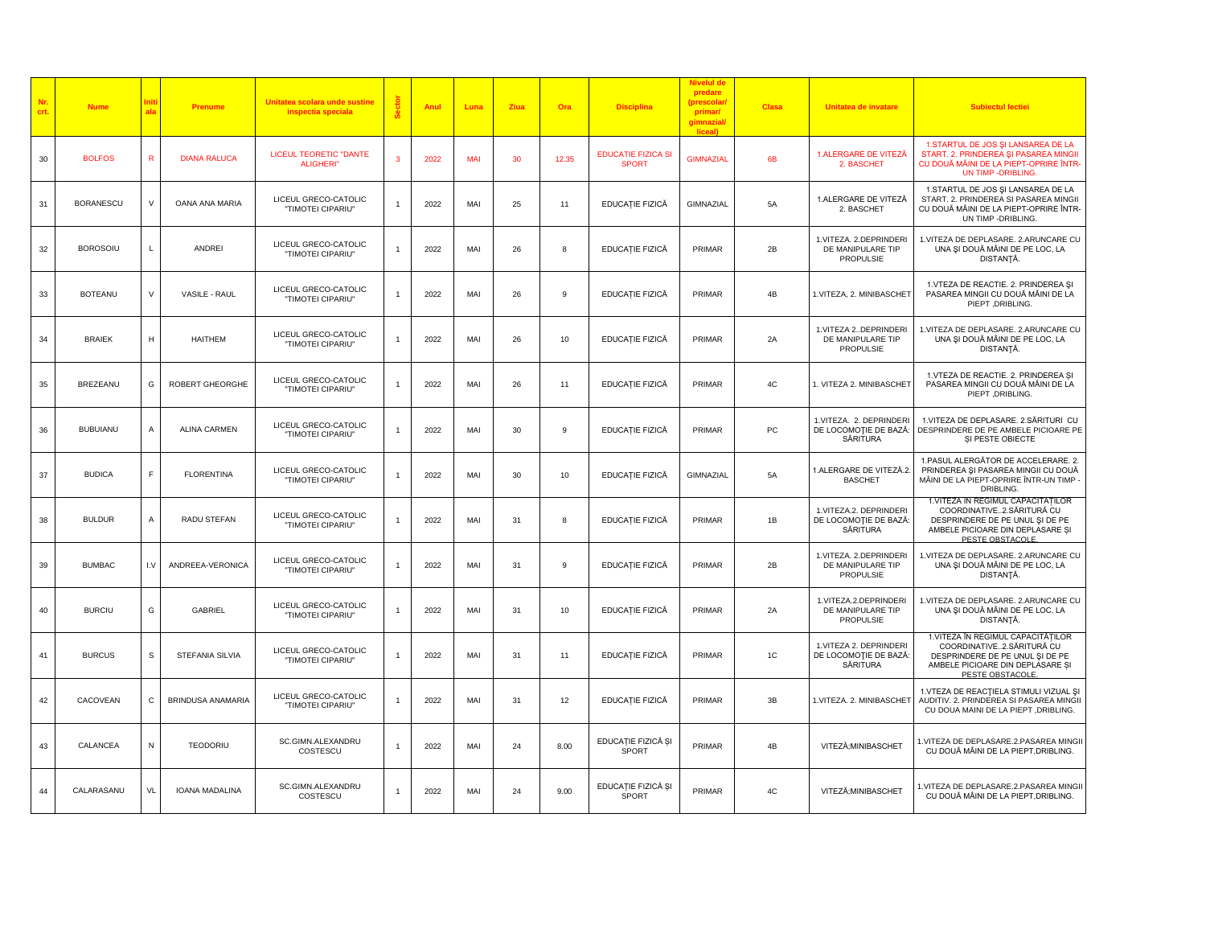| Nr.<br>crt. | <b>Nume</b>      | Init<br>ala    | <b>Prenume</b>        | Unitatea scolara unde sustine<br>inspectia speciala           | Anul | Luna       | Ziua | Ora   | <b>Disciplina</b>                         | Nivelul dı<br>predare<br>(prescolar)<br>primar/<br>gimnazial/<br>liceal) | <b>Clasa</b> | Unitatea de invatare                                            | <b>Subiectul lectiei</b>                                                                                                                                   |
|-------------|------------------|----------------|-----------------------|---------------------------------------------------------------|------|------------|------|-------|-------------------------------------------|--------------------------------------------------------------------------|--------------|-----------------------------------------------------------------|------------------------------------------------------------------------------------------------------------------------------------------------------------|
| 30          | <b>BOLFOS</b>    | ${\sf R}$      | <b>DIANA RALUCA</b>   | <b>LICEUL TEORETIC "DANTE</b><br><b>ALIGHERI</b> <sup>®</sup> | 2022 | <b>MAI</b> | 30   | 12.35 | <b>EDUCATIE FIZICA SI</b><br><b>SPORT</b> | <b>GIMNAZIAL</b>                                                         | 6B           | 1.ALERGARE DE VITEZĂ<br>2. BASCHET                              | 1.STARTUL DE JOS ȘI LANSAREA DE LA<br>START. 2. PRINDEREA ȘI PASAREA MINGI<br>CU DOUĂ MÂINI DE LA PIEPT-OPRIRE ÎNTR-<br>UN TIMP - DRIBLING.                |
| 31          | <b>BORANESCU</b> | $\vee$         | OANA ANA MARIA        | LICEUL GRECO-CATOLIC<br>"TIMOTEI CIPARIU"                     | 2022 | MAI        | 25   | 11    | EDUCAȚIE FIZICĂ                           | GIMNAZIAL                                                                | 5A           | 1.ALERGARE DE VITEZĂ<br>2. BASCHET                              | 1.STARTUL DE JOS ȘI LANSAREA DE LA<br>START. 2. PRINDEREA SI PASAREA MINGII<br>CU DOUĂ MÂINI DE LA PIEPT-OPRIRE ÎNTR-<br>UN TIMP - DRIBLING.               |
| $32\,$      | <b>BOROSOIU</b>  | L              | ANDREI                | LICEUL GRECO-CATOLIC<br>"TIMOTEI CIPARIU"                     | 2022 | MAI        | 26   | 8     | EDUCAȚIE FIZICĂ                           | PRIMAR                                                                   | 2B           | 1.VITEZA. 2.DEPRINDERI<br>DE MANIPULARE TIP<br><b>PROPULSIE</b> | 1. VITEZA DE DEPLASARE. 2. ARUNCARE CU<br>UNA ȘI DOUĂ MÂINI DE PE LOC, LA<br>DISTANȚĂ.                                                                     |
| 33          | <b>BOTEANU</b>   | $\vee$         | VASILE - RAUL         | LICEUL GRECO-CATOLIC<br>"TIMOTEI CIPARIU"                     | 2022 | MAI        | 26   | 9     | EDUCAȚIE FIZICĂ                           | PRIMAR                                                                   | 4B           | 1. VITEZA, 2. MINIBASCHET                                       | 1. VTEZA DE REACTIE. 2. PRINDEREA ȘI<br>PASAREA MINGII CU DOUĂ MÂINI DE LA<br>PIEPT, DRIBLING.                                                             |
| 34          | <b>BRAIEK</b>    | н              | <b>HAITHEM</b>        | LICEUL GRECO-CATOLIC<br>"TIMOTEI CIPARIU"                     | 2022 | MAI        | 26   | 10    | EDUCAȚIE FIZICĂ                           | PRIMAR                                                                   | 2A           | 1.VITEZA 2DEPRINDERI<br>DE MANIPULARE TIP<br><b>PROPULSIE</b>   | 1. VITEZA DE DEPLASARE. 2. ARUNCARE CU<br>UNA ȘI DOUĂ MÂINI DE PE LOC, LA<br>DISTANȚĂ.                                                                     |
| 35          | <b>BREZEANU</b>  | G              | ROBERT GHEORGHE       | LICEUL GRECO-CATOLIC<br>"TIMOTEI CIPARIU"                     | 2022 | MAI        | 26   | 11    | EDUCAȚIE FIZICĂ                           | PRIMAR                                                                   | 4C           | 1. VITEZA 2. MINIBASCHET                                        | 1. VTEZA DE REACTIE. 2. PRINDEREA SI<br>PASAREA MINGII CU DOUĂ MÂINI DE LA<br>PIEPT, DRIBLING.                                                             |
| 36          | <b>BUBUIANU</b>  | $\overline{A}$ | ALINA CARMEN          | LICEUL GRECO-CATOLIC<br>"TIMOTEI CIPARIU"                     | 2022 | MAI        | 30   | 9     | EDUCAȚIE FIZICĂ                           | PRIMAR                                                                   | PC           | 1.VITEZA. 2. DEPRINDERI<br>DE LOCOMOȚIE DE BAZĂ:<br>SÅRITURA    | 1.VITEZA DE DEPLASARE. 2.SĂRITURI CU<br>DESPRINDERE DE PE AMBELE PICIOARE PE<br>SI PESTE OBIECTE                                                           |
| 37          | <b>BUDICA</b>    | F              | <b>FLORENTINA</b>     | LICEUL GRECO-CATOLIC<br>"TIMOTEI CIPARIU"                     | 2022 | MAI        | 30   | 10    | EDUCAȚIE FIZICĂ                           | GIMNAZIAL                                                                | 5A           | 1.ALERGARE DE VITEZĂ.2.<br><b>BASCHET</b>                       | 1.PASUL ALERGĂTOR DE ACCELERARE. 2.<br>PRINDEREA ȘI PASAREA MINGII CU DOUĂ<br>MÂINI DE LA PIEPT-OPRIRE ÎNTR-UN TIMP<br>DRIBLING.                           |
| 38          | <b>BULDUR</b>    | Α              | RADU STEFAN           | LICEUL GRECO-CATOLIC<br>"TIMOTEI CIPARIU"                     | 2022 | MAI        | 31   | 8     | EDUCAȚIE FIZICĂ                           | PRIMAR                                                                   | 1B           | 1.VITEZA.2. DEPRINDERI<br>DE LOCOMOȚIE DE BAZĂ:<br>SĂRITURA     | 1. VITEZA ÎN REGIMUL CAPACITĂTILOR<br>COORDINATIVE2.SĂRITURĂ CU<br>DESPRINDERE DE PE UNUL ȘI DE PE<br>AMBELE PICIOARE DIN DEPLASARE ȘI<br>PESTE OBSTACOLE. |
| 39          | <b>BUMBAC</b>    | 1. V           | ANDREEA-VERONICA      | LICEUL GRECO-CATOLIC<br>"TIMOTEI CIPARIU"                     | 2022 | MAI        | 31   | 9     | EDUCAȚIE FIZICĂ                           | PRIMAR                                                                   | 2B           | 1.VITEZA. 2.DEPRINDERI<br>DE MANIPULARE TIP<br><b>PROPULSIE</b> | 1. VITEZA DE DEPLASARE. 2. ARUNCARE CU<br>UNA ȘI DOUĂ MÂINI DE PE LOC, LA<br>DISTANȚĂ.                                                                     |
| 40          | <b>BURCIU</b>    | G              | <b>GABRIEL</b>        | LICEUL GRECO-CATOLIC<br>"TIMOTEI CIPARIU"                     | 2022 | MAI        | 31   | 10    | EDUCAȚIE FIZICĂ                           | PRIMAR                                                                   | 2A           | 1.VITEZA.2.DEPRINDERI<br>DE MANIPULARE TIP<br><b>PROPULSIE</b>  | 1. VITEZA DE DEPLASARE. 2. ARUNCARE CU<br>UNA ȘI DOUĂ MÂINI DE PE LOC, LA<br>DISTANȚĂ.                                                                     |
| 41          | <b>BURCUS</b>    | s              | STEFANIA SILVIA       | LICEUL GRECO-CATOLIC<br>"TIMOTEI CIPARIU"                     | 2022 | MAI        | 31   | 11    | EDUCAȚIE FIZICĂ                           | PRIMAR                                                                   | 1C           | 1. VITEZA 2. DEPRINDERI<br>DE LOCOMOȚIE DE BAZĂ:<br>SÅRITURA    | 1. VITEZA ÎN REGIMUL CAPACITĂȚILOR<br>COORDINATIVE2.SĂRITURĂ CU<br>DESPRINDERE DE PE UNUL ȘI DE PE<br>AMBELE PICIOARE DIN DEPLASARE SI<br>PESTE OBSTACOLE  |
| 42          | CACOVEAN         | C              | BRINDUSA ANAMARIA     | LICEUL GRECO-CATOLIC<br>"TIMOTEI CIPARIU"                     | 2022 | MAI        | 31   | 12    | EDUCAȚIE FIZICĂ                           | PRIMAR                                                                   | 3B           | 1. VITEZA. 2. MINIBASCHET                                       | 1.VTEZA DE REACȚIELA STIMULI VIZUAL ȘI<br>AUDITIV. 2. PRINDEREA SI PASAREA MINGII<br>CU DOUA MAINI DE LA PIEPT , DRIBLING.                                 |
| 43          | CALANCEA         | N              | <b>TEODORIU</b>       | SC.GIMN.ALEXANDRU<br>COSTESCU                                 | 2022 | MAI        | 24   | 8.00  | EDUCAȚIE FIZICĂ ȘI<br>SPORT               | PRIMAR                                                                   | 4B           | VITEZĂ; MINIBASCHET                                             | 1.VITEZA DE DEPLASARE.2.PASAREA MINGII<br>CU DOUĂ MÂINI DE LA PIEPT, DRIBLING.                                                                             |
| 44          | CALARASANU       | VL             | <b>IOANA MADALINA</b> | SC.GIMN.ALEXANDRU<br>COSTESCU                                 | 2022 | MAI        | 24   | 9.00  | EDUCAȚIE FIZICĂ ȘI<br>SPORT               | PRIMAR                                                                   | 4C           | VITEZĂ; MINIBASCHET                                             | 1.VITEZA DE DEPLASARE.2.PASAREA MINGII<br>CU DOUĂ MÂINI DE LA PIEPT, DRIBLING.                                                                             |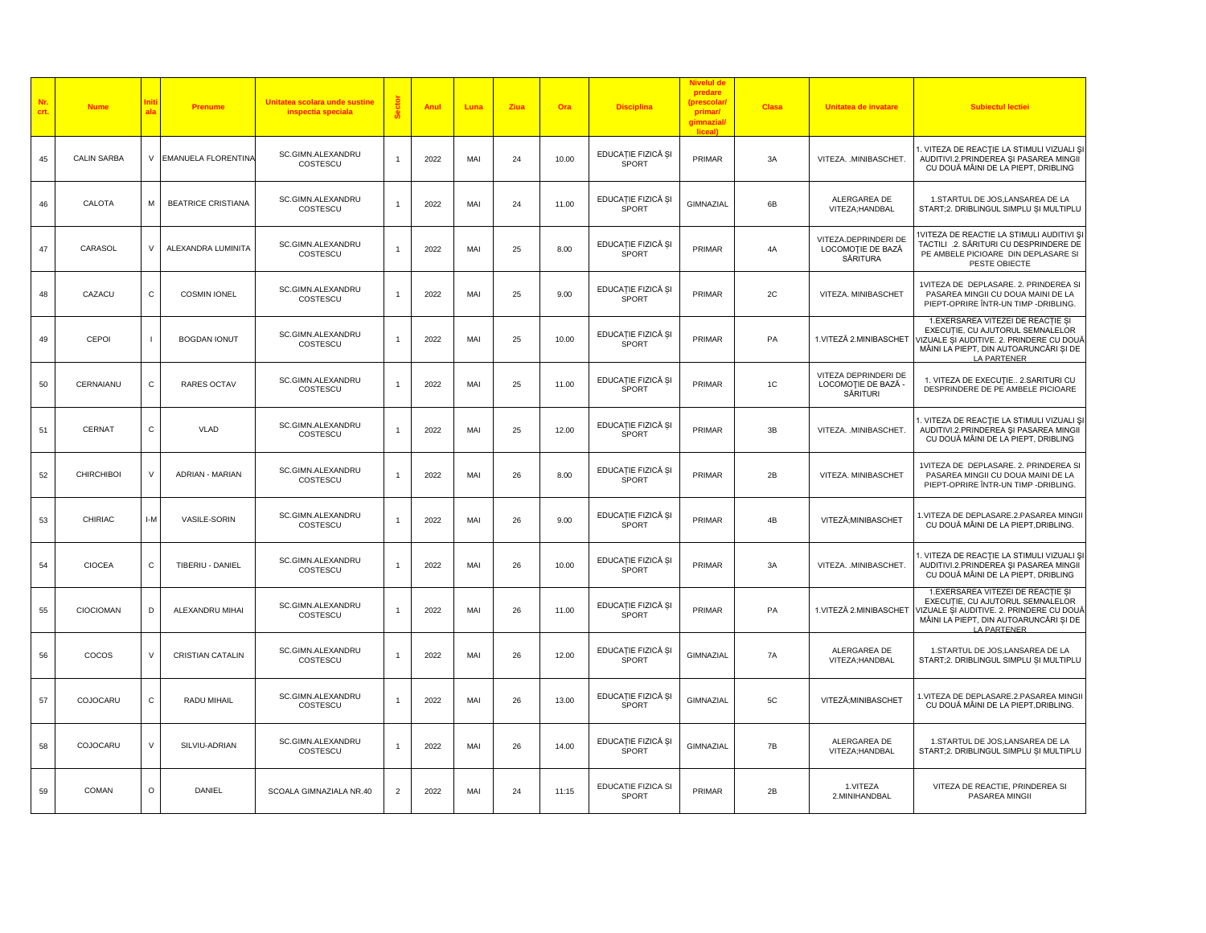| Nr.<br>crt. | <b>Nume</b>        | ni<br>ala      | <b>Prenume</b>             | Unitatea scolara unde sustine<br>inspectia speciala |                | Anul | Luna | Ziua | Ora   | <b>Disciplina</b>                  | <b>Nivelul de</b><br>predare<br>(prescolar<br>primar/<br>gimnazial<br>liceal) | <b>Clasa</b>  | Unitatea de invatare                                    | <b>Subiectul lectiei</b>                                                                                                                                                    |
|-------------|--------------------|----------------|----------------------------|-----------------------------------------------------|----------------|------|------|------|-------|------------------------------------|-------------------------------------------------------------------------------|---------------|---------------------------------------------------------|-----------------------------------------------------------------------------------------------------------------------------------------------------------------------------|
| 45          | <b>CALIN SARBA</b> | V              | <b>EMANUELA FLORENTINA</b> | SC.GIMN.ALEXANDRU<br>COSTESCU                       |                | 2022 | MAI  | 24   | 10.00 | EDUCAȚIE FIZICĂ ȘI<br>SPORT        | PRIMAR                                                                        | 3A            | VITEZA. .MINIBASCHET.                                   | 1. VITEZA DE REACȚIE LA STIMULI VIZUALI ȘI<br>AUDITIVI.2. PRINDEREA ȘI PASAREA MINGII<br>CU DOUĂ MÂINI DE LA PIEPT, DRIBLING                                                |
| 46          | CALOTA             | M              | <b>BEATRICE CRISTIANA</b>  | SC.GIMN.ALEXANDRU<br>COSTESCU                       |                | 2022 | MAI  | 24   | 11.00 | EDUCAȚIE FIZICĂ ȘI<br>SPORT        | GIMNAZIAL                                                                     | 6B            | ALERGAREA DE<br>VITEZA;HANDBAL                          | 1.STARTUL DE JOS,LANSAREA DE LA<br>START;2. DRIBLINGUL SIMPLU ȘI MULTIPLU                                                                                                   |
| 47          | CARASOL            | $\vee$         | ALEXANDRA LUMINITA         | SC.GIMN.ALEXANDRU<br>COSTESCU                       |                | 2022 | MAI  | 25   | 8.00  | EDUCAȚIE FIZICĂ ȘI<br>SPORT        | PRIMAR                                                                        | 4A            | VITEZA.DEPRINDERI DE<br>LOCOMOȚIE DE BAZĂ<br>SĂRITURA   | 1VITEZA DE REACTIE LA STIMULI AUDITIVI ȘI<br>TACTILI .2. SĂRITURI CU DESPRINDERE DE<br>PE AMBELE PICIOARE DIN DEPLASARE SI<br>PESTE OBIECTE                                 |
| 48          | CAZACU             | $\mathsf{C}$   | <b>COSMIN IONEL</b>        | SC.GIMN.ALEXANDRU<br>COSTESCU                       |                | 2022 | MAI  | 25   | 9.00  | EDUCAȚIE FIZICĂ ȘI<br>SPORT        | PRIMAR                                                                        | 2C            | VITEZA. MINIBASCHET                                     | 1VITEZA DE DEPLASARE. 2. PRINDEREA SI<br>PASAREA MINGII CU DOUA MAINI DE LA<br>PIEPT-OPRIRE ÎNTR-UN TIMP -DRIBLING.                                                         |
| 49          | <b>CEPOI</b>       | $\blacksquare$ | <b>BOGDAN IONUT</b>        | SC.GIMN.ALEXANDRU<br>COSTESCU                       |                | 2022 | MAI  | 25   | 10.00 | EDUCAȚIE FIZICĂ ȘI<br><b>SPORT</b> | PRIMAR                                                                        | PA            | 1.VITEZĂ 2.MINIBASCHET                                  | 1. EXERSAREA VITEZEI DE REACTIE SI<br>EXECUȚIE, CU AJUTORUL SEMNALELOR<br>VIZUALE SI AUDITIVE. 2. PRINDERE CU DOUĂ<br>MÂINI LA PIEPT, DIN AUTOARUNCĂRI ȘI DE<br>LA PARTENER |
| 50          | CERNAIANU          | С              | <b>RARES OCTAV</b>         | SC.GIMN.ALEXANDRU<br>COSTESCU                       |                | 2022 | MAI  | 25   | 11.00 | EDUCAȚIE FIZICĂ ȘI<br>SPORT        | PRIMAR                                                                        | $1\mathrm{C}$ | VITEZA DEPRINDERI DE<br>LOCOMOȚIE DE BAZĂ -<br>SĂRITURI | 1. VITEZA DE EXECUȚIE 2.SARITURI CU<br>DESPRINDERE DE PE AMBELE PICIOARE                                                                                                    |
| 51          | <b>CERNAT</b>      | $\mathsf{C}$   | <b>VLAD</b>                | SC.GIMN.ALEXANDRU<br>COSTESCU                       |                | 2022 | MAI  | 25   | 12.00 | EDUCAȚIE FIZICĂ ȘI<br>SPORT        | PRIMAR                                                                        | 3B            | VITEZA. . MINIBASCHET.                                  | . VITEZA DE REACȚIE LA STIMULI VIZUALI ȘI<br>AUDITIVI.2. PRINDEREA ȘI PASAREA MINGII<br>CU DOUĂ MÂINI DE LA PIEPT, DRIBLING                                                 |
| 52          | <b>CHIRCHIBOI</b>  | $\vee$         | ADRIAN - MARIAN            | SC.GIMN.ALEXANDRU<br>COSTESCU                       |                | 2022 | MAI  | 26   | 8.00  | EDUCAȚIE FIZICĂ ȘI<br>SPORT        | PRIMAR                                                                        | 2B            | VITEZA. MINIBASCHET                                     | 1VITEZA DE DEPLASARE. 2. PRINDEREA SI<br>PASAREA MINGII CU DOUA MAINI DE LA<br>PIEPT-OPRIRE ÎNTR-UN TIMP -DRIBLING.                                                         |
| 53          | CHIRIAC            | $I-M$          | VASILE-SORIN               | SC.GIMN.ALEXANDRU<br>COSTESCU                       |                | 2022 | MAI  | 26   | 9.00  | EDUCAȚIE FIZICĂ ȘI<br>SPORT        | PRIMAR                                                                        | 4B            | VITEZĂ; MINIBASCHET                                     | 1.VITEZA DE DEPLASARE.2.PASAREA MINGII<br>CU DOUĂ MÂINI DE LA PIEPT, DRIBLING.                                                                                              |
| 54          | <b>CIOCEA</b>      | $\mathsf{C}$   | TIBERIU - DANIEL           | SC.GIMN.ALEXANDRU<br>COSTESCU                       |                | 2022 | MAI  | 26   | 10.00 | EDUCAȚIE FIZICĂ ȘI<br>SPORT        | PRIMAR                                                                        | 3A            | VITEZA. . MINIBASCHET.                                  | 1. VITEZA DE REACȚIE LA STIMULI VIZUALI ȘI<br>AUDITIVI.2. PRINDEREA ȘI PASAREA MINGII<br>CU DOUĂ MÂINI DE LA PIEPT, DRIBLING                                                |
| 55          | CIOCIOMAN          | D              | ALEXANDRU MIHAI            | SC.GIMN.ALEXANDRU<br>COSTESCU                       |                | 2022 | MAI  | 26   | 11.00 | EDUCAȚIE FIZICĂ ȘI<br>SPORT        | PRIMAR                                                                        | PA            | 1.VITEZĂ 2.MINIBASCHET                                  | 1. EXERSAREA VITEZEI DE REACȚIE ȘI<br>EXECUTIE, CU AJUTORUL SEMNALELOR<br>VIZUALE ȘI AUDITIVE. 2. PRINDERE CU DOUĂ<br>MÂINI LA PIEPT, DIN AUTOARUNCĂRI ȘI DE<br>LA PARTENER |
| 56          | COCOS              | $\vee$         | <b>CRISTIAN CATALIN</b>    | SC.GIMN.ALEXANDRU<br>COSTESCU                       |                | 2022 | MAI  | 26   | 12.00 | EDUCAȚIE FIZICĂ ȘI<br>SPORT        | GIMNAZIAL                                                                     | 7A            | ALERGAREA DE<br>VITEZA;HANDBAL                          | 1.STARTUL DE JOS, LANSAREA DE LA<br>START;2. DRIBLINGUL SIMPLU ȘI MULTIPLU                                                                                                  |
| 57          | COJOCARU           | $\mathsf{C}$   | RADU MIHAIL                | SC.GIMN.ALEXANDRU<br>COSTESCU                       |                | 2022 | MAI  | 26   | 13.00 | EDUCAȚIE FIZICĂ ȘI<br>SPORT        | GIMNAZIAL                                                                     | 5C            | VITEZĂ; MINIBASCHET                                     | .VITEZA DE DEPLASARE.2.PASAREA MINGII<br>CU DOUĂ MÂINI DE LA PIEPT, DRIBLING.                                                                                               |
| 58          | COJOCARU           | $\vee$         | SILVIU-ADRIAN              | SC.GIMN.ALEXANDRU<br>COSTESCU                       |                | 2022 | MAI  | 26   | 14.00 | EDUCAȚIE FIZICĂ ȘI<br>SPORT        | <b>GIMNAZIAL</b>                                                              | 7B            | ALERGAREA DE<br>VITEZA;HANDBAL                          | 1.STARTUL DE JOS,LANSAREA DE LA<br>START;2. DRIBLINGUL SIMPLU ȘI MULTIPLU                                                                                                   |
| 59          | COMAN              | $\circ$        | <b>DANIEL</b>              | SCOALA GIMNAZIALA NR.40                             | $\overline{2}$ | 2022 | MAI  | 24   | 11:15 | EDUCATIE FIZICA SI<br>SPORT        | PRIMAR                                                                        | 2B            | 1.VITEZA<br>2.MINIHANDBAL                               | VITEZA DE REACTIE, PRINDEREA SI<br>PASAREA MINGII                                                                                                                           |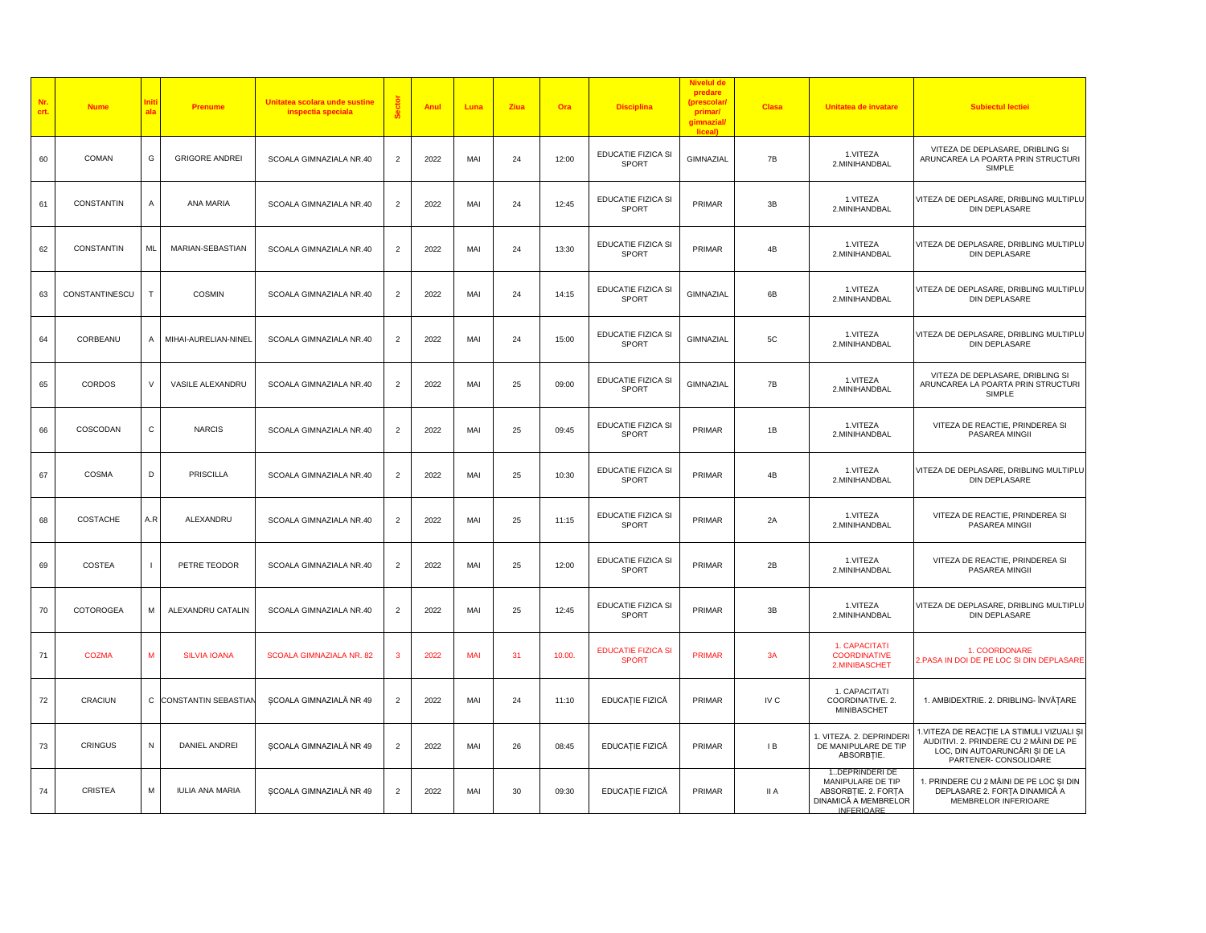| Nr.<br>crt. | <b>Nume</b>    | ni<br>al:      | Prenume                | Unitatea scolara unde sustine<br>inspectia speciala |                | Anul | Luna       | Ziua | Ora    | <b>Disciplina</b>                         | predare<br>(prescolar<br>primar/<br>gimnazial/<br>liceall | <b>Clasa</b> | Unitatea de invatare                                                                                    | <b>Subiectul lectiei</b>                                                                                                                       |
|-------------|----------------|----------------|------------------------|-----------------------------------------------------|----------------|------|------------|------|--------|-------------------------------------------|-----------------------------------------------------------|--------------|---------------------------------------------------------------------------------------------------------|------------------------------------------------------------------------------------------------------------------------------------------------|
| 60          | COMAN          | G              | <b>GRIGORE ANDREI</b>  | SCOALA GIMNAZIALA NR.40                             | 2              | 2022 | MAI        | 24   | 12:00  | EDUCATIE FIZICA SI<br>SPORT               | GIMNAZIAL                                                 | 7B           | 1.VITEZA<br>2.MINIHANDBAL                                                                               | VITEZA DE DEPLASARE, DRIBLING SI<br>ARUNCAREA LA POARTA PRIN STRUCTURI<br>SIMPLE                                                               |
| 61          | CONSTANTIN     | A              | ANA MARIA              | SCOALA GIMNAZIALA NR.40                             | $\overline{2}$ | 2022 | MAI        | 24   | 12:45  | EDUCATIE FIZICA SI<br><b>SPORT</b>        | PRIMAR                                                    | 3B           | 1.VITEZA<br>2.MINIHANDBAL                                                                               | VITEZA DE DEPLASARE, DRIBLING MULTIPLU<br>DIN DEPLASARE                                                                                        |
| 62          | CONSTANTIN     | <b>ML</b>      | MARIAN-SEBASTIAN       | SCOALA GIMNAZIALA NR.40                             | $\overline{2}$ | 2022 | MAI        | 24   | 13:30  | EDUCATIE FIZICA SI<br>SPORT               | PRIMAR                                                    | 4B           | 1.VITEZA<br>2.MINIHANDBAL                                                                               | VITEZA DE DEPLASARE, DRIBLING MULTIPLU<br>DIN DEPLASARE                                                                                        |
| 63          | CONSTANTINESCU | T              | <b>COSMIN</b>          | SCOALA GIMNAZIALA NR.40                             | $\overline{2}$ | 2022 | MAI        | 24   | 14:15  | EDUCATIE FIZICA SI<br>SPORT               | GIMNAZIAL                                                 | 6B           | 1.VITEZA<br>2.MINIHANDBAL                                                                               | VITEZA DE DEPLASARE, DRIBLING MULTIPLU<br><b>DIN DEPLASARE</b>                                                                                 |
| 64          | CORBEANU       | $\overline{A}$ | MIHAI-AURELIAN-NINEL   | SCOALA GIMNAZIALA NR.40                             | $\overline{2}$ | 2022 | MAI        | 24   | 15:00  | EDUCATIE FIZICA SI<br>SPORT               | GIMNAZIAL                                                 | 5C           | 1.VITEZA<br>2.MINIHANDBAL                                                                               | VITEZA DE DEPLASARE, DRIBLING MULTIPLU<br>DIN DEPLASARE                                                                                        |
| 65          | CORDOS         | V              | VASILE ALEXANDRU       | SCOALA GIMNAZIALA NR.40                             | $\overline{2}$ | 2022 | MAI        | 25   | 09:00  | EDUCATIE FIZICA SI<br>SPORT               | GIMNAZIAL                                                 | 7B           | 1.VITEZA<br>2.MINIHANDBAL                                                                               | VITEZA DE DEPLASARE, DRIBLING SI<br>ARUNCAREA LA POARTA PRIN STRUCTURI<br>SIMPLE                                                               |
| 66          | COSCODAN       | $\mathsf{C}$   | <b>NARCIS</b>          | SCOALA GIMNAZIALA NR.40                             | $\overline{2}$ | 2022 | MAI        | 25   | 09:45  | EDUCATIE FIZICA SI<br><b>SPORT</b>        | PRIMAR                                                    | 1B           | 1.VITEZA<br>2.MINIHANDBAL                                                                               | VITEZA DE REACTIE, PRINDEREA SI<br>PASAREA MINGII                                                                                              |
| 67          | <b>COSMA</b>   | D              | <b>PRISCILLA</b>       | SCOALA GIMNAZIALA NR.40                             | $\overline{2}$ | 2022 | MAI        | 25   | 10:30  | EDUCATIE FIZICA SI<br>SPORT               | PRIMAR                                                    | 4B           | 1.VITEZA<br>2.MINIHANDBAL                                                                               | VITEZA DE DEPLASARE, DRIBLING MULTIPLU<br>DIN DEPLASARE                                                                                        |
| 68          | COSTACHE       | A.R            | ALEXANDRU              | SCOALA GIMNAZIALA NR.40                             | $\overline{2}$ | 2022 | MAI        | 25   | 11:15  | EDUCATIE FIZICA SI<br><b>SPORT</b>        | PRIMAR                                                    | 2A           | 1.VITEZA<br>2.MINIHANDBAL                                                                               | VITEZA DE REACTIE, PRINDEREA SI<br>PASAREA MINGII                                                                                              |
| 69          | <b>COSTEA</b>  | $\blacksquare$ | PETRE TEODOR           | SCOALA GIMNAZIALA NR.40                             | $\overline{2}$ | 2022 | MAI        | 25   | 12:00  | EDUCATIE FIZICA SI<br>SPORT               | PRIMAR                                                    | 2B           | 1.VITEZA<br>2.MINIHANDBAL                                                                               | VITEZA DE REACTIE, PRINDEREA SI<br>PASAREA MINGII                                                                                              |
| 70          | COTOROGEA      | M              | ALEXANDRU CATALIN      | SCOALA GIMNAZIALA NR.40                             | $\overline{2}$ | 2022 | MAI        | 25   | 12:45  | EDUCATIE FIZICA SI<br>SPORT               | PRIMAR                                                    | 3B           | 1.VITEZA<br>2.MINIHANDBAL                                                                               | VITEZA DE DEPLASARE, DRIBLING MULTIPLU<br><b>DIN DEPLASARE</b>                                                                                 |
| 71          | <b>COZMA</b>   | M              | <b>SILVIA IOANA</b>    | SCOALA GIMNAZIALA NR. 82                            | з              | 2022 | <b>MAI</b> | 31   | 10.00. | <b>EDUCATIE FIZICA SI</b><br><b>SPORT</b> | <b>PRIMAR</b>                                             | 3A           | 1. CAPACITATI<br><b>COORDINATIVE</b><br>2.MINIBASCHET                                                   | 1. COORDONARE<br>2.PASA IN DOI DE PE LOC SI DIN DEPLASARE                                                                                      |
| 72          | CRACIUN        |                | C CONSTANTIN SEBASTIAN | ȘCOALA GIMNAZIALĂ NR 49                             | $\overline{2}$ | 2022 | MAI        | 24   | 11:10  | EDUCAȚIE FIZICĂ                           | PRIMAR                                                    | IV C         | 1. CAPACITATI<br>COORDINATIVE. 2.<br>MINIBASCHET                                                        | 1. AMBIDEXTRIE. 2. DRIBLING- ÎNVĂȚARE                                                                                                          |
| 73          | <b>CRINGUS</b> | N              | DANIEL ANDREI          | SCOALA GIMNAZIALĂ NR 49                             | $\overline{2}$ | 2022 | MAI        | 26   | 08:45  | EDUCAȚIE FIZICĂ                           | PRIMAR                                                    | IB           | 1. VITEZA. 2. DEPRINDERI<br>DE MANIPULARE DE TIP<br>ABSORBTIE.                                          | 1.VITEZA DE REACȚIE LA STIMULI VIZUALI ȘI<br>AUDITIVI, 2. PRINDERE CU 2 MÂINI DE PE<br>LOC, DIN AUTOARUNCĂRI SI DE LA<br>PARTENER- CONSOLIDARE |
| 74          | CRISTEA        | M              | <b>IULIA ANA MARIA</b> | SCOALA GIMNAZIALĂ NR 49                             | $\overline{2}$ | 2022 | MAI        | 30   | 09:30  | EDUCAȚIE FIZICĂ                           | PRIMAR                                                    | II A         | 1DEPRINDERI DE<br>MANIPULARE DE TIP<br>ABSORBȚIE. 2. FORȚA<br>DINAMICĂ A MEMBRELOR<br><b>INFERIOARE</b> | 1. PRINDERE CU 2 MÂINI DE PE LOC ȘI DIN<br>DEPLASARE 2. FORȚA DINAMICĂ A<br>MEMBRELOR INFERIOARE                                               |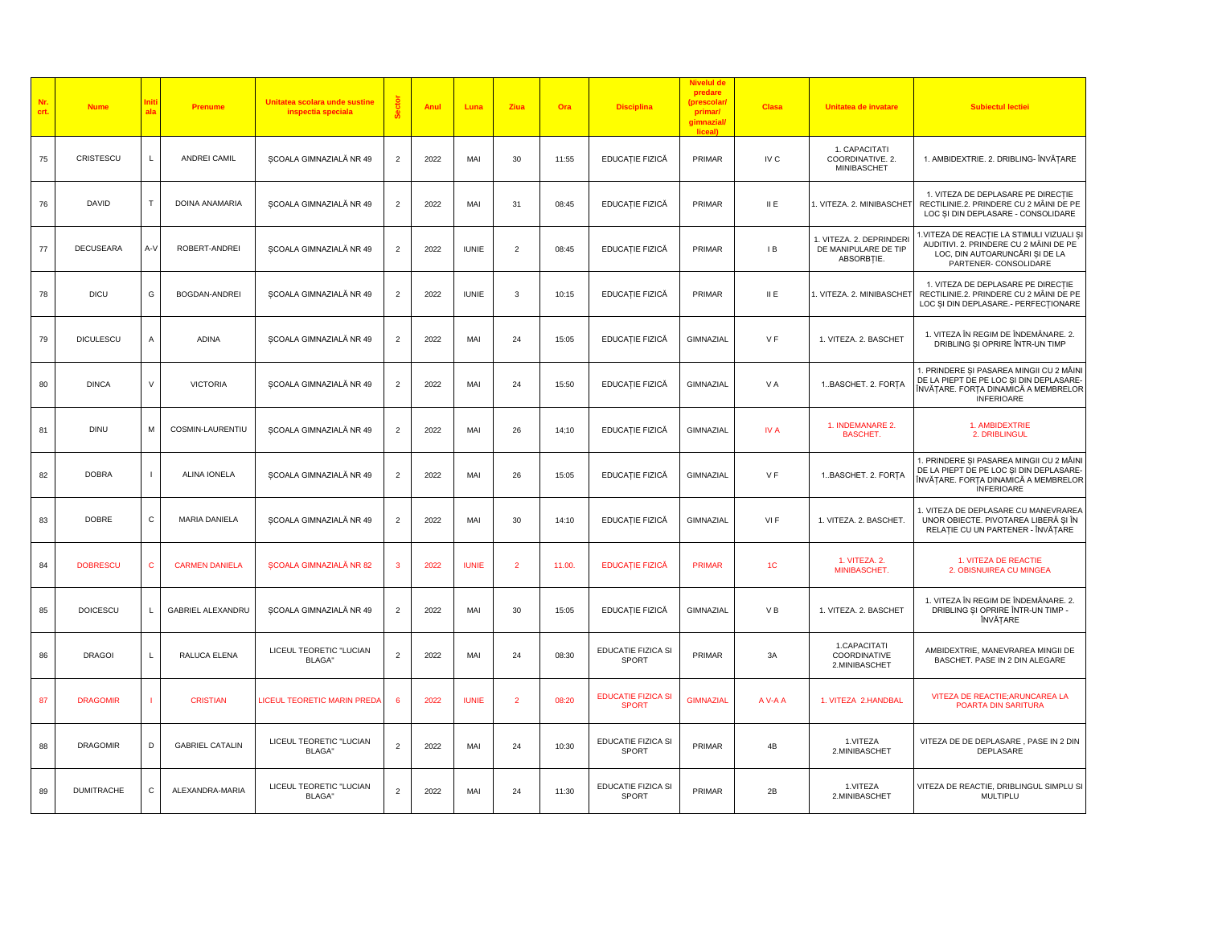| Nr.<br>crt. | <b>Nume</b>       | al:            | Prenume                | Unitatea scolara unde sustine<br>inspectia speciala |                | Anul | Luna         | Ziua           | Ora    | <b>Disciplina</b>                         | Nivelul d<br>predare<br>(prescolar<br>primar/<br>gimnazial/<br>liceal) | <b>Clasa</b>   | Unitatea de invatare                                           | <b>Subiectul lectiei</b>                                                                                                                         |
|-------------|-------------------|----------------|------------------------|-----------------------------------------------------|----------------|------|--------------|----------------|--------|-------------------------------------------|------------------------------------------------------------------------|----------------|----------------------------------------------------------------|--------------------------------------------------------------------------------------------------------------------------------------------------|
| 75          | CRISTESCU         | L.             | ANDREI CAMIL           | SCOALA GIMNAZIALĂ NR 49                             | $\overline{2}$ | 2022 | MAI          | 30             | 11:55  | EDUCAȚIE FIZICĂ                           | PRIMAR                                                                 | IV C           | 1. CAPACITATI<br>COORDINATIVE. 2.<br>MINIBASCHET               | 1. AMBIDEXTRIE. 2. DRIBLING- ÎNVĂȚARE                                                                                                            |
| 76          | DAVID             | Т              | DOINA ANAMARIA         | SCOALA GIMNAZIALĂ NR 49                             |                | 2022 | MAI          | 31             | 08:45  | EDUCAȚIE FIZICĂ                           | PRIMAR                                                                 | II E           | . VITEZA. 2. MINIBASCHET                                       | 1. VITEZA DE DEPLASARE PE DIRECȚIE<br>RECTILINIE.2. PRINDERE CU 2 MÂINI DE PE<br>LOC ȘI DIN DEPLASARE - CONSOLIDARE                              |
| $77\,$      | <b>DECUSEARA</b>  | A-V            | ROBERT-ANDREI          | ȘCOALA GIMNAZIALĂ NR 49                             | $\overline{2}$ | 2022 | <b>IUNIE</b> | $\overline{c}$ | 08:45  | EDUCAȚIE FIZICĂ                           | PRIMAR                                                                 | IB             | 1. VITEZA. 2. DEPRINDERI<br>DE MANIPULARE DE TIP<br>ABSORBȚIE. | 1.VITEZA DE REACȚIE LA STIMULI VIZUALI ȘI<br>AUDITIVI. 2. PRINDERE CU 2 MÂINI DE PE<br>LOC, DIN AUTOARUNCĂRI SI DE LA<br>PARTENER- CONSOLIDARE   |
| 78          | <b>DICU</b>       | G              | <b>BOGDAN-ANDREI</b>   | SCOALA GIMNAZIALĂ NR 49                             | $\overline{2}$ | 2022 | <b>IUNIE</b> | $\mathbf{3}$   | 10:15  | EDUCAȚIE FIZICĂ                           | PRIMAR                                                                 | II E           | . VITEZA. 2. MINIBASCHET                                       | 1. VITEZA DE DEPLASARE PE DIRECȚIE<br>RECTILINIE.2. PRINDERE CU 2 MÂINI DE PE<br>LOC ȘI DIN DEPLASARE.- PERFECȚIONARE                            |
| 79          | DICULESCU         | $\overline{A}$ | <b>ADINA</b>           | SCOALA GIMNAZIALĂ NR 49                             | $\overline{2}$ | 2022 | MAI          | 24             | 15:05  | EDUCAȚIE FIZICĂ                           | GIMNAZIAL                                                              | V F            | 1. VITEZA. 2. BASCHET                                          | 1. VITEZA ÎN REGIM DE ÎNDEMÂNARE. 2.<br>DRIBLING SI OPRIRE ÎNTR-UN TIMP                                                                          |
| 80          | <b>DINCA</b>      | $\vee$         | <b>VICTORIA</b>        | ȘCOALA GIMNAZIALĂ NR 49                             | $\overline{2}$ | 2022 | MAI          | 24             | 15:50  | EDUCAȚIE FIZICĂ                           | GIMNAZIAL                                                              | VA             | 1BASCHET. 2. FORȚA                                             | 1. PRINDERE ȘI PASAREA MINGII CU 2 MÂINI<br>DE LA PIEPT DE PE LOC ȘI DIN DEPLASARE-<br>ÎNVĂȚARE. FORȚA DINAMICĂ A MEMBRELOR<br><b>INFERIOARE</b> |
| 81          | <b>DINU</b>       | M              | COSMIN-LAURENTIU       | SCOALA GIMNAZIALĂ NR 49                             | $\overline{2}$ | 2022 | MAI          | 26             | 14:10  | EDUCAȚIE FIZICĂ                           | GIMNAZIAL                                                              | IV A           | 1. INDEMANARE 2.<br><b>BASCHET.</b>                            | 1. AMBIDEXTRIE<br>2. DRIBLINGUL                                                                                                                  |
| 82          | <b>DOBRA</b>      | - 1            | ALINA IONELA           | SCOALA GIMNAZIALĂ NR 49                             | $\overline{2}$ | 2022 | MAI          | 26             | 15:05  | EDUCAȚIE FIZICĂ                           | GIMNAZIAL                                                              | VF             | 1. BASCHET. 2. FORȚA                                           | 1. PRINDERE ȘI PASAREA MINGII CU 2 MÂINI<br>DE LA PIEPT DE PE LOC ȘI DIN DEPLASARE-<br>ÎNVĂTARE. FORTA DINAMICĂ A MEMBRELOR<br><b>INFERIOARE</b> |
| 83          | <b>DOBRE</b>      | $\mathsf{C}$   | MARIA DANIELA          | SCOALA GIMNAZIALĂ NR 49                             | 2              | 2022 | MAI          | 30             | 14:10  | EDUCAȚIE FIZICĂ                           | GIMNAZIAL                                                              | VI F           | 1. VITEZA. 2. BASCHET.                                         | 1. VITEZA DE DEPLASARE CU MANEVRAREA<br>UNOR OBIECTE. PIVOTAREA LIBERĂ SI ÎN<br>RELAȚIE CU UN PARTENER - ÎNVĂȚARE                                |
| 84          | <b>DOBRESCU</b>   | $\mathbf{C}$   | <b>CARMEN DANIELA</b>  | <b>SCOALA GIMNAZIALĂ NR 82</b>                      | 3              | 2022 | <b>IUNIE</b> | $\overline{2}$ | 11.00. | <b>EDUCAȚIE FIZICĂ</b>                    | <b>PRIMAR</b>                                                          | 1 <sup>C</sup> | 1. VITEZA. 2.<br>MINIBASCHET.                                  | 1. VITEZA DE REACTIE<br>2. OBISNUIREA CU MINGEA                                                                                                  |
| 85          | <b>DOICESCU</b>   | L.             | GABRIEL ALEXANDRU      | SCOALA GIMNAZIALĂ NR 49                             | $\overline{2}$ | 2022 | MAI          | 30             | 15:05  | EDUCAȚIE FIZICĂ                           | GIMNAZIAL                                                              | VB             | 1. VITEZA. 2. BASCHET                                          | 1. VITEZA ÎN REGIM DE ÎNDEMÂNARE. 2.<br>DRIBLING SI OPRIRE ÎNTR-UN TIMP -<br>ÎNVĂȚARE                                                            |
| 86          | <b>DRAGOI</b>     | $\mathbf{L}$   | RALUCA ELENA           | LICEUL TEORETIC "LUCIAN<br><b>BLAGA</b> "           | $\overline{2}$ | 2022 | MAI          | 24             | 08:30  | EDUCATIE FIZICA SI<br><b>SPORT</b>        | PRIMAR                                                                 | 3A             | 1.CAPACITATI<br>COORDINATIVE<br>2.MINIBASCHET                  | AMBIDEXTRIE, MANEVRAREA MINGII DE<br>BASCHET. PASE IN 2 DIN ALEGARE                                                                              |
| 87          | <b>DRAGOMIR</b>   | - 1            | <b>CRISTIAN</b>        | LICEUL TEORETIC MARIN PREDA                         | 6              | 2022 | <b>IUNIE</b> | $\overline{2}$ | 08:20  | <b>EDUCATIE FIZICA SI</b><br><b>SPORT</b> | <b>GIMNAZIAL</b>                                                       | A V-A A        | 1. VITEZA 2.HANDBAL                                            | VITEZA DE REACTIE; ARUNCAREA LA<br>POARTA DIN SARITURA                                                                                           |
| 88          | <b>DRAGOMIR</b>   | D              | <b>GABRIEL CATALIN</b> | LICEUL TEORETIC "LUCIAN<br><b>BLAGA</b> "           | $\overline{2}$ | 2022 | MAI          | 24             | 10:30  | EDUCATIE FIZICA SI<br><b>SPORT</b>        | PRIMAR                                                                 | 4B             | 1.VITEZA<br>2.MINIBASCHET                                      | VITEZA DE DE DEPLASARE, PASE IN 2 DIN<br>DEPLASARE                                                                                               |
| 89          | <b>DUMITRACHE</b> | C              | ALEXANDRA-MARIA        | LICEUL TEORETIC "LUCIAN<br><b>BLAGA</b> "           | $\overline{2}$ | 2022 | MAI          | 24             | 11:30  | EDUCATIE FIZICA SI<br><b>SPORT</b>        | PRIMAR                                                                 | 2B             | 1.VITEZA<br>2.MINIBASCHET                                      | VITEZA DE REACTIE, DRIBLINGUL SIMPLU SI<br>MULTIPLU                                                                                              |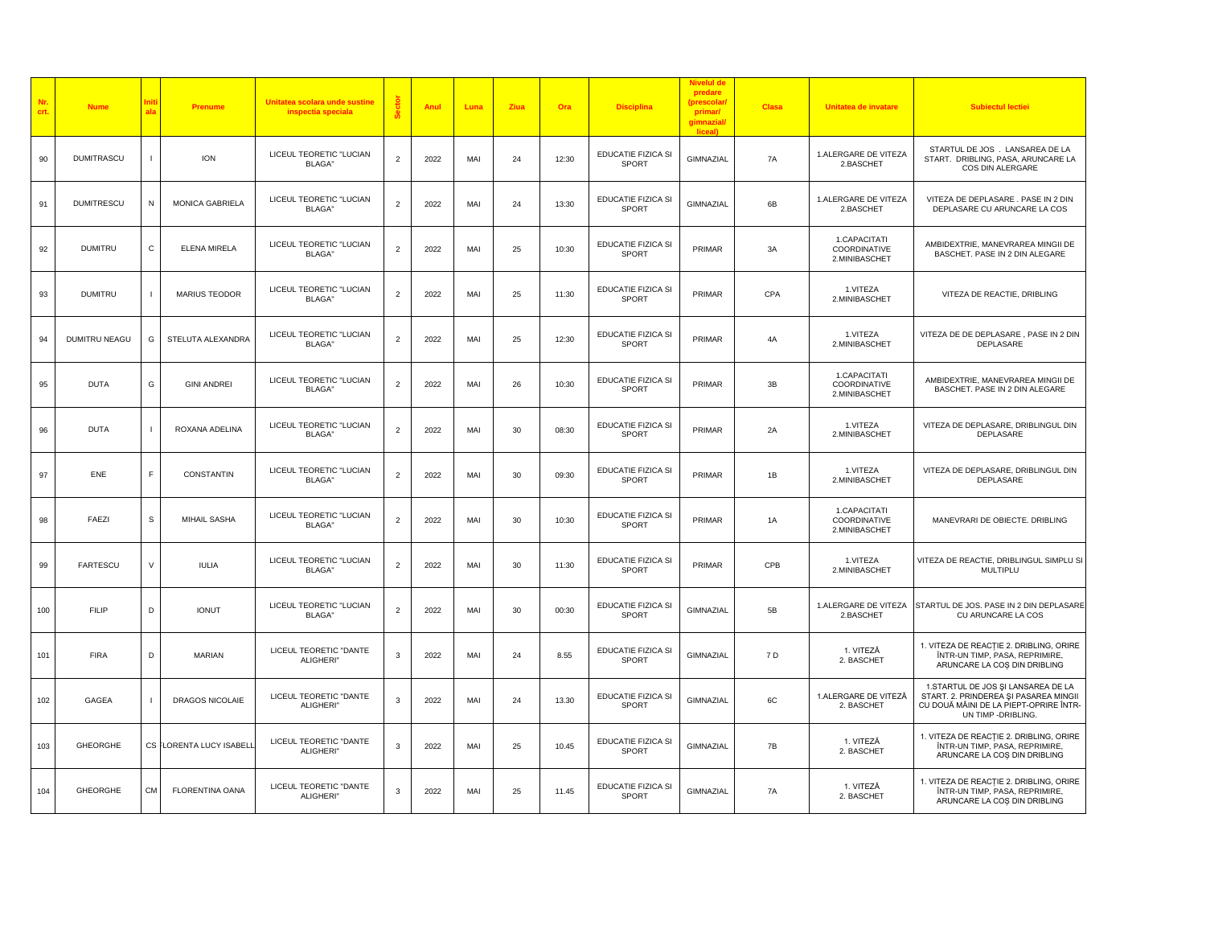| Nr.<br>crt. | <b>Nume</b>       | ala            | Prenume                  | Unitatea scolara unde sustine<br>inspectia speciala |                | Anul | Luna | Ziua            | Ora   | <b>Disciplina</b>                  | <b>Nivelul de</b><br>predare<br>(prescolar<br>primar/<br>gimnazial<br>liceal) | <b>Clasa</b> | Unitatea de invatare                          | <b>Subiectul lectiei</b>                                                                                                                     |
|-------------|-------------------|----------------|--------------------------|-----------------------------------------------------|----------------|------|------|-----------------|-------|------------------------------------|-------------------------------------------------------------------------------|--------------|-----------------------------------------------|----------------------------------------------------------------------------------------------------------------------------------------------|
| 90          | <b>DUMITRASCU</b> | $\mathbf{I}$   | <b>ION</b>               | LICEUL TEORETIC "LUCIAN<br>BLAGA"                   | $\overline{2}$ | 2022 | MAI  | 24              | 12:30 | EDUCATIE FIZICA SI<br>SPORT        | GIMNAZIAL                                                                     | 7A           | 1.ALERGARE DE VITEZA<br>2.BASCHET             | STARTUL DE JOS . LANSAREA DE LA<br>START. DRIBLING, PASA, ARUNCARE LA<br>COS DIN ALERGARE                                                    |
| 91          | <b>DUMITRESCU</b> | N              | MONICA GABRIELA          | LICEUL TEORETIC "LUCIAN<br><b>BLAGA</b> "           | $\overline{2}$ | 2022 | MAI  | 24              | 13:30 | EDUCATIE FIZICA SI<br>SPORT        | GIMNAZIAL                                                                     | 6B           | 1.ALERGARE DE VITEZA<br>2.BASCHET             | VITEZA DE DEPLASARE. PASE IN 2 DIN<br>DEPLASARE CU ARUNCARE LA COS                                                                           |
| 92          | <b>DUMITRU</b>    | C              | <b>ELENA MIRELA</b>      | LICEUL TEORETIC "LUCIAN<br><b>BLAGA</b> "           | $\overline{2}$ | 2022 | MAI  | 25              | 10:30 | EDUCATIE FIZICA SI<br>SPORT        | PRIMAR                                                                        | 3A           | 1.CAPACITATI<br>COORDINATIVE<br>2.MINIBASCHET | AMBIDEXTRIE, MANEVRAREA MINGII DE<br>BASCHET. PASE IN 2 DIN ALEGARE                                                                          |
| 93          | <b>DUMITRU</b>    | $\overline{1}$ | <b>MARIUS TEODOR</b>     | LICEUL TEORETIC "LUCIAN<br><b>BLAGA</b> "           | $\overline{2}$ | 2022 | MAI  | 25              | 11:30 | EDUCATIE FIZICA SI<br>SPORT        | PRIMAR                                                                        | CPA          | 1.VITEZA<br>2.MINIBASCHET                     | VITEZA DE REACTIE, DRIBLING                                                                                                                  |
| 94          | DUMITRU NEAGU     | G              | STELUTA ALEXANDRA        | LICEUL TEORETIC "LUCIAN<br><b>BLAGA"</b>            | $\overline{2}$ | 2022 | MAI  | 25              | 12:30 | EDUCATIE FIZICA SI<br>SPORT        | PRIMAR                                                                        | 4A           | 1.VITEZA<br>2.MINIBASCHET                     | VITEZA DE DE DEPLASARE, PASE IN 2 DIN<br>DEPLASARE                                                                                           |
| 95          | <b>DUTA</b>       | G              | <b>GINI ANDREI</b>       | LICEUL TEORETIC "LUCIAN<br><b>BLAGA</b> "           | $\overline{2}$ | 2022 | MAI  | 26              | 10:30 | EDUCATIE FIZICA SI<br><b>SPORT</b> | PRIMAR                                                                        | 3B           | 1.CAPACITATI<br>COORDINATIVE<br>2.MINIBASCHET | AMBIDEXTRIE, MANEVRAREA MINGII DE<br>BASCHET. PASE IN 2 DIN ALEGARE                                                                          |
| 96          | <b>DUTA</b>       | $\mathbf{I}$   | ROXANA ADELINA           | LICEUL TEORETIC "LUCIAN<br><b>BLAGA</b> "           | $\overline{2}$ | 2022 | MAI  | 30              | 08:30 | EDUCATIE FIZICA SI<br>SPORT        | PRIMAR                                                                        | 2A           | 1.VITEZA<br>2.MINIBASCHET                     | VITEZA DE DEPLASARE, DRIBLINGUL DIN<br>DEPLASARE                                                                                             |
| 97          | ENE               | F.             | <b>CONSTANTIN</b>        | LICEUL TEORETIC "LUCIAN<br><b>BLAGA</b> "           | $\overline{2}$ | 2022 | MAI  | 30              | 09:30 | EDUCATIE FIZICA SI<br><b>SPORT</b> | PRIMAR                                                                        | 1B           | 1.VITEZA<br>2.MINIBASCHET                     | VITEZA DE DEPLASARE, DRIBLINGUL DIN<br>DEPLASARE                                                                                             |
| 98          | FAEZI             | s              | MIHAIL SASHA             | LICEUL TEORETIC "LUCIAN<br><b>BLAGA</b> "           | $\overline{2}$ | 2022 | MAI  | 30 <sup>°</sup> | 10:30 | EDUCATIE FIZICA SI<br>SPORT        | PRIMAR                                                                        | 1A           | 1.CAPACITATI<br>COORDINATIVE<br>2.MINIBASCHET | MANEVRARI DE OBIECTE. DRIBLING                                                                                                               |
| 99          | <b>FARTESCU</b>   | V              | <b>IULIA</b>             | LICEUL TEORETIC "LUCIAN<br>BLAGA"                   | $\overline{2}$ | 2022 | MAI  | 30              | 11:30 | EDUCATIE FIZICA SI<br><b>SPORT</b> | PRIMAR                                                                        | CPB          | 1.VITEZA<br>2.MINIBASCHET                     | VITEZA DE REACTIE, DRIBLINGUL SIMPLU SI<br>MULTIPLU                                                                                          |
| 100         | <b>FILIP</b>      | D              | <b>IONUT</b>             | LICEUL TEORETIC "LUCIAN<br><b>BLAGA</b> "           | $\overline{2}$ | 2022 | MAI  | 30              | 00:30 | EDUCATIE FIZICA SI<br>SPORT        | GIMNAZIAL                                                                     | 5B           | 1.ALERGARE DE VITEZA<br>2.BASCHET             | STARTUL DE JOS. PASE IN 2 DIN DEPLASARE<br>CU ARUNCARE LA COS                                                                                |
| 101         | <b>FIRA</b>       | D              | <b>MARIAN</b>            | LICEUL TEORETIC "DANTE<br>ALIGHERI"                 | 3              | 2022 | MAI  | 24              | 8.55  | EDUCATIE FIZICA SI<br>SPORT        | GIMNAZIAL                                                                     | 7 D          | 1. VITEZĂ<br>2. BASCHET                       | 1. VITEZA DE REACȚIE 2. DRIBLING, ORIRE<br>ÎNTR-UN TIMP, PASA, REPRIMIRE,<br>ARUNCARE LA COȘ DIN DRIBLING                                    |
| 102         | GAGEA             | $\mathbf{I}$   | DRAGOS NICOLAIE          | LICEUL TEORETIC "DANTE<br>ALIGHERI"                 | 3              | 2022 | MAI  | 24              | 13.30 | EDUCATIE FIZICA SI<br>SPORT        | GIMNAZIAL                                                                     | 6C           | 1.ALERGARE DE VITEZĂ<br>2. BASCHET            | 1.STARTUL DE JOS ȘI LANSAREA DE LA<br>START. 2. PRINDEREA ȘI PASAREA MINGII<br>CU DOUĂ MÂINI DE LA PIEPT-OPRIRE ÎNTR-<br>UN TIMP - DRIBLING. |
| 103         | <b>GHEORGHE</b>   |                | CS FLORENTA LUCY ISABELL | LICEUL TEORETIC "DANTE<br>ALIGHERI"                 | 3              | 2022 | MAI  | 25              | 10.45 | EDUCATIE FIZICA SI<br>SPORT        | GIMNAZIAL                                                                     | 7B           | 1. VITEZĂ<br>2. BASCHET                       | 1. VITEZA DE REACTIE 2. DRIBLING, ORIRE<br>ÎNTR-UN TIMP, PASA, REPRIMIRE.<br>ARUNCARE LA COS DIN DRIBLING                                    |
| 104         | <b>GHEORGHE</b>   | <b>CM</b>      | <b>FLORENTINA OANA</b>   | LICEUL TEORETIC "DANTE<br>ALIGHERI"                 | 3              | 2022 | MAI  | 25              | 11.45 | EDUCATIE FIZICA SI<br>SPORT        | GIMNAZIAL                                                                     | 7A           | 1. VITEZĂ<br>2. BASCHET                       | 1. VITEZA DE REACȚIE 2. DRIBLING, ORIRE<br>ÎNTR-UN TIMP, PASA, REPRIMIRE,<br>ARUNCARE LA COS DIN DRIBLING                                    |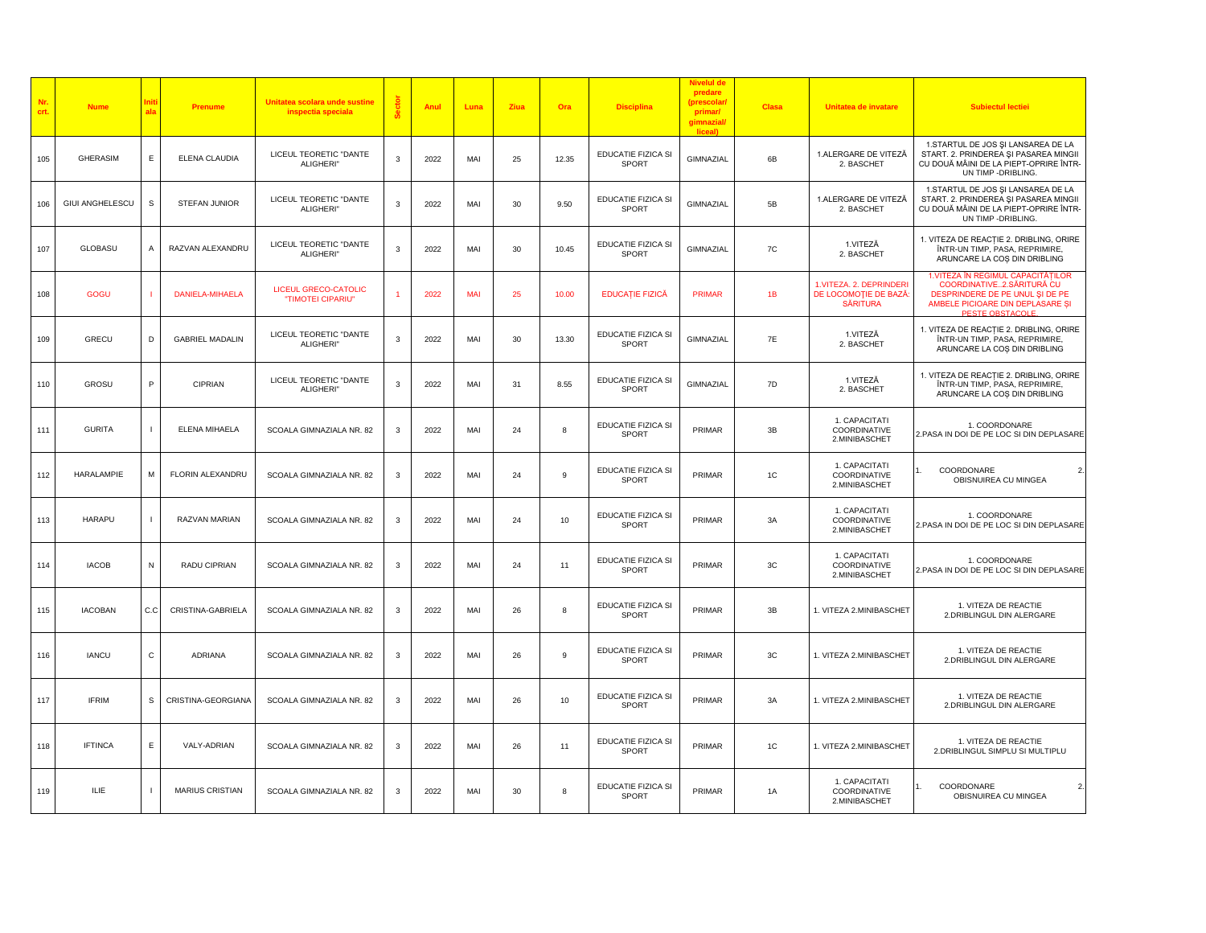| Nr.<br>crt. | <b>Nume</b>            |                | Prenume                 | Unitatea scolara unde sustine<br>inspectia speciala |   | Anul | Luna       | Ziua | Ora   | <b>Disciplina</b>                  | <b>Nivelul de</b><br>predare<br>(prescolar<br>primar/<br>gimnazial<br>liceal) | <b>Clasa</b> | Unitatea de invatare                                                | <b>Subiectul lectiei</b>                                                                                                                                   |
|-------------|------------------------|----------------|-------------------------|-----------------------------------------------------|---|------|------------|------|-------|------------------------------------|-------------------------------------------------------------------------------|--------------|---------------------------------------------------------------------|------------------------------------------------------------------------------------------------------------------------------------------------------------|
| 105         | <b>GHERASIM</b>        | Ε              | ELENA CLAUDIA           | LICEUL TEORETIC "DANTE<br>ALIGHERI"                 | 3 | 2022 | MAI        | 25   | 12.35 | EDUCATIE FIZICA SI<br>SPORT        | GIMNAZIAL                                                                     | 6B           | 1.ALERGARE DE VITEZĂ<br>2. BASCHET                                  | 1.STARTUL DE JOS ȘI LANSAREA DE LA<br>START. 2. PRINDEREA ȘI PASAREA MINGII<br>CU DOUĂ MÂINI DE LA PIEPT-OPRIRE ÎNTR-<br>UN TIMP - DRIBLING.               |
| 106         | <b>GIUI ANGHELESCU</b> | s              | STEFAN JUNIOR           | LICEUL TEORETIC "DANTE<br>ALIGHERI"                 | 3 | 2022 | MAI        | 30   | 9.50  | EDUCATIE FIZICA SI<br><b>SPORT</b> | GIMNAZIAL                                                                     | 5B           | 1.ALERGARE DE VITEZĂ<br>2. BASCHET                                  | 1.STARTUL DE JOS ȘI LANSAREA DE LA<br>START. 2. PRINDEREA ȘI PASAREA MINGII<br>CU DOUĂ MÂINI DE LA PIEPT-OPRIRE ÎNTR-<br>UN TIMP - DRIBLING.               |
| 107         | <b>GLOBASU</b>         | $\overline{A}$ | RAZVAN ALEXANDRU        | LICEUL TEORETIC "DANTE<br>ALIGHERI"                 | 3 | 2022 | MAI        | 30   | 10.45 | EDUCATIE FIZICA SI<br>SPORT        | GIMNAZIAL                                                                     | 7C           | 1.VITEZĂ<br>2. BASCHET                                              | 1. VITEZA DE REACTIE 2. DRIBLING, ORIRE<br>ÎNTR-UN TIMP, PASA, REPRIMIRE,<br>ARUNCARE LA COS DIN DRIBLING                                                  |
| 108         | GOGU                   |                | <b>DANIELA-MIHAELA</b>  | <b>LICEUL GRECO-CATOLIC</b><br>"TIMOTEI CIPARIU"    |   | 2022 | <b>MAI</b> | 25   | 10.00 | <b>EDUCAȚIE FIZICĂ</b>             | <b>PRIMAR</b>                                                                 | 1B           | 1.VITEZA. 2. DEPRINDERI<br>DE LOCOMOȚIE DE BAZĂ:<br><b>SĂRITURA</b> | 1. VITEZA IN REGIMUL CAPACITATILOR<br>COORDINATIVE2.SĂRITURĂ CU<br>DESPRINDERE DE PE UNUL ȘI DE PE<br>AMBELE PICIOARE DIN DEPLASARE ȘI<br>PESTE OBSTACOLE. |
| 109         | GRECU                  | D              | <b>GABRIEL MADALIN</b>  | LICEUL TEORETIC "DANTE<br>ALIGHERI"                 | 3 | 2022 | MAI        | 30   | 13.30 | EDUCATIE FIZICA SI<br><b>SPORT</b> | GIMNAZIAL                                                                     | 7E           | 1.VITEZĂ<br>2. BASCHET                                              | 1. VITEZA DE REACTIE 2. DRIBLING, ORIRE<br>ÎNTR-UN TIMP, PASA, REPRIMIRE,<br>ARUNCARE LA COS DIN DRIBLING                                                  |
| 110         | <b>GROSU</b>           | P              | CIPRIAN                 | LICEUL TEORETIC "DANTE<br>ALIGHERI"                 | 3 | 2022 | MAI        | 31   | 8.55  | <b>EDUCATIE FIZICA SI</b><br>SPORT | GIMNAZIAL                                                                     | 7D           | 1.VITEZĂ<br>2. BASCHET                                              | 1. VITEZA DE REACȚIE 2. DRIBLING, ORIRE<br>ÎNTR-UN TIMP, PASA, REPRIMIRE,<br>ARUNCARE LA COS DIN DRIBLING                                                  |
| 111         | <b>GURITA</b>          |                | ELENA MIHAELA           | SCOALA GIMNAZIALA NR. 82                            | 3 | 2022 | MAI        | 24   | 8     | EDUCATIE FIZICA SI<br>SPORT        | PRIMAR                                                                        | 3B           | 1. CAPACITATI<br>COORDINATIVE<br>2.MINIBASCHET                      | 1. COORDONARE<br>2.PASA IN DOI DE PE LOC SI DIN DEPLASARE                                                                                                  |
| 112         | <b>HARALAMPIE</b>      | M              | <b>FLORIN ALEXANDRU</b> | SCOALA GIMNAZIALA NR. 82                            | 3 | 2022 | MAI        | 24   | 9     | EDUCATIE FIZICA SI<br>SPORT        | PRIMAR                                                                        | 1C           | 1. CAPACITATI<br>COORDINATIVE<br>2.MINIBASCHET                      | 2.<br>COORDONARE<br>OBISNUIREA CU MINGEA                                                                                                                   |
| 113         | HARAPU                 |                | RAZVAN MARIAN           | SCOALA GIMNAZIALA NR. 82                            | 3 | 2022 | MAI        | 24   | 10    | EDUCATIE FIZICA SI<br>SPORT        | PRIMAR                                                                        | 3A           | 1. CAPACITATI<br>COORDINATIVE<br>2.MINIBASCHET                      | 1. COORDONARE<br>2.PASA IN DOI DE PE LOC SI DIN DEPLASARE                                                                                                  |
| 114         | <b>IACOB</b>           | N              | RADU CIPRIAN            | SCOALA GIMNAZIALA NR. 82                            | 3 | 2022 | MAI        | 24   | 11    | EDUCATIE FIZICA SI<br><b>SPORT</b> | PRIMAR                                                                        | 3C           | 1. CAPACITATI<br>COORDINATIVE<br>2.MINIBASCHET                      | 1. COORDONARE<br>2.PASA IN DOI DE PE LOC SI DIN DEPLASARE                                                                                                  |
| 115         | <b>IACOBAN</b>         | C.C            | CRISTINA-GABRIELA       | SCOALA GIMNAZIALA NR. 82                            | 3 | 2022 | MAI        | 26   | 8     | EDUCATIE FIZICA SI<br>SPORT        | PRIMAR                                                                        | 3B           | 1. VITEZA 2.MINIBASCHET                                             | 1. VITEZA DE REACTIE<br>2.DRIBLINGUL DIN ALERGARE                                                                                                          |
| 116         | <b>IANCU</b>           | C              | ADRIANA                 | SCOALA GIMNAZIALA NR. 82                            | 3 | 2022 | MAI        | 26   | 9     | EDUCATIE FIZICA SI<br><b>SPORT</b> | PRIMAR                                                                        | 3C           | 1. VITEZA 2.MINIBASCHET                                             | 1. VITEZA DE REACTIE<br>2.DRIBLINGUL DIN ALERGARE                                                                                                          |
| 117         | <b>IFRIM</b>           | S              | CRISTINA-GEORGIANA      | SCOALA GIMNAZIALA NR. 82                            | 3 | 2022 | MAI        | 26   | 10    | EDUCATIE FIZICA SI<br>SPORT        | PRIMAR                                                                        | 3A           | 1. VITEZA 2.MINIBASCHET                                             | 1. VITEZA DE REACTIE<br>2.DRIBLINGUL DIN ALERGARE                                                                                                          |
| 118         | <b>IFTINCA</b>         | Ε              | VALY-ADRIAN             | SCOALA GIMNAZIALA NR. 82                            | 3 | 2022 | MAI        | 26   | 11    | EDUCATIE FIZICA SI<br>SPORT        | PRIMAR                                                                        | 1C           | 1. VITEZA 2.MINIBASCHET                                             | 1. VITEZA DE REACTIE<br>2.DRIBLINGUL SIMPLU SI MULTIPLU                                                                                                    |
| 119         | ILIE                   |                | <b>MARIUS CRISTIAN</b>  | SCOALA GIMNAZIALA NR. 82                            | 3 | 2022 | MAI        | 30   | 8     | EDUCATIE FIZICA SI<br><b>SPORT</b> | PRIMAR                                                                        | <b>1A</b>    | 1. CAPACITATI<br>COORDINATIVE<br>2.MINIBASCHET                      | 2.<br>COORDONARE<br>OBISNUIREA CU MINGEA                                                                                                                   |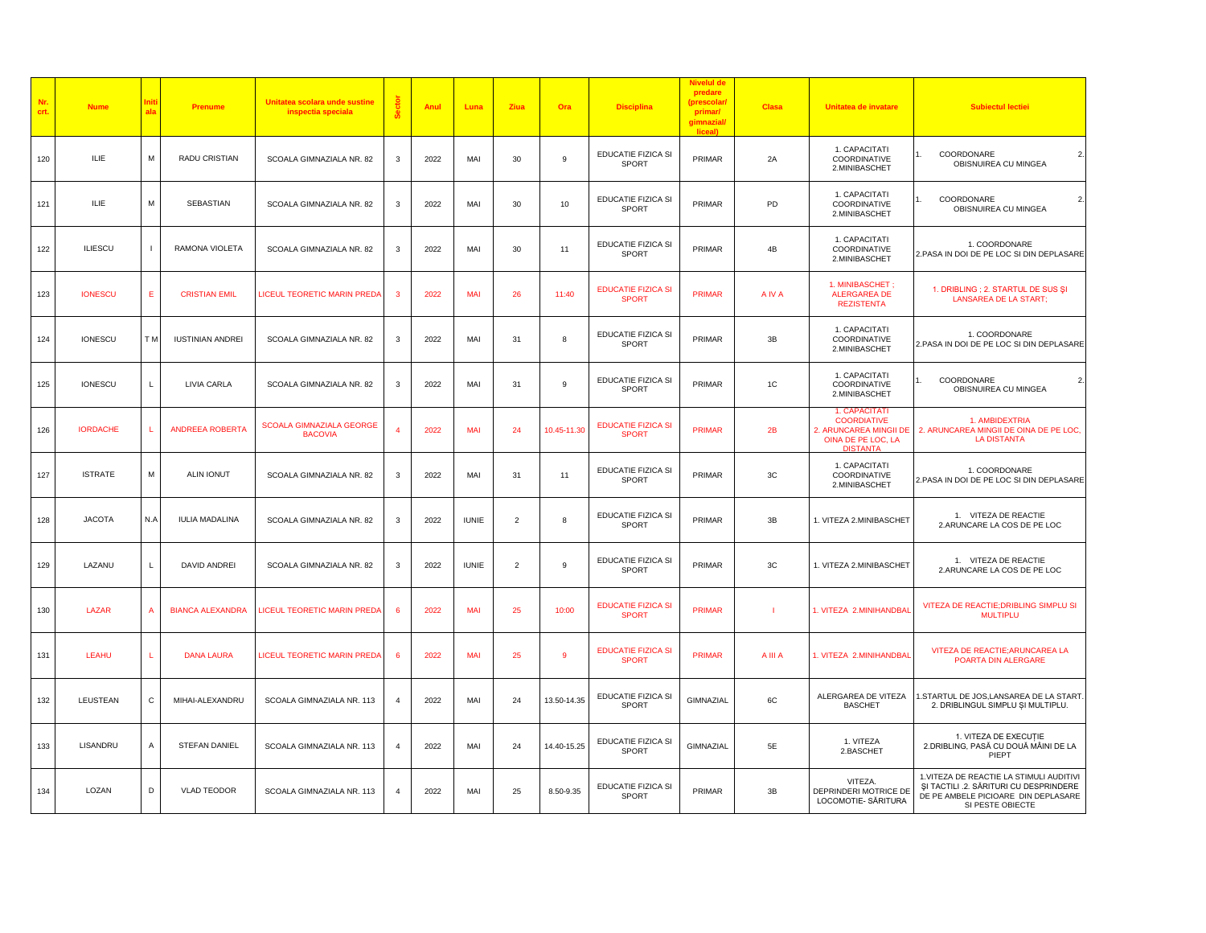| Nr.<br>crt. | <b>Nume</b>     |                | Prenume                 | Unitatea scolara unde sustine<br>inspectia speciala |                       | Anul | Luna         | Ziua           | Ora          | <b>Disciplina</b>                         | <b>Nivelul de</b><br>predare<br>(prescolar<br>primar/<br>gimnazial<br>liceal) | <b>Clasa</b> | Unitatea de invatare                                                                                   | <b>Subiectul lectiei</b>                                                                                                                      |
|-------------|-----------------|----------------|-------------------------|-----------------------------------------------------|-----------------------|------|--------------|----------------|--------------|-------------------------------------------|-------------------------------------------------------------------------------|--------------|--------------------------------------------------------------------------------------------------------|-----------------------------------------------------------------------------------------------------------------------------------------------|
| 120         | ILIE            | M              | RADU CRISTIAN           | SCOALA GIMNAZIALA NR. 82                            | 3                     | 2022 | MAI          | 30             | 9            | EDUCATIE FIZICA SI<br><b>SPORT</b>        | PRIMAR                                                                        | 2A           | 1. CAPACITATI<br>COORDINATIVE<br>2.MINIBASCHET                                                         | COORDONARE<br>$\overline{2}$<br>OBISNUIREA CU MINGEA                                                                                          |
| 121         | ILIE            | M              | SEBASTIAN               | SCOALA GIMNAZIALA NR. 82                            | 3                     | 2022 | MAI          | 30             | 10           | EDUCATIE FIZICA SI<br><b>SPORT</b>        | PRIMAR                                                                        | PD           | 1. CAPACITATI<br>COORDINATIVE<br>2.MINIBASCHET                                                         | $\overline{2}$<br>COORDONARE<br>OBISNUIREA CU MINGEA                                                                                          |
| 122         | <b>ILIESCU</b>  | $\mathbf{I}$   | RAMONA VIOLETA          | SCOALA GIMNAZIALA NR. 82                            | 3                     | 2022 | MAI          | 30             | 11           | EDUCATIE FIZICA SI<br><b>SPORT</b>        | PRIMAR                                                                        | 4B           | 1. CAPACITATI<br>COORDINATIVE<br>2.MINIBASCHET                                                         | 1. COORDONARE<br>2.PASA IN DOI DE PE LOC SI DIN DEPLASARE                                                                                     |
| 123         | <b>IONESCU</b>  | Е              | <b>CRISTIAN EMIL</b>    | LICEUL TEORETIC MARIN PREDA                         | -3                    | 2022 | <b>MAI</b>   | 26             | 11:40        | <b>EDUCATIE FIZICA SI</b><br><b>SPORT</b> | PRIMAR                                                                        | A IV A       | 1. MINIBASCHET;<br><b>ALERGAREA DE</b><br><b>REZISTENTA</b>                                            | 1. DRIBLING ; 2. STARTUL DE SUS ȘI<br><b>LANSAREA DE LA START;</b>                                                                            |
| 124         | <b>IONESCU</b>  | T <sub>M</sub> | <b>IUSTINIAN ANDREI</b> | SCOALA GIMNAZIALA NR. 82                            | 3                     | 2022 | MAI          | 31             | 8            | EDUCATIE FIZICA SI<br>SPORT               | PRIMAR                                                                        | 3B           | 1. CAPACITATI<br>COORDINATIVE<br>2.MINIBASCHET                                                         | 1. COORDONARE<br>2.PASA IN DOI DE PE LOC SI DIN DEPLASARE                                                                                     |
| 125         | <b>IONESCU</b>  |                | LIVIA CARLA             | SCOALA GIMNAZIALA NR. 82                            | 3                     | 2022 | MAI          | 31             | 9            | EDUCATIE FIZICA SI<br>SPORT               | PRIMAR                                                                        | 1C           | 1. CAPACITATI<br>COORDINATIVE<br>2.MINIBASCHET                                                         | COORDONARE<br>2.<br>OBISNUIREA CU MINGEA                                                                                                      |
| 126         | <b>IORDACHE</b> |                | <b>ANDREEA ROBERTA</b>  | <b>SCOALA GIMNAZIALA GEORGE</b><br><b>BACOVIA</b>   |                       | 2022 | MAI          | 24             | 10.45-11.30  | <b>EDUCATIE FIZICA SI</b><br><b>SPORT</b> | <b>PRIMAR</b>                                                                 | 2B           | 1. CAPACITATI<br><b>COORDIATIVE</b><br>2. ARUNCAREA MINGII DE<br>OINA DE PE LOC, LA<br><b>DISTANTA</b> | 1. AMBIDEXTRIA<br>2. ARUNCAREA MINGII DE OINA DE PE LOC,<br><b>LA DISTANTA</b>                                                                |
| 127         | <b>ISTRATE</b>  | M              | <b>ALIN IONUT</b>       | SCOALA GIMNAZIALA NR. 82                            | 3                     | 2022 | MAI          | 31             | 11           | EDUCATIE FIZICA SI<br><b>SPORT</b>        | PRIMAR                                                                        | 3C           | 1. CAPACITATI<br>COORDINATIVE<br>2.MINIBASCHET                                                         | 1. COORDONARE<br>2.PASA IN DOI DE PE LOC SI DIN DEPLASARE                                                                                     |
| 128         | <b>JACOTA</b>   | N.A            | <b>IULIA MADALINA</b>   | SCOALA GIMNAZIALA NR. 82                            | 3                     | 2022 | <b>IUNIE</b> | $\overline{2}$ | 8            | EDUCATIE FIZICA SI<br><b>SPORT</b>        | PRIMAR                                                                        | 3B           | 1. VITEZA 2.MINIBASCHET                                                                                | 1. VITEZA DE REACTIE<br>2.ARUNCARE LA COS DE PE LOC                                                                                           |
| 129         | LAZANU          | $\mathbf{L}$   | DAVID ANDREI            | SCOALA GIMNAZIALA NR. 82                            | 3                     | 2022 | <b>IUNIE</b> | $\overline{2}$ | 9            | EDUCATIE FIZICA SI<br>SPORT               | PRIMAR                                                                        | 3C           | 1. VITEZA 2.MINIBASCHET                                                                                | 1. VITEZA DE REACTIE<br>2.ARUNCARE LA COS DE PE LOC                                                                                           |
| 130         | LAZAR           | $\overline{A}$ | <b>BIANCA ALEXANDRA</b> | <b>LICEUL TEORETIC MARIN PREDA</b>                  | -6                    | 2022 | MAI          | 25             | 10:00        | <b>EDUCATIE FIZICA SI</b><br><b>SPORT</b> | <b>PRIMAR</b>                                                                 | т            | 1. VITEZA 2.MINIHANDBAI                                                                                | VITEZA DE REACTIE; DRIBLING SIMPLU SI<br><b>MULTIPLU</b>                                                                                      |
| 131         | <b>LEAHU</b>    |                | <b>DANA LAURA</b>       | LICEUL TEORETIC MARIN PREDA                         |                       | 2022 | MAI          | 25             | $\mathbf{Q}$ | <b>EDUCATIE FIZICA SI</b><br><b>SPORT</b> | <b>PRIMAR</b>                                                                 | A III A      | 1. VITEZA 2. MINIHANDBAL                                                                               | VITEZA DE REACTIE; ARUNCAREA LA<br>POARTA DIN ALERGARE                                                                                        |
| 132         | LEUSTEAN        | $\mathtt{C}$   | MIHAI-ALEXANDRU         | SCOALA GIMNAZIALA NR. 113                           | $\overline{4}$        | 2022 | MAI          | 24             | 13.50-14.35  | EDUCATIE FIZICA SI<br>SPORT               | GIMNAZIAL                                                                     | 6C           | ALERGAREA DE VITEZA<br><b>BASCHET</b>                                                                  | 1.STARTUL DE JOS,LANSAREA DE LA START.<br>2. DRIBLINGUL SIMPLU ȘI MULTIPLU.                                                                   |
| 133         | LISANDRU        | $\overline{A}$ | STEFAN DANIEL           | SCOALA GIMNAZIALA NR. 113                           | $\boldsymbol{\Delta}$ | 2022 | MAI          | 24             | 14.40-15.25  | EDUCATIE FIZICA SI<br><b>SPORT</b>        | GIMNAZIAL                                                                     | 5E           | 1. VITEZA<br>2.BASCHET                                                                                 | 1. VITEZA DE EXECUTIE<br>2.DRIBLING, PASĂ CU DOUĂ MÂINI DE LA<br>PIEPT                                                                        |
| 134         | LOZAN           | D              | <b>VLAD TEODOR</b>      | SCOALA GIMNAZIALA NR. 113                           | $\overline{4}$        | 2022 | MAI          | 25             | 8.50-9.35    | EDUCATIE FIZICA SI<br>SPORT               | PRIMAR                                                                        | 3B           | VITEZA.<br>DEPRINDERI MOTRICE DE<br>LOCOMOTIE- SĂRITURA                                                | 1. VITEZA DE REACTIE LA STIMULI AUDITIVI<br>ȘI TACTILI .2. SĂRITURI CU DESPRINDERE<br>DE PE AMBELE PICIOARE DIN DEPLASARE<br>SI PESTE OBIECTE |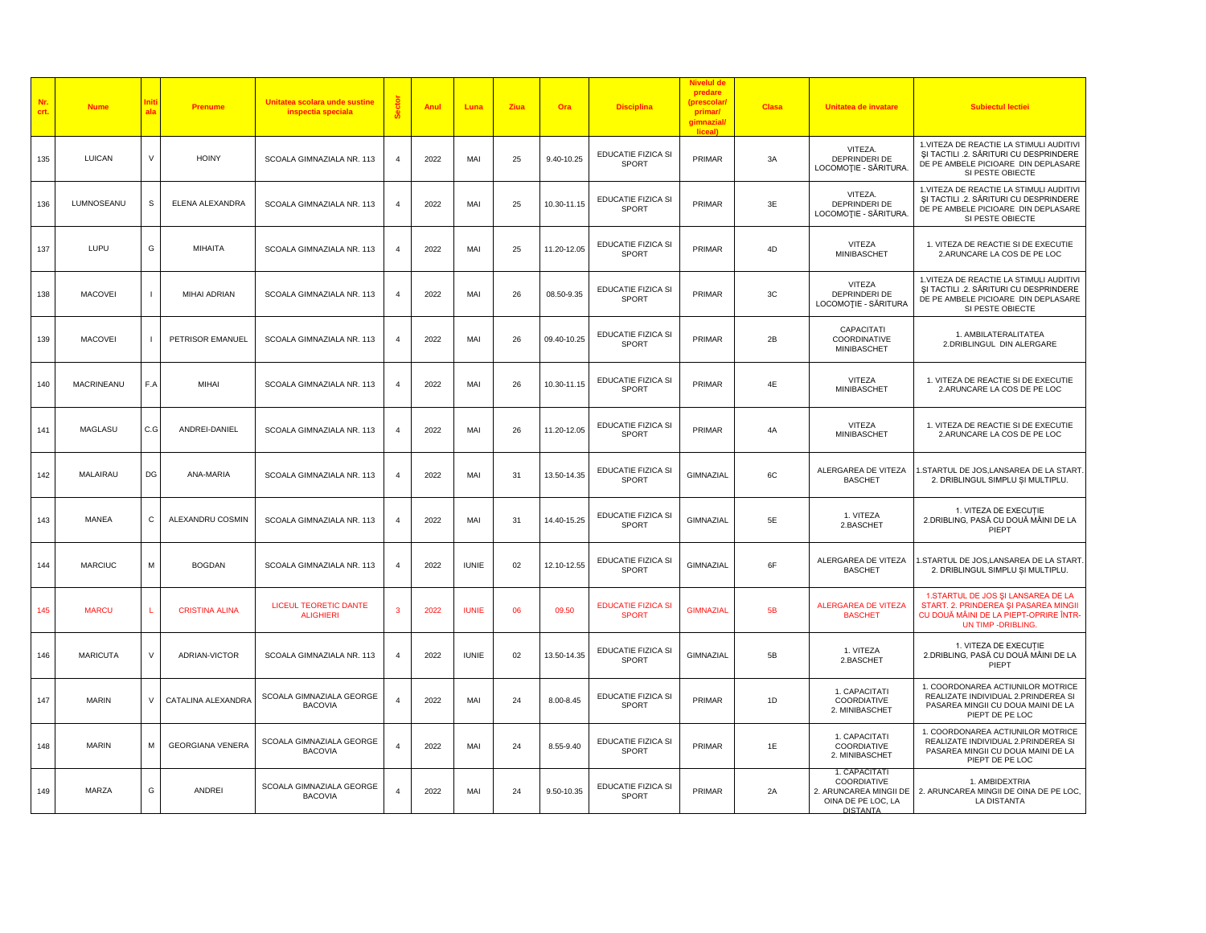| Nr.<br>crt. | <b>Nume</b>       |        | Prenume                 | Unitatea scolara unde sustine<br>inspectia speciala |                | Anul | Luna         | Ziua | Ora         | <b>Disciplina</b>                         | Nivelul de<br>predare<br>(prescolar,<br>primar/<br>gimnazial/<br>liceall | <b>Clasa</b> | Unitatea de invatare                                                                            | <b>Subiectul lectiei</b>                                                                                                                      |
|-------------|-------------------|--------|-------------------------|-----------------------------------------------------|----------------|------|--------------|------|-------------|-------------------------------------------|--------------------------------------------------------------------------|--------------|-------------------------------------------------------------------------------------------------|-----------------------------------------------------------------------------------------------------------------------------------------------|
| 135         | <b>LUICAN</b>     | V      | <b>HOINY</b>            | SCOALA GIMNAZIALA NR. 113                           | $\overline{4}$ | 2022 | MAI          | 25   | 9.40-10.25  | EDUCATIE FIZICA SI<br>SPORT               | PRIMAR                                                                   | 3A           | VITEZA.<br>DEPRINDERI DE<br>LOCOMOȚIE - SĂRITURA.                                               | 1. VITEZA DE REACTIE LA STIMULI AUDITIVI<br>ȘI TACTILI .2. SĂRITURI CU DESPRINDERE<br>DE PE AMBELE PICIOARE DIN DEPLASARE<br>SI PESTE OBIECTE |
| 136         | LUMNOSEANU        | s      | ELENA ALEXANDRA         | SCOALA GIMNAZIALA NR. 113                           |                | 2022 | MAI          | 25   | 10.30-11.15 | EDUCATIE FIZICA SI<br>SPORT               | PRIMAR                                                                   | 3E           | VITEZA.<br>DEPRINDERI DE<br>LOCOMOȚIE - SĂRITURA.                                               | 1. VITEZA DE REACTIE LA STIMULI AUDITIVI<br>ȘI TACTILI .2. SĂRITURI CU DESPRINDERE<br>DE PE AMBELE PICIOARE DIN DEPLASARE<br>SI PESTE OBIECTE |
| 137         | LUPU              | G      | MIHAITA                 | SCOALA GIMNAZIALA NR. 113                           | $\overline{4}$ | 2022 | MAI          | 25   | 11.20-12.05 | EDUCATIE FIZICA SI<br>SPORT               | PRIMAR                                                                   | 4D           | VITEZA<br>MINIBASCHET                                                                           | 1. VITEZA DE REACTIE SI DE EXECUTIE<br>2.ARUNCARE LA COS DE PE LOC                                                                            |
| 138         | <b>MACOVEI</b>    |        | MIHAI ADRIAN            | SCOALA GIMNAZIALA NR. 113                           | $\overline{4}$ | 2022 | MAI          | 26   | 08.50-9.35  | EDUCATIE FIZICA SI<br><b>SPORT</b>        | PRIMAR                                                                   | 3C           | VITEZA<br>DEPRINDERI DE<br>LOCOMOȚIE - SĂRITURA                                                 | 1. VITEZA DE REACTIE LA STIMULI AUDITIVI<br>SI TACTILI .2. SĂRITURI CU DESPRINDERE<br>DE PE AMBELE PICIOARE DIN DEPLASARE<br>SI PESTE OBIECTE |
| 139         | <b>MACOVEI</b>    |        | PETRISOR EMANUEL        | SCOALA GIMNAZIALA NR. 113                           |                | 2022 | MAI          | 26   | 09.40-10.25 | EDUCATIE FIZICA SI<br>SPORT               | PRIMAR                                                                   | 2B           | CAPACITATI<br>COORDINATIVE<br>MINIBASCHET                                                       | 1. AMBILATERALITATEA<br>2.DRIBLINGUL DIN ALERGARE                                                                                             |
| 140         | <b>MACRINEANU</b> | F.A    | MIHAI                   | SCOALA GIMNAZIALA NR. 113                           | $\overline{4}$ | 2022 | MAI          | 26   | 10.30-11.15 | EDUCATIE FIZICA SI<br><b>SPORT</b>        | PRIMAR                                                                   | 4E           | VITEZA<br>MINIBASCHET                                                                           | 1. VITEZA DE REACTIE SI DE EXECUTIE<br>2.ARUNCARE LA COS DE PE LOC                                                                            |
| 141         | <b>MAGLASU</b>    | C.G    | ANDREI-DANIEL           | SCOALA GIMNAZIALA NR. 113                           |                | 2022 | MAI          | 26   | 11.20-12.05 | EDUCATIE FIZICA SI<br>SPORT               | PRIMAR                                                                   | 4A           | VITEZA<br>MINIBASCHET                                                                           | 1. VITEZA DE REACTIE SI DE EXECUTIE<br>2.ARUNCARE LA COS DE PE LOC                                                                            |
| 142         | MALAIRAU          | DG     | ANA-MARIA               | SCOALA GIMNAZIALA NR. 113                           | $\overline{4}$ | 2022 | MAI          | 31   | 13.50-14.35 | <b>EDUCATIE FIZICA SI</b><br>SPORT        | GIMNAZIAL                                                                | 6C           | ALERGAREA DE VITEZA<br><b>BASCHET</b>                                                           | 1.STARTUL DE JOS,LANSAREA DE LA START.<br>2. DRIBLINGUL SIMPLU ȘI MULTIPLU.                                                                   |
| 143         | MANEA             | C      | ALEXANDRU COSMIN        | SCOALA GIMNAZIALA NR. 113                           | $\overline{4}$ | 2022 | MAI          | 31   | 14.40-15.25 | EDUCATIE FIZICA SI<br><b>SPORT</b>        | GIMNAZIAL                                                                | 5E           | 1. VITEZA<br>2.BASCHET                                                                          | 1. VITEZA DE EXECUTIE<br>2.DRIBLING, PASĂ CU DOUĂ MÂINI DE LA<br>PIEPT                                                                        |
| 144         | <b>MARCIUC</b>    | M      | <b>BOGDAN</b>           | SCOALA GIMNAZIALA NR. 113                           | 4              | 2022 | <b>IUNIE</b> | 02   | 12.10-12.55 | EDUCATIE FIZICA SI<br>SPORT               | GIMNAZIAL                                                                | 6F           | ALERGAREA DE VITEZA<br><b>BASCHET</b>                                                           | I.STARTUL DE JOS,LANSAREA DE LA START.<br>2. DRIBLINGUL SIMPLU ȘI MULTIPLU.                                                                   |
| 145         | <b>MARCU</b>      |        | <b>CRISTINA ALINA</b>   | LICEUL TEORETIC DANTE<br><b>ALIGHIERI</b>           | з              | 2022 | <b>IUNIE</b> | 06   | 09.50       | <b>EDUCATIE FIZICA SI</b><br><b>SPORT</b> | <b>GIMNAZIAL</b>                                                         | 5B           | <b>ALERGAREA DE VITEZA</b><br><b>BASCHET</b>                                                    | 1.STARTUL DE JOS ȘI LANSAREA DE LA<br>START. 2. PRINDEREA ȘI PASAREA MINGII<br>CU DOUĂ MÂINI DE LA PIEPT-OPRIRE ÎNTR-<br>UN TIMP - DRIBLING.  |
| 146         | <b>MARICUTA</b>   | $\vee$ | ADRIAN-VICTOR           | SCOALA GIMNAZIALA NR. 113                           |                | 2022 | <b>IUNIE</b> | 02   | 13.50-14.35 | EDUCATIE FIZICA SI<br>SPORT               | GIMNAZIAL                                                                | 5B           | 1. VITEZA<br>2.BASCHET                                                                          | 1. VITEZA DE EXECUȚIE<br>2.DRIBLING, PASĂ CU DOUĂ MÂINI DE LA<br>PIEPT                                                                        |
| 147         | <b>MARIN</b>      | $\vee$ | CATALINA ALEXANDRA      | SCOALA GIMNAZIALA GEORGE<br><b>BACOVIA</b>          | $\overline{4}$ | 2022 | MAI          | 24   | 8.00-8.45   | EDUCATIE FIZICA SI<br>SPORT               | PRIMAR                                                                   | 1D           | 1. CAPACITATI<br>COORDIATIVE<br>2. MINIBASCHET                                                  | 1. COORDONAREA ACTIUNILOR MOTRICE<br>REALIZATE INDIVIDUAL 2.PRINDEREA SI<br>PASAREA MINGII CU DOUA MAINI DE LA<br>PIEPT DE PE LOC             |
| 148         | <b>MARIN</b>      | M      | <b>GEORGIANA VENERA</b> | SCOALA GIMNAZIALA GEORGE<br><b>BACOVIA</b>          | $\Delta$       | 2022 | MAI          | 24   | 8.55-9.40   | <b>EDUCATIE FIZICA SI</b><br>SPORT        | PRIMAR                                                                   | 1E           | 1. CAPACITATI<br>COORDIATIVE<br>2. MINIBASCHET                                                  | 1. COORDONAREA ACTIUNILOR MOTRICE<br>REALIZATE INDIVIDUAL 2.PRINDEREA SI<br>PASAREA MINGII CU DOUA MAINI DE LA<br>PIEPT DE PE LOC             |
| 149         | MARZA             | G      | <b>ANDREI</b>           | SCOALA GIMNAZIALA GEORGE<br><b>BACOVIA</b>          | 4              | 2022 | MAI          | 24   | 9.50-10.35  | EDUCATIE FIZICA SI<br>SPORT               | PRIMAR                                                                   | 2A           | 1. CAPACITATI<br>COORDIATIVE<br>2. ARUNCAREA MINGII DE<br>OINA DE PE LOC, LA<br><b>DISTANTA</b> | 1. AMBIDEXTRIA<br>2. ARUNCAREA MINGII DE OINA DE PE LOC,<br>LA DISTANTA                                                                       |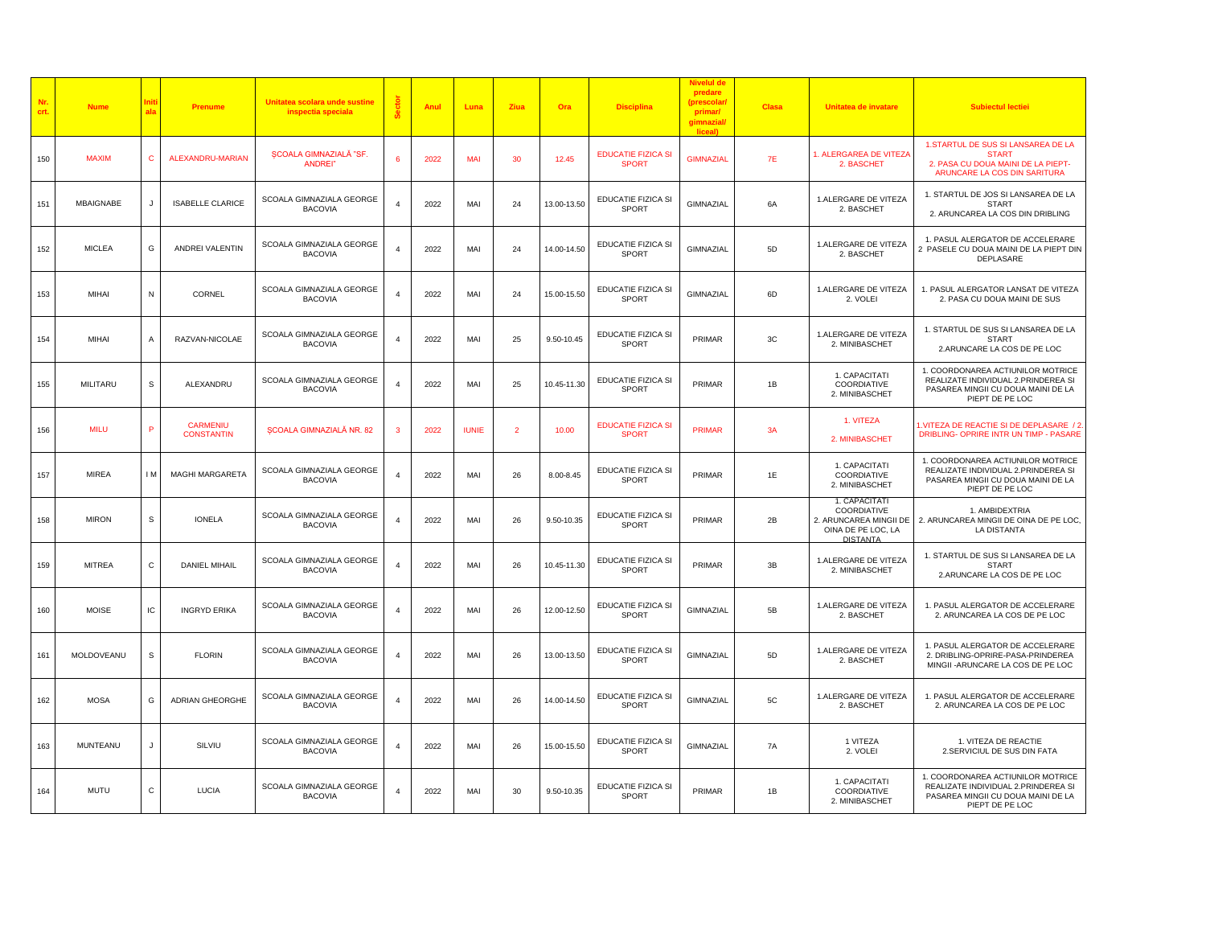| Nr.<br>crt. | <b>Nume</b>     | Init<br>ala    | <b>Prenume</b>                       | Unitatea scolara unde sustine<br>inspectia speciala | å              | Anul | Luna         | Ziua           | Ora         | <b>Disciplina</b>                         | predare<br>(prescolar)<br>primar/<br>gimnazial/<br>liceal) | <b>Clasa</b> | Unitatea de invatare                                                                            | <b>Subiectul lectiei</b>                                                                                                          |
|-------------|-----------------|----------------|--------------------------------------|-----------------------------------------------------|----------------|------|--------------|----------------|-------------|-------------------------------------------|------------------------------------------------------------|--------------|-------------------------------------------------------------------------------------------------|-----------------------------------------------------------------------------------------------------------------------------------|
| 150         | <b>MAXIM</b>    | $\mathbf{C}$   | <b>ALEXANDRU-MARIAN</b>              | SCOALA GIMNAZIALĂ "SF<br>ANDREI"                    | 6              | 2022 | MAI          | 30             | 12.45       | <b>EDUCATIE FIZICA SI</b><br><b>SPORT</b> | <b>GIMNAZIAL</b>                                           | 7E           | 1. ALERGAREA DE VITEZA<br>2. BASCHET                                                            | 1.STARTUL DE SUS SI LANSAREA DE LA<br>STAR <sub>1</sub><br>2. PASA CU DOUA MAINI DE LA PIEPT-<br>ARUNCARE LA COS DIN SARITURA     |
| 151         | MBAIGNABE       | J              | <b>ISABELLE CLARICE</b>              | SCOALA GIMNAZIALA GEORGE<br><b>BACOVIA</b>          | $\overline{4}$ | 2022 | MAI          | 24             | 13.00-13.50 | <b>EDUCATIE FIZICA SI</b><br><b>SPORT</b> | GIMNAZIAL                                                  | 6A           | 1.ALERGARE DE VITEZA<br>2. BASCHET                                                              | 1. STARTUL DE JOS SI LANSAREA DE LA<br><b>START</b><br>2. ARUNCAREA LA COS DIN DRIBLING                                           |
| 152         | <b>MICLEA</b>   | G              | ANDREI VALENTIN                      | SCOALA GIMNAZIALA GEORGE<br><b>BACOVIA</b>          | $\overline{4}$ | 2022 | MAI          | 24             | 14.00-14.50 | EDUCATIE FIZICA SI<br>SPORT               | GIMNAZIAL                                                  | 5D           | 1.ALERGARE DE VITEZA<br>2. BASCHET                                                              | 1. PASUL ALERGATOR DE ACCELERARE<br>2 PASELE CU DOUA MAINI DE LA PIEPT DIN<br>DEPLASARE                                           |
| 153         | MIHAI           | N              | CORNEL                               | SCOALA GIMNAZIALA GEORGE<br><b>BACOVIA</b>          | $\overline{4}$ | 2022 | MAI          | 24             | 15.00-15.50 | <b>EDUCATIE FIZICA SI</b><br><b>SPORT</b> | GIMNAZIAL                                                  | 6D           | 1.ALERGARE DE VITEZA<br>2. VOLEI                                                                | 1. PASUL ALERGATOR LANSAT DE VITEZA<br>2. PASA CU DOUA MAINI DE SUS                                                               |
| 154         | <b>MIHAI</b>    | $\overline{A}$ | RAZVAN-NICOLAE                       | SCOALA GIMNAZIALA GEORGE<br><b>BACOVIA</b>          | $\overline{a}$ | 2022 | MAI          | 25             | 9.50-10.45  | EDUCATIE FIZICA SI<br><b>SPORT</b>        | PRIMAR                                                     | 3C           | 1.ALERGARE DE VITEZA<br>2. MINIBASCHET                                                          | 1. STARTUL DE SUS SI LANSAREA DE LA<br><b>START</b><br>2.ARUNCARE LA COS DE PE LOC                                                |
| 155         | MILITARU        | $\mathbb S$    | ALEXANDRU                            | SCOALA GIMNAZIALA GEORGE<br><b>BACOVIA</b>          | $\overline{4}$ | 2022 | MAI          | 25             | 10.45-11.30 | EDUCATIE FIZICA SI<br>SPORT               | PRIMAR                                                     | 1B           | 1. CAPACITATI<br>COORDIATIVE<br>2. MINIBASCHET                                                  | 1. COORDONAREA ACTIUNILOR MOTRICE<br>REALIZATE INDIVIDUAL 2.PRINDEREA SI<br>PASAREA MINGII CU DOUA MAINI DE LA<br>PIEPT DE PE LOC |
| 156         | <b>MILU</b>     | P              | <b>CARMENIU</b><br><b>CONSTANTIN</b> | <b>SCOALA GIMNAZIALĂ NR. 82</b>                     | 3              | 2022 | <b>IUNIE</b> | $\overline{2}$ | 10.00       | <b>EDUCATIE FIZICA SI</b><br><b>SPORT</b> | <b>PRIMAR</b>                                              | 3A           | 1. VITEZA<br>2. MINIBASCHET                                                                     | 1. VITEZA DE REACTIE SI DE DEPLASARE / 2<br>DRIBLING- OPRIRE INTR UN TIMP - PASARE                                                |
| 157         | <b>MIREA</b>    | I <sub>M</sub> | <b>MAGHI MARGARETA</b>               | SCOALA GIMNAZIALA GEORGE<br><b>BACOVIA</b>          | $\overline{4}$ | 2022 | MAI          | 26             | 8.00-8.45   | EDUCATIE FIZICA SI<br>SPORT               | PRIMAR                                                     | 1E           | 1. CAPACITATI<br>COORDIATIVE<br>2. MINIBASCHET                                                  | 1. COORDONAREA ACTIUNILOR MOTRICE<br>REALIZATE INDIVIDUAL 2.PRINDEREA SI<br>PASAREA MINGII CU DOUA MAINI DE LA<br>PIEPT DE PE LOC |
| 158         | <b>MIRON</b>    | s              | <b>IONELA</b>                        | SCOALA GIMNAZIALA GEORGE<br><b>BACOVIA</b>          | $\overline{4}$ | 2022 | MAI          | 26             | 9.50-10.35  | EDUCATIE FIZICA SI<br>SPORT               | PRIMAR                                                     | 2B           | 1. CAPACITATI<br>COORDIATIVE<br>2. ARUNCAREA MINGII DE<br>OINA DE PE LOC, LA<br><b>DISTANTA</b> | 1. AMBIDEXTRIA<br>2. ARUNCAREA MINGII DE OINA DE PE LOC,<br>LA DISTANTA                                                           |
| 159         | <b>MITREA</b>   | $\mathsf{C}$   | <b>DANIEL MIHAIL</b>                 | SCOALA GIMNAZIALA GEORGE<br><b>BACOVIA</b>          | $\overline{a}$ | 2022 | MAI          | 26             | 10.45-11.30 | EDUCATIE FIZICA SI<br>SPORT               | PRIMAR                                                     | 3B           | 1.ALERGARE DE VITEZA<br>2. MINIBASCHET                                                          | 1. STARTUL DE SUS SI LANSAREA DE LA<br><b>START</b><br>2.ARUNCARE LA COS DE PE LOC                                                |
| 160         | <b>MOISE</b>    | IC             | <b>INGRYD ERIKA</b>                  | SCOALA GIMNAZIALA GEORGE<br><b>BACOVIA</b>          | $\overline{4}$ | 2022 | MAI          | 26             | 12.00-12.50 | EDUCATIE FIZICA SI<br>SPORT               | GIMNAZIAL                                                  | 5B           | 1.ALERGARE DE VITEZA<br>2. BASCHET                                                              | 1. PASUL ALERGATOR DE ACCELERARE<br>2. ARUNCAREA LA COS DE PE LOC                                                                 |
| 161         | MOLDOVEANU      | $\mathsf{s}$   | <b>FLORIN</b>                        | SCOALA GIMNAZIALA GEORGE<br><b>BACOVIA</b>          | $\overline{4}$ | 2022 | MAI          | 26             | 13.00-13.50 | <b>EDUCATIE FIZICA SI</b><br>SPORT        | GIMNAZIAL                                                  | 5D           | 1.ALERGARE DE VITEZA<br>2. BASCHET                                                              | 1. PASUL ALERGATOR DE ACCELERARE<br>2. DRIBLING-OPRIRE-PASA-PRINDEREA<br>MINGII - ARUNCARE LA COS DE PE LOC                       |
| 162         | <b>MOSA</b>     | G              | <b>ADRIAN GHEORGHE</b>               | SCOALA GIMNAZIALA GEORGE<br><b>BACOVIA</b>          | $\overline{4}$ | 2022 | MAI          | 26             | 14.00-14.50 | EDUCATIE FIZICA SI<br>SPORT               | GIMNAZIAL                                                  | 5C           | 1.ALERGARE DE VITEZA<br>2. BASCHET                                                              | 1. PASUL ALERGATOR DE ACCELERARE<br>2. ARUNCAREA LA COS DE PE LOC                                                                 |
| 163         | <b>MUNTEANU</b> |                | SILVIU                               | SCOALA GIMNAZIALA GEORGE<br><b>BACOVIA</b>          | $\overline{4}$ | 2022 | MAI          | 26             | 15.00-15.50 | EDUCATIE FIZICA SI<br>SPORT               | GIMNAZIAL                                                  | 7A           | 1 VITEZA<br>2. VOLEI                                                                            | 1. VITEZA DE REACTIE<br>2.SERVICIUL DE SUS DIN FATA                                                                               |
| 164         | <b>MUTU</b>     | $\mathsf C$    | <b>LUCIA</b>                         | SCOALA GIMNAZIALA GEORGE<br><b>BACOVIA</b>          | $\overline{4}$ | 2022 | MAI          | 30             | 9.50-10.35  | EDUCATIE FIZICA SI<br><b>SPORT</b>        | PRIMAR                                                     | 1B           | 1. CAPACITATI<br>COORDIATIVE<br>2. MINIBASCHET                                                  | 1. COORDONAREA ACTIUNILOR MOTRICE<br>REALIZATE INDIVIDUAL 2.PRINDEREA SI<br>PASAREA MINGII CU DOUA MAINI DE LA<br>PIEPT DE PE LOC |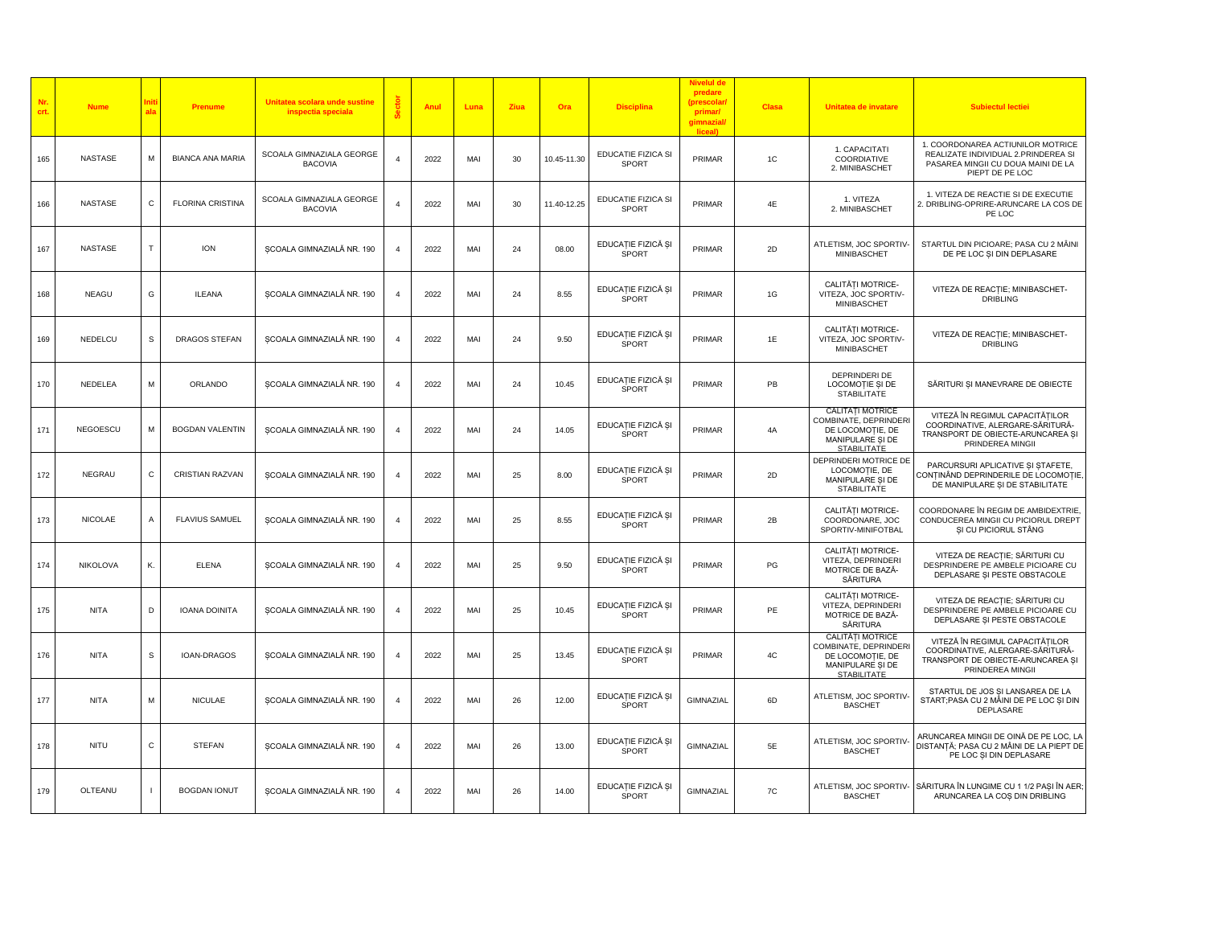| Nr.<br>crt. | <b>Nume</b>    |              | Prenume                 | Unitatea scolara unde sustine<br>inspectia speciala |                | Anul | Luna | Ziua | Ora         | <b>Disciplina</b>                  | predare<br>(prescolar<br>primar/<br>gimnazial<br>liceal) | <b>Clasa</b>  | Unitatea de invatare                                                                                           | <b>Subiectul lectiei</b>                                                                                                          |
|-------------|----------------|--------------|-------------------------|-----------------------------------------------------|----------------|------|------|------|-------------|------------------------------------|----------------------------------------------------------|---------------|----------------------------------------------------------------------------------------------------------------|-----------------------------------------------------------------------------------------------------------------------------------|
| 165         | <b>NASTASE</b> | M            | <b>BIANCA ANA MARIA</b> | SCOALA GIMNAZIALA GEORGE<br><b>BACOVIA</b>          |                | 2022 | MAI  | 30   | 10.45-11.30 | EDUCATIE FIZICA SI<br>SPORT        | PRIMAR                                                   | 1C            | 1. CAPACITATI<br>COORDIATIVE<br>2. MINIBASCHET                                                                 | 1. COORDONAREA ACTIUNILOR MOTRICE<br>REALIZATE INDIVIDUAL 2.PRINDEREA SI<br>PASAREA MINGII CU DOUA MAINI DE LA<br>PIEPT DE PE LOC |
| 166         | <b>NASTASE</b> | C            | <b>FLORINA CRISTINA</b> | SCOALA GIMNAZIALA GEORGE<br><b>BACOVIA</b>          |                | 2022 | MAI  | 30   | 11.40-12.25 | EDUCATIE FIZICA SI<br><b>SPORT</b> | PRIMAR                                                   | 4E            | 1. VITEZA<br>2. MINIBASCHET                                                                                    | 1. VITEZA DE REACTIE SI DE EXECUTIE<br>2. DRIBLING-OPRIRE-ARUNCARE LA COS DE<br>PE LOC                                            |
| 167         | NASTASE        | T.           | <b>ION</b>              | SCOALA GIMNAZIALĂ NR. 190                           |                | 2022 | MAI  | 24   | 08.00       | EDUCAȚIE FIZICĂ ȘI<br>SPORT        | PRIMAR                                                   | 2D            | ATLETISM, JOC SPORTIV-<br>MINIBASCHET                                                                          | STARTUL DIN PICIOARE; PASA CU 2 MÂINI<br>DE PE LOC ȘI DIN DEPLASARE                                                               |
| 168         | <b>NEAGU</b>   | G            | <b>ILEANA</b>           | ȘCOALA GIMNAZIALĂ NR. 190                           | $\overline{4}$ | 2022 | MAI  | 24   | 8.55        | EDUCAȚIE FIZICĂ ȘI<br>SPORT        | PRIMAR                                                   | 1G            | CALITĂȚI MOTRICE-<br>VITEZA, JOC SPORTIV-<br>MINIBASCHET                                                       | VITEZA DE REACȚIE; MINIBASCHET-<br><b>DRIBLING</b>                                                                                |
| 169         | NEDELCU        | $\mathsf{s}$ | DRAGOS STEFAN           | SCOALA GIMNAZIALĂ NR. 190                           |                | 2022 | MAI  | 24   | 9.50        | EDUCAȚIE FIZICĂ ȘI<br><b>SPORT</b> | PRIMAR                                                   | 1E            | CALITĂTI MOTRICE-<br>VITEZA, JOC SPORTIV-<br>MINIBASCHET                                                       | VITEZA DE REACȚIE; MINIBASCHET-<br><b>DRIBLING</b>                                                                                |
| 170         | NEDELEA        | M            | ORLANDO                 | ȘCOALA GIMNAZIALĂ NR. 190                           | $\overline{4}$ | 2022 | MAI  | 24   | 10.45       | EDUCAȚIE FIZICĂ ȘI<br>SPORT        | PRIMAR                                                   | PB            | DEPRINDERI DE<br>LOCOMOȚIE ȘI DE<br><b>STABILITATE</b>                                                         | SĂRITURI ȘI MANEVRARE DE OBIECTE                                                                                                  |
| 171         | NEGOESCU       | M            | <b>BOGDAN VALENTIN</b>  | ȘCOALA GIMNAZIALĂ NR. 190                           | 4              | 2022 | MAI  | 24   | 14.05       | EDUCAȚIE FIZICĂ ȘI<br>SPORT        | PRIMAR                                                   | 4A            | <b>CALITÁTI MOTRICE</b><br>COMBINATE, DEPRINDERI<br>DE LOCOMOȚIE, DE<br>MANIPULARE ȘI DE<br><b>STABILITATE</b> | VITEZĂ ÎN REGIMUL CAPACITĂȚILOR<br>COORDINATIVE, ALERGARE-SĂRITURĂ-<br>TRANSPORT DE OBIECTE-ARUNCAREA ȘI<br>PRINDEREA MINGII      |
| 172         | <b>NEGRAU</b>  | C            | <b>CRISTIAN RAZVAN</b>  | SCOALA GIMNAZIALĂ NR. 190                           |                | 2022 | MAI  | 25   | 8.00        | EDUCAȚIE FIZICĂ ȘI<br>SPORT        | PRIMAR                                                   | 2D            | DEPRINDERI MOTRICE DE<br>LOCOMOTIE, DE<br>MANIPULARE SI DE<br><b>STABILITATE</b>                               | PARCURSURI APLICATIVE ȘI ȘTAFETE,<br>CONȚINÂND DEPRINDERILE DE LOCOMOȚIE,<br>DE MANIPULARE ȘI DE STABILITATE                      |
| 173         | <b>NICOLAE</b> | Α            | <b>FLAVIUS SAMUEL</b>   | ȘCOALA GIMNAZIALĂ NR. 190                           |                | 2022 | MAI  | 25   | 8.55        | EDUCAȚIE FIZICĂ ȘI<br>SPORT        | PRIMAR                                                   | 2B            | CALITĂȚI MOTRICE-<br>COORDONARE, JOC<br>SPORTIV-MINIFOTBAL                                                     | COORDONARE ÎN REGIM DE AMBIDEXTRIE,<br>CONDUCEREA MINGII CU PICIORUL DREPT<br>ȘI CU PICIORUL STÂNG                                |
| 174         | NIKOLOVA       | Κ.           | <b>ELENA</b>            | SCOALA GIMNAZIALĂ NR. 190                           | $\Delta$       | 2022 | MAI  | 25   | 9.50        | EDUCAȚIE FIZICĂ ȘI<br>SPORT        | PRIMAR                                                   | PG            | CALITĂTI MOTRICE-<br>VITEZA, DEPRINDERI<br>MOTRICE DE BAZĂ-<br>SĂRITURA                                        | VITEZA DE REACȚIE; SĂRITURI CU<br>DESPRINDERE PE AMBELE PICIOARE CU<br>DEPLASARE ȘI PESTE OBSTACOLE                               |
| 175         | <b>NITA</b>    | D            | <b>IOANA DOINITA</b>    | ȘCOALA GIMNAZIALĂ NR. 190                           |                | 2022 | MAI  | 25   | 10.45       | EDUCAȚIE FIZICĂ ȘI<br>SPORT        | PRIMAR                                                   | PE            | CALITĂTI MOTRICE-<br>VITEZA, DEPRINDERI<br>MOTRICE DE BAZĂ-<br>SĂRITURA                                        | VITEZA DE REACȚIE; SĂRITURI CU<br>DESPRINDERE PE AMBELE PICIOARE CU<br>DEPLASARE ȘI PESTE OBSTACOLE                               |
| 176         | <b>NITA</b>    | s            | IOAN-DRAGOS             | SCOALA GIMNAZIALĂ NR. 190                           |                | 2022 | MAI  | 25   | 13.45       | EDUCAȚIE FIZICĂ ȘI<br>SPORT        | PRIMAR                                                   | $4\mathrm{C}$ | CALITĂȚI MOTRICE<br>COMBINATE, DEPRINDERI<br>DE LOCOMOȚIE, DE<br>MANIPULARE ȘI DE<br><b>STABILITATE</b>        | VITEZĂ ÎN REGIMUL CAPACITĂȚILOR<br>COORDINATIVE, ALERGARE-SĂRITURĂ-<br>TRANSPORT DE OBIECTE-ARUNCAREA ȘI<br>PRINDEREA MINGIL      |
| 177         | <b>NITA</b>    | М            | <b>NICULAE</b>          | ȘCOALA GIMNAZIALĂ NR. 190                           | $\overline{4}$ | 2022 | MAI  | 26   | 12.00       | EDUCAȚIE FIZICĂ ȘI<br>SPORT        | GIMNAZIAL                                                | 6D            | ATLETISM, JOC SPORTIV-<br><b>BASCHET</b>                                                                       | STARTUL DE JOS ȘI LANSAREA DE LA<br>START; PASA CU 2 MÂINI DE PE LOC ȘI DIN<br>DEPLASARE                                          |
| 178         | NITU           | C            | <b>STEFAN</b>           | ȘCOALA GIMNAZIALĂ NR. 190                           |                | 2022 | MAI  | 26   | 13.00       | EDUCAȚIE FIZICĂ ȘI<br>SPORT        | GIMNAZIAL                                                | 5E            | ATLETISM, JOC SPORTIV<br><b>BASCHET</b>                                                                        | ARUNCAREA MINGII DE OINĂ DE PE LOC, LA<br>DISTANȚĂ; PASA CU 2 MÂINI DE LA PIEPT DE<br>PE LOC ȘI DIN DEPLASARE                     |
| 179         | OLTEANU        |              | <b>BOGDAN IONUT</b>     | SCOALA GIMNAZIALĂ NR. 190                           |                | 2022 | MAI  | 26   | 14.00       | EDUCAȚIE FIZICĂ ȘI<br>SPORT        | GIMNAZIAL                                                | 7C            | ATLETISM, JOC SPORTIV-<br><b>BASCHET</b>                                                                       | SĂRITURA ÎN LUNGIME CU 1 1/2 PAȘI ÎN AER;<br>ARUNCAREA LA COS DIN DRIBLING                                                        |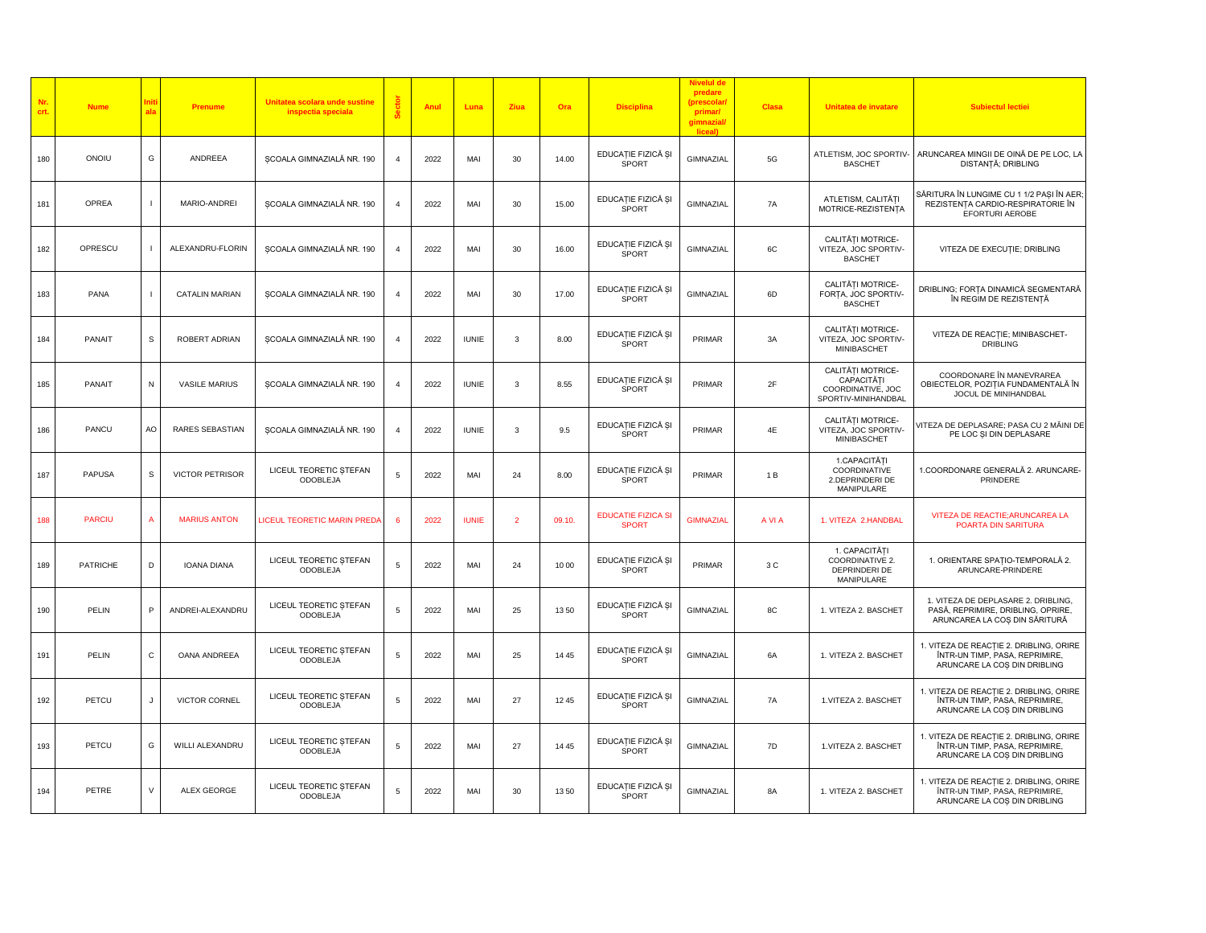| Nr.<br>crt. | <b>Nume</b>     |                | Prenume                | Unitatea scolara unde sustine<br>inspectia speciala |                | Anul | Luna         | Ziua                    | Ora    | <b>Disciplina</b>                         | predare<br>(prescolar<br>primar/<br>gimnazial/<br>liceal) | <b>Clasa</b> | Unitatea de invatare                                                        | <b>Subiectul lectiei</b>                                                                                   |
|-------------|-----------------|----------------|------------------------|-----------------------------------------------------|----------------|------|--------------|-------------------------|--------|-------------------------------------------|-----------------------------------------------------------|--------------|-----------------------------------------------------------------------------|------------------------------------------------------------------------------------------------------------|
| 180         | ONOIU           | G              | ANDREEA                | ȘCOALA GIMNAZIALĂ NR. 190                           | $\overline{4}$ | 2022 | MAI          | 30                      | 14.00  | EDUCAȚIE FIZICĂ ȘI<br>SPORT               | GIMNAZIAL                                                 | $5G$         | ATLETISM, JOC SPORTIV-<br><b>BASCHET</b>                                    | ARUNCAREA MINGII DE OINĂ DE PE LOC, LA<br>DISTANȚĂ; DRIBLING                                               |
| 181         | OPREA           |                | MARIO-ANDREI           | ȘCOALA GIMNAZIALĂ NR. 190                           |                | 2022 | MAI          | 30                      | 15.00  | EDUCAȚIE FIZICĂ ȘI<br>SPORT               | GIMNAZIAL                                                 | 7A           | ATLETISM, CALITĂȚI<br>MOTRICE-REZISTENȚA                                    | SĂRITURA ÎN LUNGIME CU 1 1/2 PAȘI ÎN AER<br>REZISTENȚA CARDIO-RESPIRATORIE ÎN<br>EFORTURI AEROBE           |
| 182         | OPRESCU         | $\blacksquare$ | ALEXANDRU-FLORIN       | SCOALA GIMNAZIALĂ NR. 190                           | $\overline{4}$ | 2022 | MAI          | 30                      | 16.00  | EDUCAȚIE FIZICĂ ȘI<br>SPORT               | GIMNAZIAL                                                 | 6C           | CALITĂȚI MOTRICE-<br>VITEZA, JOC SPORTIV-<br><b>BASCHET</b>                 | VITEZA DE EXECUȚIE; DRIBLING                                                                               |
| 183         | PANA            |                | <b>CATALIN MARIAN</b>  | ȘCOALA GIMNAZIALĂ NR. 190                           | $\overline{4}$ | 2022 | MAI          | 30                      | 17.00  | EDUCAȚIE FIZICĂ ȘI<br>SPORT               | GIMNAZIAL                                                 | 6D           | CALITĂȚI MOTRICE-<br>FORTA, JOC SPORTIV-<br><b>BASCHET</b>                  | DRIBLING; FORȚA DINAMICĂ SEGMENTARĂ<br>ÎN REGIM DE REZISTENȚĂ                                              |
| 184         | <b>PANAIT</b>   | S              | ROBERT ADRIAN          | SCOALA GIMNAZIALĂ NR. 190                           |                | 2022 | <b>IUNIE</b> | $\overline{3}$          | 8.00   | EDUCAȚIE FIZICĂ ȘI<br>SPORT               | PRIMAR                                                    | 3A           | CALITĂTI MOTRICE-<br>VITEZA, JOC SPORTIV-<br>MINIBASCHET                    | VITEZA DE REACȚIE; MINIBASCHET-<br><b>DRIBLING</b>                                                         |
| 185         | PANAIT          | N              | <b>VASILE MARIUS</b>   | SCOALA GIMNAZIALĂ NR. 190                           | $\overline{4}$ | 2022 | <b>IUNIE</b> | 3                       | 8.55   | EDUCAȚIE FIZICĂ ȘI<br>SPORT               | PRIMAR                                                    | 2F           | CALITĂȚI MOTRICE-<br>CAPACITĂTI<br>COORDINATIVE, JOC<br>SPORTIV-MINIHANDBAL | COORDONARE ÎN MANEVRAREA<br>OBIECTELOR, POZIȚIA FUNDAMENTALĂ ÎN<br>JOCUL DE MINIHANDBAL                    |
| 186         | PANCU           | AO             | RARES SEBASTIAN        | ȘCOALA GIMNAZIALĂ NR. 190                           | $\overline{4}$ | 2022 | <b>IUNIE</b> | $\overline{\mathbf{3}}$ | 9.5    | EDUCAȚIE FIZICĂ ȘI<br>SPORT               | PRIMAR                                                    | 4E           | CALITĂTI MOTRICE-<br>VITEZA, JOC SPORTIV-<br>MINIBASCHET                    | /ITEZA DE DEPLASARE; PASA CU 2 MÂINI DE<br>PE LOC ȘI DIN DEPLASARE                                         |
| 187         | <b>PAPUSA</b>   | S              | <b>VICTOR PETRISOR</b> | LICEUL TEORETIC STEFAN<br>ODOBLEJA                  | 5              | 2022 | MAI          | 24                      | 8.00   | EDUCAȚIE FIZICĂ ȘI<br>SPORT               | PRIMAR                                                    | 1 B          | 1. CAPACITĂTI<br>COORDINATIVE<br>2.DEPRINDERI DE<br>MANIPULARE              | 1.COORDONARE GENERALĂ 2. ARUNCARE-<br>PRINDERE                                                             |
| 188         | <b>PARCIU</b>   | $\overline{A}$ | <b>MARIUS ANTON</b>    | LICEUL TEORETIC MARIN PREDA                         |                | 2022 | <b>IUNIE</b> | $\overline{2}$          | 09.10. | <b>EDUCATIE FIZICA SI</b><br><b>SPORT</b> | <b>GIMNAZIAL</b>                                          | A VI A       | 1. VITEZA 2.HANDBAL                                                         | VITEZA DE REACTIE; ARUNCAREA LA<br>POARTA DIN SARITURA                                                     |
| 189         | <b>PATRICHE</b> | D              | <b>IOANA DIANA</b>     | LICEUL TEORETIC ȘTEFAN<br>ODOBLEJA                  | 5              | 2022 | MAI          | 24                      | 10 00  | EDUCAȚIE FIZICĂ ȘI<br>SPORT               | PRIMAR                                                    | 3 C          | 1. CAPACITĂTI<br>COORDINATIVE 2.<br>DEPRINDERI DE<br>MANIPULARE             | 1. ORIENTARE SPAȚIO-TEMPORALĂ 2.<br>ARUNCARE-PRINDERE                                                      |
| 190         | PELIN           | P              | ANDREI-ALEXANDRU       | LICEUL TEORETIC STEFAN<br><b>ODOBLEJA</b>           | 5              | 2022 | MAI          | 25                      | 13 50  | EDUCAȚIE FIZICĂ ȘI<br>SPORT               | GIMNAZIAL                                                 | 8C           | 1. VITEZA 2. BASCHET                                                        | 1. VITEZA DE DEPLASARE 2. DRIBLING,<br>PASĂ, REPRIMIRE, DRIBLING, OPRIRE,<br>ARUNCAREA LA COS DIN SĂRITURĂ |
| 191         | PELIN           | C              | OANA ANDREEA           | LICEUL TEORETIC ȘTEFAN<br><b>ODOBLEJA</b>           | 5              | 2022 | MAI          | 25                      | 14 45  | EDUCAȚIE FIZICĂ ȘI<br>SPORT               | GIMNAZIAL                                                 | 6A           | 1. VITEZA 2. BASCHET                                                        | 1. VITEZA DE REACȚIE 2. DRIBLING, ORIRE<br>ÎNTR-UN TIMP, PASA, REPRIMIRE,<br>ARUNCARE LA COȘ DIN DRIBLING  |
| 192         | PETCU           | $\mathsf J$    | <b>VICTOR CORNEL</b>   | LICEUL TEORETIC ȘTEFAN<br>ODOBLEJA                  | 5              | 2022 | MAI          | 27                      | 12 45  | EDUCAȚIE FIZICĂ ȘI<br>SPORT               | GIMNAZIAL                                                 | 7A           | 1. VITEZA 2. BASCHET                                                        | 1. VITEZA DE REACȚIE 2. DRIBLING, ORIRE<br>ÎNTR-UN TIMP, PASA, REPRIMIRE,<br>ARUNCARE LA COS DIN DRIBLING  |
| 193         | PETCU           | G              | WILLI ALEXANDRU        | LICEUL TEORETIC STEFAN<br><b>ODOBLEJA</b>           | 5              | 2022 | MAI          | 27                      | 14 45  | EDUCAȚIE FIZICĂ ȘI<br>SPORT               | GIMNAZIAL                                                 | 7D           | 1. VITEZA 2. BASCHET                                                        | 1. VITEZA DE REACȚIE 2. DRIBLING, ORIRE<br>ÎNTR-UN TIMP, PASA, REPRIMIRE,<br>ARUNCARE LA COS DIN DRIBLING  |
| 194         | PETRE           | $\vee$         | <b>ALEX GEORGE</b>     | LICEUL TEORETIC ȘTEFAN<br><b>ODOBLEJA</b>           | 5              | 2022 | MAI          | 30                      | 13 50  | EDUCAȚIE FIZICĂ ȘI<br>SPORT               | GIMNAZIAL                                                 | <b>8A</b>    | 1. VITEZA 2. BASCHET                                                        | 1. VITEZA DE REACȚIE 2. DRIBLING, ORIRE<br>ÎNTR-UN TIMP, PASA, REPRIMIRE,<br>ARUNCARE LA COS DIN DRIBLING  |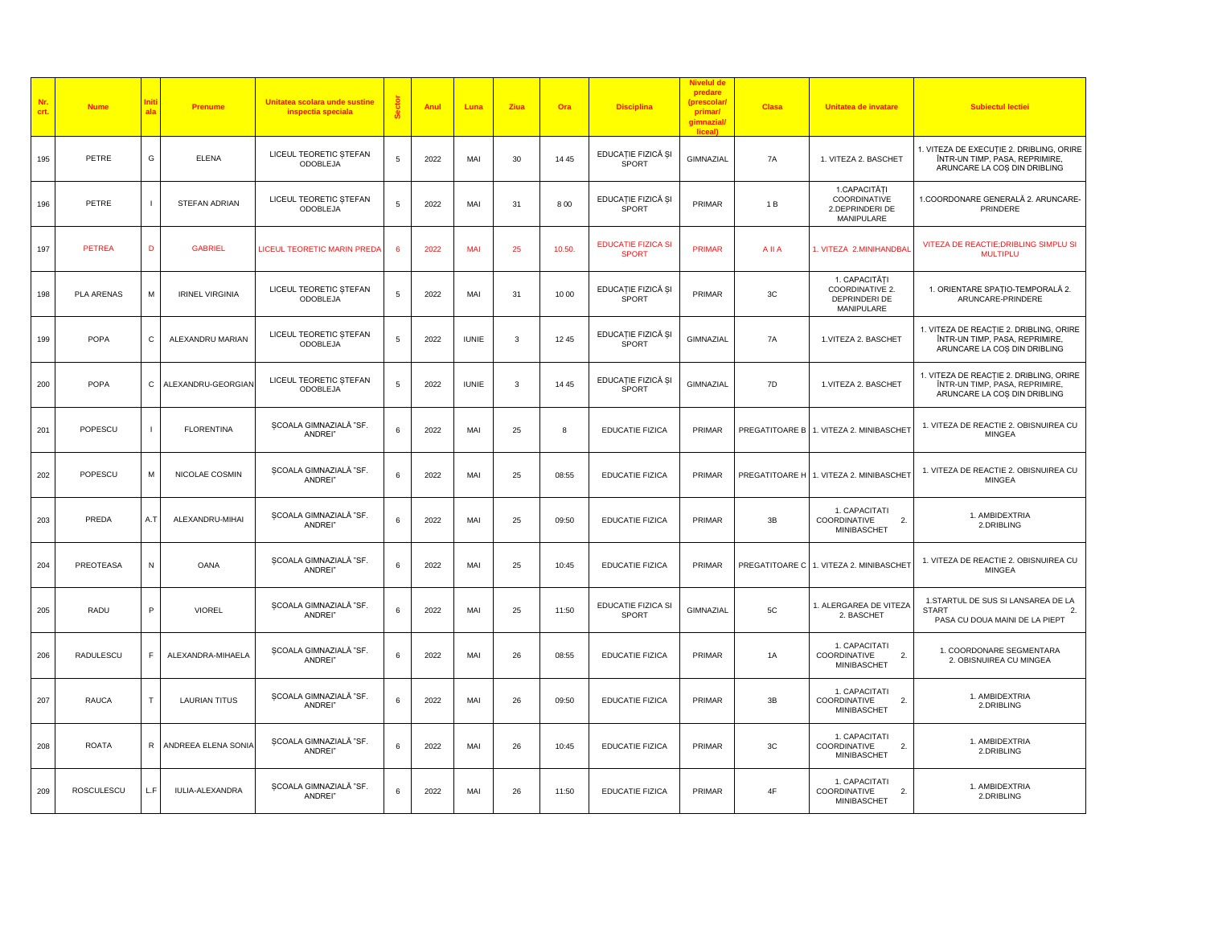| Nr.<br>crt. | <b>Nume</b>       | ala            | Prenume                | Unitatea scolara unde sustine<br>inspectia speciala | Sect | Anu  | Luna         | Ziua         | Ora   | <b>Disciplina</b>                         | Nivelul d<br>predare<br>(prescolar<br>primar/<br>gimnazial<br>liceal) | <b>Clasa</b>   | Unitatea de invatare                                             | <b>Subiectul lectiei</b>                                                                                   |
|-------------|-------------------|----------------|------------------------|-----------------------------------------------------|------|------|--------------|--------------|-------|-------------------------------------------|-----------------------------------------------------------------------|----------------|------------------------------------------------------------------|------------------------------------------------------------------------------------------------------------|
| 195         | PETRE             | G              | <b>ELENA</b>           | LICEUL TEORETIC ȘTEFAN<br>ODOBLEJA                  | 5    | 2022 | MAI          | 30           | 14 45 | EDUCAȚIE FIZICĂ ȘI<br>SPORT               | GIMNAZIAL                                                             | 7A             | 1. VITEZA 2. BASCHET                                             | 1. VITEZA DE EXECUȚIE 2. DRIBLING, ORIRE<br>ÎNTR-UN TIMP, PASA, REPRIMIRE,<br>ARUNCARE LA COS DIN DRIBLING |
| 196         | PETRE             | $\blacksquare$ | STEFAN ADRIAN          | LICEUL TEORETIC STEFAN<br>ODOBLEJA                  | 5    | 2022 | MAI          | 31           | 8 0 0 | EDUCAȚIE FIZICĂ ȘI<br><b>SPORT</b>        | PRIMAR                                                                | 1 B            | 1.CAPACITĂȚI<br>COORDINATIVE<br>2.DEPRINDERI DE<br>MANIPULARE    | 1.COORDONARE GENERALĂ 2. ARUNCARE-<br>PRINDERE                                                             |
| 197         | <b>PETREA</b>     | D              | <b>GABRIEL</b>         | <b>LICEUL TEORETIC MARIN PREDA</b>                  | 6    | 2022 | MAI          | 25           | 10.50 | <b>EDUCATIE FIZICA SI</b><br><b>SPORT</b> | <b>PRIMAR</b>                                                         | AIIA           | 1. VITEZA 2.MINIHANDBAI                                          | VITEZA DE REACTIE; DRIBLING SIMPLU SI<br><b>MULTIPLU</b>                                                   |
| 198         | PLA ARENAS        | M              | <b>IRINEL VIRGINIA</b> | LICEUL TEORETIC ȘTEFAN<br>ODOBLEJA                  | 5    | 2022 | MAI          | 31           | 10 00 | EDUCAȚIE FIZICĂ ȘI<br>SPORT               | PRIMAR                                                                | 3C             | 1. CAPACITĂȚI<br>COORDINATIVE 2.<br>DEPRINDERI DE<br>MANIPULARE  | 1. ORIENTARE SPAȚIO-TEMPORALĂ 2.<br>ARUNCARE-PRINDERE                                                      |
| 199         | POPA              | C              | ALEXANDRU MARIAN       | LICEUL TEORETIC STEFAN<br>ODOBLEJA                  | 5    | 2022 | <b>IUNIE</b> | 3            | 12 45 | EDUCAȚIE FIZICĂ ȘI<br><b>SPORT</b>        | GIMNAZIAL                                                             | 7A             | 1. VITEZA 2. BASCHET                                             | 1. VITEZA DE REACTIE 2. DRIBLING, ORIRE<br>ÎNTR-UN TIMP, PASA, REPRIMIRE,<br>ARUNCARE LA COȘ DIN DRIBLING  |
| 200         | POPA              | С              | ALEXANDRU-GEORGIAN     | LICEUL TEORETIC STEFAN<br><b>ODOBLEJA</b>           | 5    | 2022 | <b>IUNIE</b> | $\mathbf{3}$ | 14 45 | EDUCAȚIE FIZICĂ ȘI<br>SPORT               | GIMNAZIAL                                                             | 7D             | 1. VITEZA 2. BASCHET                                             | 1. VITEZA DE REACȚIE 2. DRIBLING, ORIRE<br>ÎNTR-UN TIMP, PASA, REPRIMIRE,<br>ARUNCARE LA COS DIN DRIBLING  |
| 201         | POPESCU           | $\mathbf{I}$   | <b>FLORENTINA</b>      | SCOALA GIMNAZIALĂ "SF.<br>ANDREI"                   | 6    | 2022 | MAI          | 25           | 8     | <b>EDUCATIE FIZICA</b>                    | PRIMAR                                                                |                | PREGATITOARE B 1. VITEZA 2. MINIBASCHET                          | 1. VITEZA DE REACTIE 2. OBISNUIREA CU<br><b>MINGEA</b>                                                     |
| 202         | POPESCU           | M              | NICOLAE COSMIN         | SCOALA GIMNAZIALĂ "SF.<br>ANDREI"                   | 6    | 2022 | MAI          | 25           | 08:55 | <b>EDUCATIE FIZICA</b>                    | PRIMAR                                                                | PREGATITOARE H | 1. VITEZA 2. MINIBASCHET                                         | 1. VITEZA DE REACTIE 2. OBISNUIREA CU<br><b>MINGEA</b>                                                     |
| 203         | PREDA             | A.T            | ALEXANDRU-MIHAI        | SCOALA GIMNAZIALĂ "SF.<br>ANDREI"                   | 6    | 2022 | MAI          | 25           | 09:50 | EDUCATIE FIZICA                           | PRIMAR                                                                | 3B             | 1. CAPACITATI<br>COORDINATIVE<br>2.<br><b>MINIBASCHET</b>        | 1. AMBIDEXTRIA<br>2.DRIBLING                                                                               |
| 204         | PREOTEASA         | N              | <b>OANA</b>            | SCOALA GIMNAZIALĂ "SF.<br>ANDREI"                   | 6    | 2022 | MAI          | 25           | 10:45 | <b>EDUCATIE FIZICA</b>                    | PRIMAR                                                                |                | PREGATITOARE C 1. VITEZA 2. MINIBASCHET                          | 1. VITEZA DE REACTIE 2. OBISNUIREA CU<br>MINGEA                                                            |
| 205         | RADU              | P              | <b>VIOREL</b>          | SCOALA GIMNAZIALĂ "SF.<br>ANDREI"                   | 6    | 2022 | MAI          | 25           | 11:50 | EDUCATIE FIZICA SI<br>SPORT               | GIMNAZIAL                                                             | 5C             | 1. ALERGAREA DE VITEZA<br>2. BASCHET                             | 1.STARTUL DE SUS SI LANSAREA DE LA<br><b>START</b><br>2.<br>PASA CU DOUA MAINI DE LA PIEPT                 |
| 206         | <b>RADULESCU</b>  | F.             | ALEXANDRA-MIHAELA      | SCOALA GIMNAZIALĂ "SF.<br>ANDREI"                   | 6    | 2022 | MAI          | 26           | 08:55 | EDUCATIE FIZICA                           | PRIMAR                                                                | 1A             | 1. CAPACITATI<br>COORDINATIVE<br>2.<br>MINIBASCHET               | 1. COORDONARE SEGMENTARA<br>2. OBISNUIREA CU MINGEA                                                        |
| 207         | <b>RAUCA</b>      | $\top$         | <b>LAURIAN TITUS</b>   | SCOALA GIMNAZIALĂ "SF.<br>ANDREI"                   | 6    | 2022 | MAI          | 26           | 09:50 | <b>EDUCATIE FIZICA</b>                    | PRIMAR                                                                | 3B             | 1. CAPACITATI<br>$\overline{2}$<br>COORDINATIVE<br>MINIBASCHET   | 1. AMBIDEXTRIA<br>2.DRIBLING                                                                               |
| 208         | ROATA             | R              | ANDREEA ELENA SONIA    | SCOALA GIMNAZIALĂ "SF.<br>ANDREI"                   | 6    | 2022 | MAI          | 26           | 10:45 | <b>EDUCATIE FIZICA</b>                    | PRIMAR                                                                | 3C             | 1. CAPACITATI<br>2.<br><b>COORDINATIVE</b><br><b>MINIBASCHET</b> | 1. AMBIDEXTRIA<br>2.DRIBLING                                                                               |
| 209         | <b>ROSCULESCU</b> | L.F            | <b>IULIA-ALEXANDRA</b> | SCOALA GIMNAZIALĂ "SF.<br>ANDREI"                   | 6    | 2022 | MAI          | 26           | 11:50 | <b>EDUCATIE FIZICA</b>                    | PRIMAR                                                                | $4\mathsf{F}$  | 1. CAPACITATI<br>COORDINATIVE<br>2.<br>MINIBASCHET               | 1. AMBIDEXTRIA<br>2.DRIBLING                                                                               |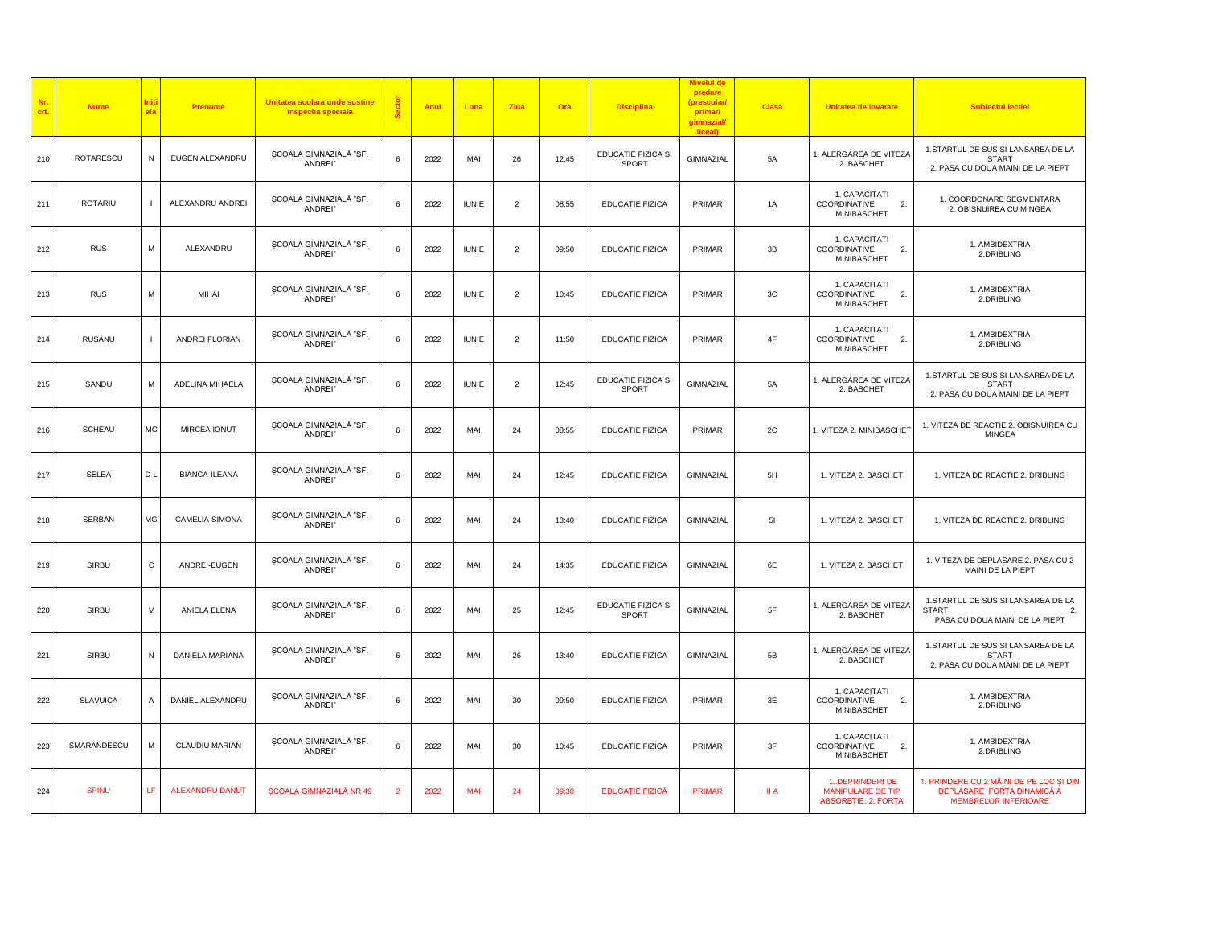| Nr.<br>crt. | <b>Nume</b>      |                | Prenume                | Unitatea scolara unde sustine<br>inspectia speciala |                | Anul | Luna         | Ziua           | Ora   | <b>Disciplina</b>           | predare<br>(prescolar)<br>primar/<br>gimnazial/<br>liceall | Clasa         | Unitatea de invatare                                                  | <b>Subiectul lectiei</b>                                                                               |
|-------------|------------------|----------------|------------------------|-----------------------------------------------------|----------------|------|--------------|----------------|-------|-----------------------------|------------------------------------------------------------|---------------|-----------------------------------------------------------------------|--------------------------------------------------------------------------------------------------------|
| 210         | <b>ROTARESCU</b> | N              | EUGEN ALEXANDRU        | SCOALA GIMNAZIALĂ "SF<br>ANDREI"                    | 6              | 2022 | MAI          | 26             | 12:45 | EDUCATIE FIZICA SI<br>SPORT | GIMNAZIAL                                                  | <b>5A</b>     | 1. ALERGAREA DE VITEZA<br>2. BASCHET                                  | 1.STARTUL DE SUS SI LANSAREA DE LA<br><b>START</b><br>2. PASA CU DOUA MAINI DE LA PIEPT                |
| 211         | <b>ROTARIU</b>   |                | ALEXANDRU ANDREI       | ȘCOALA GIMNAZIALĂ "SF.<br>ANDREI"                   | 6              | 2022 | <b>IUNIE</b> | $\overline{2}$ | 08:55 | <b>EDUCATIE FIZICA</b>      | PRIMAR                                                     | 1A            | 1. CAPACITATI<br>COORDINATIVE<br>2.<br><b>MINIBASCHET</b>             | 1. COORDONARE SEGMENTARA<br>2. OBISNUIREA CU MINGEA                                                    |
| 212         | <b>RUS</b>       | ${\sf M}$      | ALEXANDRU              | SCOALA GIMNAZIALĂ "SF.<br>ANDREI"                   | 6              | 2022 | <b>IUNIE</b> | $\overline{2}$ | 09:50 | EDUCATIE FIZICA             | PRIMAR                                                     | 3B            | 1. CAPACITATI<br>COORDINATIVE<br>$\overline{2}$<br><b>MINIBASCHET</b> | 1. AMBIDEXTRIA<br>2.DRIBLING                                                                           |
| 213         | <b>RUS</b>       | M              | MIHAI                  | SCOALA GIMNAZIALĂ "SF.<br>ANDREI"                   | 6              | 2022 | <b>IUNIE</b> | $\overline{2}$ | 10:45 | <b>EDUCATIE FIZICA</b>      | PRIMAR                                                     | 3C            | 1. CAPACITATI<br>$\overline{2}$<br>COORDINATIVE<br>MINIBASCHET        | 1. AMBIDEXTRIA<br>2.DRIBLING                                                                           |
| 214         | RUSANU           | $\overline{1}$ | ANDREI FLORIAN         | ȘCOALA GIMNAZIALĂ "SF.<br>ANDREI"                   | 6              | 2022 | <b>IUNIE</b> | $\overline{2}$ | 11:50 | <b>EDUCATIE FIZICA</b>      | PRIMAR                                                     | $4\mathsf{F}$ | 1. CAPACITATI<br>$\overline{2}$<br>COORDINATIVE<br><b>MINIBASCHET</b> | 1. AMBIDEXTRIA<br>2.DRIBLING                                                                           |
| 215         | SANDU            | м              | ADELINA MIHAELA        | ȘCOALA GIMNAZIALĂ "SF<br>ANDREI"                    | 6              | 2022 | <b>IUNIE</b> | $\overline{2}$ | 12:45 | EDUCATIE FIZICA SI<br>SPORT | GIMNAZIAL                                                  | 5A            | 1. ALERGAREA DE VITEZA<br>2. BASCHET                                  | 1.STARTUL DE SUS SI LANSAREA DE LA<br><b>START</b><br>2. PASA CU DOUA MAINI DE LA PIEPT                |
| 216         | SCHEAU           | MC             | MIRCEA IONUT           | ȘCOALA GIMNAZIALĂ "SF.<br>ANDREI"                   | 6              | 2022 | MAI          | 24             | 08:55 | <b>EDUCATIE FIZICA</b>      | PRIMAR                                                     | 2C            | 1. VITEZA 2. MINIBASCHET                                              | 1. VITEZA DE REACTIE 2. OBISNUIREA CU<br><b>MINGEA</b>                                                 |
| 217         | SELEA            | D-L            | <b>BIANCA-ILEANA</b>   | SCOALA GIMNAZIALĂ "SF.<br>ANDREI"                   | 6              | 2022 | MAI          | 24             | 12:45 | <b>EDUCATIE FIZICA</b>      | GIMNAZIAL                                                  | 5H            | 1. VITEZA 2. BASCHET                                                  | 1. VITEZA DE REACTIE 2. DRIBLING                                                                       |
| 218         | SERBAN           | MG             | CAMELIA-SIMONA         | SCOALA GIMNAZIALĂ "SF.<br>ANDREI"                   | 6              | 2022 | MAI          | 24             | 13:40 | EDUCATIE FIZICA             | GIMNAZIAL                                                  | 51            | 1. VITEZA 2. BASCHET                                                  | 1. VITEZA DE REACTIE 2. DRIBLING                                                                       |
| 219         | SIRBU            | $\mathtt{C}$   | ANDREI-EUGEN           | ȘCOALA GIMNAZIALĂ "SF.<br>ANDREI"                   | 6              | 2022 | MAI          | 24             | 14:35 | <b>EDUCATIE FIZICA</b>      | GIMNAZIAL                                                  | 6E            | 1. VITEZA 2. BASCHET                                                  | 1. VITEZA DE DEPLASARE 2. PASA CU 2<br>MAINI DE LA PIEPT                                               |
| 220         | SIRBU            | v              | ANIELA ELENA           | SCOALA GIMNAZIALĂ "SF<br>ANDREI"                    | 6              | 2022 | MAI          | 25             | 12:45 | EDUCATIE FIZICA SI<br>SPORT | GIMNAZIAL                                                  | $5\mathsf{F}$ | 1. ALERGAREA DE VITEZA<br>2. BASCHET                                  | 1.STARTUL DE SUS SI LANSAREA DE LA<br><b>START</b><br>$\overline{2}$<br>PASA CU DOUA MAINI DE LA PIEPT |
| 221         | SIRBU            | N              | DANIELA MARIANA        | ȘCOALA GIMNAZIALĂ "SF.<br>ANDREI"                   | 6              | 2022 | MAI          | 26             | 13:40 | EDUCATIE FIZICA             | GIMNAZIAL                                                  | 5B            | 1. ALERGAREA DE VITEZA<br>2. BASCHET                                  | 1.STARTUL DE SUS SI LANSAREA DE LA<br><b>START</b><br>2. PASA CU DOUA MAINI DE LA PIEPT                |
| 222         | <b>SLAVUICA</b>  | $\mathsf A$    | DANIEL ALEXANDRU       | ȘCOALA GIMNAZIALĂ "SF.<br>ANDREI"                   | 6              | 2022 | MAI          | 30             | 09:50 | <b>EDUCATIE FIZICA</b>      | PRIMAR                                                     | 3E            | 1. CAPACITATI<br>$\overline{2}$ .<br>COORDINATIVE<br>MINIBASCHET      | 1. AMBIDEXTRIA<br>2.DRIBLING                                                                           |
| 223         | SMARANDESCU      | M              | CLAUDIU MARIAN         | SCOALA GIMNAZIALĂ "SF<br>ANDREI"                    | 6              | 2022 | MAI          | 30             | 10:45 | <b>EDUCATIE FIZICA</b>      | PRIMAR                                                     | 3F            | 1. CAPACITATI<br>COORDINATIVE<br>2.<br><b>MINIBASCHET</b>             | 1. AMBIDEXTRIA<br>2.DRIBLING                                                                           |
| 224         | <b>SPINU</b>     | LF             | <b>ALEXANDRU DANUT</b> | <b>SCOALA GIMNAZIALĂ NR 49</b>                      | $\overline{2}$ | 2022 | MAI          | 24             | 09:30 | <b>EDUCAȚIE FIZICĂ</b>      | <b>PRIMAR</b>                                              | II A          | 1DEPRINDERI DE<br>MANIPULARE DE TIP<br>ABSORBȚIE. 2. FORȚA            | 1. PRINDERE CU 2 MÂINI DE PE LOC ȘI DIN<br>DEPLASARE FORȚA DINAMICĂ A<br><b>MEMBRELOR INFERIOARE</b>   |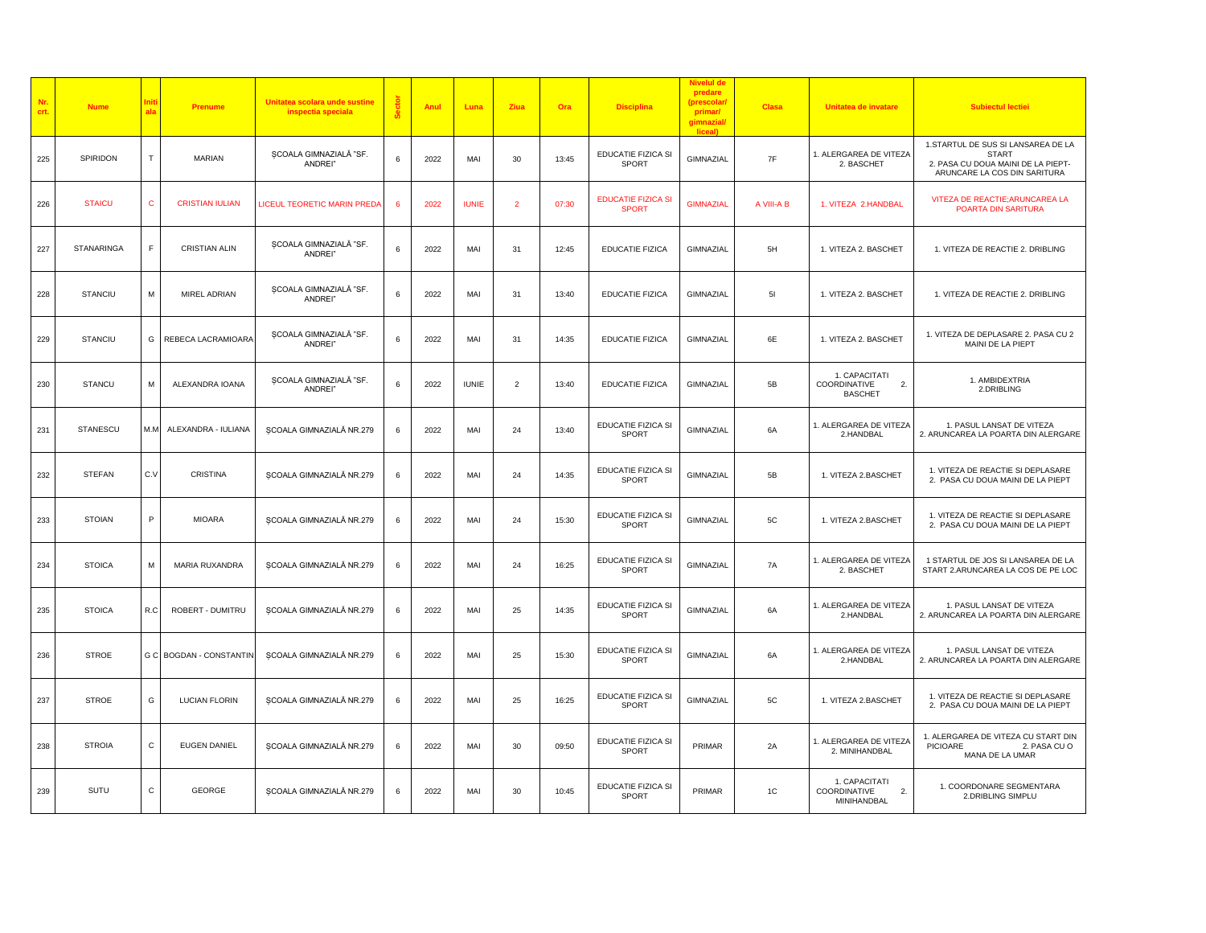| Nr.<br>crt. | <b>Nume</b>       |              | Prenume                 | Unitatea scolara unde sustine<br>inspectia speciala | å | Anul | Luna         | Ziua           | Ora   | <b>Disciplina</b>                         | predare<br>(prescolar<br>primar/<br>gimnazial/<br>liceal) | Clasa      | Unitatea de invatare                                              | <b>Subiectul lectiei</b>                                                                                                 |
|-------------|-------------------|--------------|-------------------------|-----------------------------------------------------|---|------|--------------|----------------|-------|-------------------------------------------|-----------------------------------------------------------|------------|-------------------------------------------------------------------|--------------------------------------------------------------------------------------------------------------------------|
| 225         | SPIRIDON          | т            | MARIAN                  | SCOALA GIMNAZIALĂ "SF.<br>ANDREI"                   | 6 | 2022 | MAI          | 30             | 13:45 | EDUCATIE FIZICA SI<br>SPORT               | GIMNAZIAL                                                 | 7F         | 1. ALERGAREA DE VITEZA<br>2. BASCHET                              | 1.STARTUL DE SUS SI LANSAREA DE LA<br><b>START</b><br>2. PASA CU DOUA MAINI DE LA PIEPT-<br>ARUNCARE LA COS DIN SARITURA |
| 226         | <b>STAICU</b>     | $\mathbf{C}$ | <b>CRISTIAN IULIAN</b>  | LICEUL TEORETIC MARIN PRED                          |   | 2022 | <b>IUNIE</b> | $\overline{2}$ | 07:30 | <b>EDUCATIE FIZICA SI</b><br><b>SPORT</b> | <b>GIMNAZIAL</b>                                          | A VIII-A B | 1. VITEZA 2.HANDBAL                                               | VITEZA DE REACTIE; ARUNCAREA LA<br>POARTA DIN SARITURA                                                                   |
| 227         | <b>STANARINGA</b> | F            | <b>CRISTIAN ALIN</b>    | ȘCOALA GIMNAZIALĂ "SF.<br>ANDREI"                   | 6 | 2022 | MAI          | 31             | 12:45 | <b>EDUCATIE FIZICA</b>                    | GIMNAZIAL                                                 | 5H         | 1. VITEZA 2. BASCHET                                              | 1. VITEZA DE REACTIE 2. DRIBLING                                                                                         |
| 228         | <b>STANCIU</b>    | M            | MIREL ADRIAN            | SCOALA GIMNAZIALĂ "SF.<br>ANDREI"                   | 6 | 2022 | MAI          | 31             | 13:40 | <b>EDUCATIE FIZICA</b>                    | GIMNAZIAL                                                 | 51         | 1. VITEZA 2. BASCHET                                              | 1. VITEZA DE REACTIE 2. DRIBLING                                                                                         |
| 229         | <b>STANCIU</b>    | G            | REBECA LACRAMIOARA      | SCOALA GIMNAZIALĂ "SF.<br>ANDREI"                   | 6 | 2022 | MAI          | 31             | 14:35 | <b>EDUCATIE FIZICA</b>                    | GIMNAZIAL                                                 | 6E         | 1. VITEZA 2. BASCHET                                              | 1. VITEZA DE DEPLASARE 2. PASA CU 2<br>MAINI DE LA PIEPT                                                                 |
| 230         | <b>STANCU</b>     | М            | ALEXANDRA IOANA         | ȘCOALA GIMNAZIALĂ "SF.<br>ANDREI"                   | 6 | 2022 | <b>IUNIE</b> | $\overline{2}$ | 13:40 | <b>EDUCATIE FIZICA</b>                    | GIMNAZIAL                                                 | 5B         | 1. CAPACITATI<br>COORDINATIVE<br>$\overline{2}$<br><b>BASCHET</b> | 1. AMBIDEXTRIA<br>2.DRIBLING                                                                                             |
| 231         | <b>STANESCU</b>   | M.M          | ALEXANDRA - IULIANA     | ȘCOALA GIMNAZIALĂ NR.279                            | 6 | 2022 | MAI          | 24             | 13:40 | EDUCATIE FIZICA SI<br>SPORT               | GIMNAZIAL                                                 | 6A         | 1. ALERGAREA DE VITEZA<br>2.HANDBAL                               | 1. PASUL LANSAT DE VITEZA<br>2. ARUNCAREA LA POARTA DIN ALERGARE                                                         |
| 232         | <b>STEFAN</b>     | C.V          | <b>CRISTINA</b>         | ȘCOALA GIMNAZIALĂ NR.279                            | 6 | 2022 | MAI          | 24             | 14:35 | EDUCATIE FIZICA SI<br>SPORT               | GIMNAZIAL                                                 | 5B         | 1. VITEZA 2.BASCHET                                               | 1. VITEZA DE REACTIE SI DEPLASARE<br>2. PASA CU DOUA MAINI DE LA PIEPT                                                   |
| 233         | <b>STOIAN</b>     | P            | <b>MIOARA</b>           | ȘCOALA GIMNAZIALĂ NR.279                            | 6 | 2022 | MAI          | 24             | 15:30 | EDUCATIE FIZICA SI<br><b>SPORT</b>        | GIMNAZIAL                                                 | 5C         | 1. VITEZA 2.BASCHET                                               | 1. VITEZA DE REACTIE SI DEPLASARE<br>2. PASA CU DOUA MAINI DE LA PIEPT                                                   |
| 234         | <b>STOICA</b>     | М            | MARIA RUXANDRA          | ȘCOALA GIMNAZIALĂ NR.279                            | 6 | 2022 | MAI          | 24             | 16:25 | EDUCATIE FIZICA SI<br><b>SPORT</b>        | GIMNAZIAL                                                 | 7A         | 1. ALERGAREA DE VITEZA<br>2. BASCHET                              | 1 STARTUL DE JOS SI LANSAREA DE LA<br>START 2.ARUNCAREA LA COS DE PE LOC                                                 |
| 235         | <b>STOICA</b>     | R.C          | ROBERT - DUMITRU        | SCOALA GIMNAZIALĂ NR.279                            | 6 | 2022 | MAI          | 25             | 14:35 | EDUCATIE FIZICA SI<br><b>SPORT</b>        | GIMNAZIAL                                                 | 6A         | 1. ALERGAREA DE VITEZA<br>2.HANDBAL                               | 1. PASUL LANSAT DE VITEZA<br>2. ARUNCAREA LA POARTA DIN ALERGARE                                                         |
| 236         | <b>STROE</b>      |              | G C BOGDAN - CONSTANTIN | ȘCOALA GIMNAZIALĂ NR.279                            | 6 | 2022 | MAI          | 25             | 15:30 | EDUCATIE FIZICA SI<br>SPORT               | GIMNAZIAL                                                 | 6A         | 1. ALERGAREA DE VITEZA<br>2.HANDBAL                               | 1. PASUL LANSAT DE VITEZA<br>2. ARUNCAREA LA POARTA DIN ALERGARE                                                         |
| 237         | <b>STROE</b>      | G            | <b>LUCIAN FLORIN</b>    | ȘCOALA GIMNAZIALĂ NR.279                            | 6 | 2022 | MAI          | 25             | 16:25 | EDUCATIE FIZICA SI<br><b>SPORT</b>        | GIMNAZIAL                                                 | 5C         | 1. VITEZA 2.BASCHET                                               | 1. VITEZA DE REACTIE SI DEPLASARE<br>2. PASA CU DOUA MAINI DE LA PIEPT                                                   |
| 238         | <b>STROIA</b>     | C            | <b>EUGEN DANIEL</b>     | ȘCOALA GIMNAZIALĂ NR.279                            | 6 | 2022 | MAI          | 30             | 09:50 | EDUCATIE FIZICA SI<br>SPORT               | PRIMAR                                                    | 2A         | 1. ALERGAREA DE VITEZA<br>2. MINIHANDBAL                          | 1. ALERGAREA DE VITEZA CU START DIN<br>PICIOARE<br>2. PASA CU O<br>MANA DE LA UMAR                                       |
| 239         | SUTU              | $\mathtt{C}$ | GEORGE                  | SCOALA GIMNAZIALĂ NR.279                            | 6 | 2022 | MAI          | 30             | 10:45 | EDUCATIE FIZICA SI<br><b>SPORT</b>        | PRIMAR                                                    | 1C         | 1. CAPACITATI<br>2.<br>COORDINATIVE<br>MINIHANDBAL                | 1. COORDONARE SEGMENTARA<br>2.DRIBLING SIMPLU                                                                            |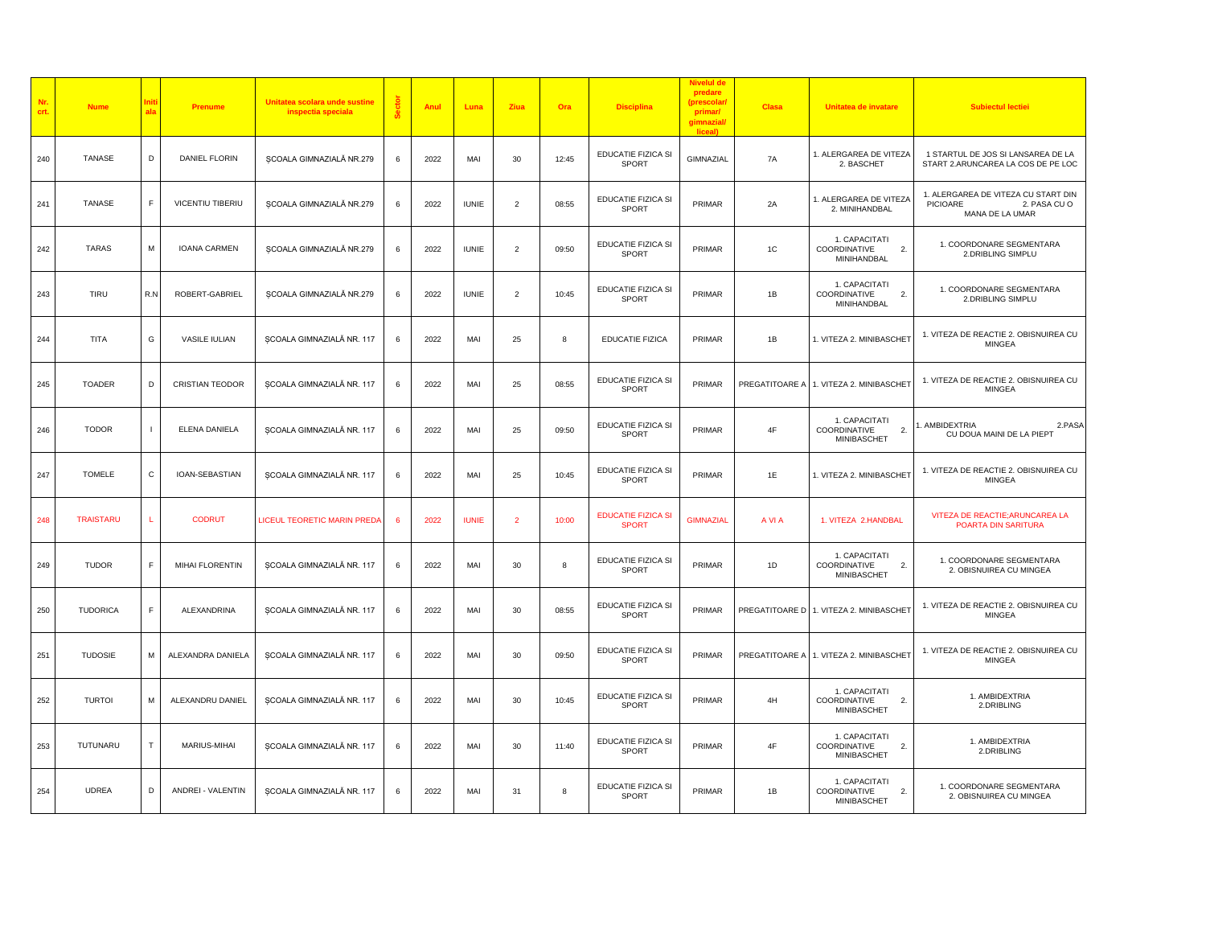| Nr.<br>crt. | <b>Nume</b>      | als         | <b>Prenume</b>         | Unitatea scolara unde sustine<br>inspectia speciala | å  | Anul | Luna         | Ziua                     | Ora   | <b>Disciplina</b>                         | <b>Nivelul de</b><br>predare<br>(prescolar<br>primar/<br>gimnazial<br>liceal) | <b>Clasa</b> | Unitatea de invatare                                      | <b>Subiectul lectiei</b>                                                                  |
|-------------|------------------|-------------|------------------------|-----------------------------------------------------|----|------|--------------|--------------------------|-------|-------------------------------------------|-------------------------------------------------------------------------------|--------------|-----------------------------------------------------------|-------------------------------------------------------------------------------------------|
| 240         | TANASE           | D           | <b>DANIEL FLORIN</b>   | SCOALA GIMNAZIALĂ NR.279                            | 6  | 2022 | MAI          | 30                       | 12:45 | EDUCATIE FIZICA SI<br>SPORT               | GIMNAZIAL                                                                     | 7A           | 1. ALERGAREA DE VITEZA<br>2. BASCHET                      | 1 STARTUL DE JOS SI LANSAREA DE LA<br>START 2.ARUNCAREA LA COS DE PE LOC                  |
| 241         | TANASE           | F           | VICENTIU TIBERIU       | SCOALA GIMNAZIALĂ NR.279                            |    | 2022 | <b>IUNIE</b> | $\overline{2}$           | 08:55 | EDUCATIE FIZICA SI<br>SPORT               | PRIMAR                                                                        | 2A           | 1. ALERGAREA DE VITEZA<br>2. MINIHANDBAL                  | 1. ALERGAREA DE VITEZA CU START DIN<br><b>PICIOARE</b><br>2. PASA CU O<br>MANA DE LA UMAR |
| 242         | TARAS            | M           | <b>IOANA CARMEN</b>    | ȘCOALA GIMNAZIALĂ NR.279                            | 6  | 2022 | <b>IUNIE</b> | $\overline{\phantom{0}}$ | 09:50 | EDUCATIE FIZICA SI<br>SPORT               | PRIMAR                                                                        | 1C           | 1. CAPACITATI<br>2.<br>COORDINATIVE<br>MINIHANDBAL        | 1. COORDONARE SEGMENTARA<br>2.DRIBLING SIMPLU                                             |
| 243         | TIRU             | R.N         | ROBERT-GABRIEL         | SCOALA GIMNAZIALĂ NR.279                            | 6  | 2022 | <b>IUNIE</b> | $\overline{2}$           | 10:45 | EDUCATIE FIZICA SI<br>SPORT               | PRIMAR                                                                        | 1B           | 1. CAPACITATI<br>2.<br>COORDINATIVE<br>MINIHANDBAL        | 1. COORDONARE SEGMENTARA<br>2.DRIBLING SIMPLU                                             |
| 244         | TITA             | G           | <b>VASILE IULIAN</b>   | ȘCOALA GIMNAZIALĂ NR. 117                           |    | 2022 | MAI          | 25                       | 8     | <b>EDUCATIE FIZICA</b>                    | PRIMAR                                                                        | 1B           | 1. VITEZA 2. MINIBASCHET                                  | 1. VITEZA DE REACTIE 2. OBISNUIREA CU<br>MINGEA                                           |
| 245         | <b>TOADER</b>    | D           | <b>CRISTIAN TEODOR</b> | ȘCOALA GIMNAZIALĂ NR. 117                           | 6  | 2022 | MAI          | 25                       | 08:55 | EDUCATIE FIZICA SI<br>SPORT               | PRIMAR                                                                        |              | PREGATITOARE A 1. VITEZA 2. MINIBASCHET                   | 1. VITEZA DE REACTIE 2. OBISNUIREA CU<br>MINGEA                                           |
| 246         | <b>TODOR</b>     |             | ELENA DANIELA          | SCOALA GIMNAZIALĂ NR. 117                           | 6  | 2022 | MAI          | 25                       | 09:50 | EDUCATIE FIZICA SI<br>SPORT               | PRIMAR                                                                        | 4F           | 1. CAPACITATI<br>2.<br>COORDINATIVE<br>MINIBASCHET        | . AMBIDEXTRIA<br>2.PASA<br>CU DOUA MAINI DE LA PIEPT                                      |
| 247         | <b>TOMELE</b>    | C           | IOAN-SEBASTIAN         | ȘCOALA GIMNAZIALĂ NR. 117                           | 6  | 2022 | MAI          | 25                       | 10:45 | EDUCATIE FIZICA SI<br>SPORT               | PRIMAR                                                                        | 1E           | 1. VITEZA 2. MINIBASCHET                                  | 1. VITEZA DE REACTIE 2. OBISNUIREA CU<br><b>MINGEA</b>                                    |
| 248         | <b>TRAISTARU</b> | L           | <b>CODRUT</b>          | LICEUL TEORETIC MARIN PREDA                         | -6 | 2022 | <b>IUNIE</b> | $\overline{2}$           | 10:00 | <b>EDUCATIE FIZICA SI</b><br><b>SPORT</b> | <b>GIMNAZIAL</b>                                                              | A VI A       | 1. VITEZA 2.HANDBAL                                       | VITEZA DE REACTIE; ARUNCAREA LA<br>POARTA DIN SARITURA                                    |
| 249         | <b>TUDOR</b>     | $\mathsf F$ | MIHAI FLORENTIN        | SCOALA GIMNAZIALĂ NR. 117                           | 6  | 2022 | MAI          | 30                       | 8     | EDUCATIE FIZICA SI<br>SPORT               | PRIMAR                                                                        | 1D           | 1. CAPACITATI<br>2.<br>COORDINATIVE<br>MINIBASCHET        | 1. COORDONARE SEGMENTARA<br>2. OBISNUIREA CU MINGEA                                       |
| 250         | <b>TUDORICA</b>  | F           | ALEXANDRINA            | ȘCOALA GIMNAZIALĂ NR. 117                           | 6  | 2022 | MAI          | 30                       | 08:55 | EDUCATIE FIZICA SI<br>SPORT               | PRIMAR                                                                        |              | PREGATITOARE D 1. VITEZA 2. MINIBASCHET                   | 1. VITEZA DE REACTIE 2. OBISNUIREA CU<br><b>MINGEA</b>                                    |
| 251         | <b>TUDOSIE</b>   | M           | ALEXANDRA DANIELA      | ȘCOALA GIMNAZIALĂ NR. 117                           | 6  | 2022 | MAI          | 30                       | 09:50 | EDUCATIE FIZICA SI<br>SPORT               | PRIMAR                                                                        |              | PREGATITOARE A 1. VITEZA 2. MINIBASCHET                   | 1. VITEZA DE REACTIE 2. OBISNUIREA CU<br>MINGEA                                           |
| 252         | <b>TURTOI</b>    | M           | ALEXANDRU DANIEL       | ȘCOALA GIMNAZIALĂ NR. 117                           | 6  | 2022 | MAI          | 30                       | 10:45 | EDUCATIE FIZICA SI<br>SPORT               | PRIMAR                                                                        | 4H           | 1. CAPACITATI<br>2.<br>COORDINATIVE<br>MINIBASCHET        | 1. AMBIDEXTRIA<br>2.DRIBLING                                                              |
| 253         | TUTUNARU         | T           | MARIUS-MIHAI           | ȘCOALA GIMNAZIALĂ NR. 117                           | 6  | 2022 | MAI          | 30                       | 11:40 | EDUCATIE FIZICA SI<br>SPORT               | PRIMAR                                                                        | 4F           | 1. CAPACITATI<br>COORDINATIVE<br>2.<br><b>MINIBASCHET</b> | 1. AMBIDEXTRIA<br>2.DRIBLING                                                              |
| 254         | <b>UDREA</b>     | D           | ANDREI - VALENTIN      | SCOALA GIMNAZIALĂ NR. 117                           | 6  | 2022 | MAI          | 31                       | 8     | EDUCATIE FIZICA SI<br>SPORT               | PRIMAR                                                                        | 1B           | 1. CAPACITATI<br>COORDINATIVE<br>2.<br>MINIBASCHET        | 1. COORDONARE SEGMENTARA<br>2. OBISNUIREA CU MINGEA                                       |